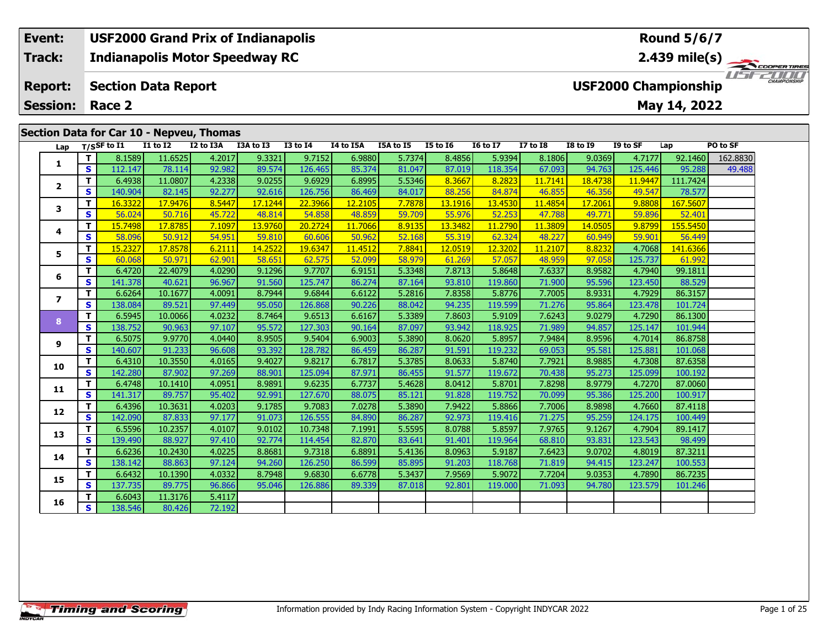#### **Event: USF2000 Grand Prix of Indianapolis Round 5/6/7Indianapolis Motor Speedway RC 2.439 mile(s) Track:** ER TIRES USFZUUD **Report: USF2000 Championship Section Data Report May 14, 2022 Session: Race 2 Section Data for Car 10 - Nepveu, Thomas**

| Lap            |              | $T/S$ SF to I1 | <b>I1 to I2</b> | I2 to I3A | I3A to I3 | <b>I3 to I4</b> | I4 to I5A | I5A to I5 | <b>I5 to 16</b> | <b>16 to 17</b> | <b>I7 to I8</b> | <b>I8 to 19</b> | I9 to SF | Lap      | PO to SF |
|----------------|--------------|----------------|-----------------|-----------|-----------|-----------------|-----------|-----------|-----------------|-----------------|-----------------|-----------------|----------|----------|----------|
|                | T.           | 8.1589         | 11.6525         | 4.2017    | 9.3321    | 9.7152          | 6.9880    | 5.7374    | 8.4856          | 5.9394          | 8.1806          | 9.0369          | 4.7177   | 92.1460  | 162,8830 |
| 1              | <b>S</b>     | 112.147        | 78.114          | 92.982    | 89.574    | 126.465         | 85.374    | 81.047    | 87.019          | 118.354         | 67.093          | 94.763          | 125.446  | 95.288   | 49.488   |
| $\overline{2}$ | Т            | 6.4938         | 11.0807         | 4.2338    | 9.0255    | 9.6929          | 6.8995    | 5.5346    | 8.3667          | 8.2823          | 11.7141         | 18.4738         | 11.9447  | 111.7424 |          |
|                | <b>S</b>     | 140.904        | 82.145          | 92.277    | 92.616    | 126.756         | 86.469    | 84.017    | 88.256          | 84.874          | 46.855          | 46.356          | 49.547   | 78.577   |          |
| 3              | $\mathbf{T}$ | 16.3322        | 17,9476         | 8.5447    | 17.1244   | 22.3966         | 12,2105   | 7.7878    | 13.1916         | 13,4530         | 11,4854         | 17.2061         | 9.8808   | 167.5607 |          |
|                | $\mathbf{s}$ | 56.024         | 50.716          | 45.722    | 48.814    | 54.858          | 48.859    | 59.709    | 55.976          | 52.253          | 47.788          | 49.771          | 59.896   | 52.401   |          |
| 4              | $\mathbf{T}$ | 15.7498        | 17,8785         | 7.1097    | 13.9760   | 20.2724         | 11,7066   | 8.9135    | 13.3482         | 11,2790         | 11.3809         | 14.0505         | 9.8799   | 155.5450 |          |
|                | $\mathbf{s}$ | 58.096         | 50.912          | 54.951    | 59.810    | 60.606          | 50.962    | 52.168    | 55.319          | 62.324          | 48.227          | 60.949          | 59.901   | 56.449   |          |
| 5.             | T            | 15.2327        | 17.8578         | 6.2111    | 14.2522   | 19.6347         | 11.4512   | 7.8841    | 12.0519         | 12.3202         | 11.2107         | 8.8232          | 4.7068   | 141.6366 |          |
|                | $\mathbf{s}$ | 60.068         | 50.971          | 62.901    | 58.651    | 62.575          | 52.099    | 58.979    | 61.269          | 57.057          | 48.959          | 97.058          | 125.737  | 61.992   |          |
| 6              | T            | 6.4720         | 22.4079         | 4.0290    | 9.1296    | 9.7707          | 6.9151    | 5.3348    | 7.8713          | 5.8648          | 7.6337          | 8.9582          | 4.7940   | 99.1811  |          |
|                | S            | 141.378        | 40.621          | 96.967    | 91.560    | 125.747         | 86.274    | 87.164    | 93.810          | 119.860         | 71.900          | 95.596          | 123.450  | 88.529   |          |
| $\overline{ }$ | T            | 6.6264         | 10.1677         | 4.0091    | 8.7944    | 9.6844          | 6.6122    | 5.2816    | 7.8358          | 5.8776          | 7.7005          | 8.9331          | 4.7929   | 86.3157  |          |
|                | S            | 138.084        | 89.521          | 97.449    | 95.050    | 126.868         | 90.226    | 88.042    | 94.235          | 119.599         | 71.276          | 95.864          | 123.478  | 101.724  |          |
| 8              | $\mathbf T$  | 6.5945         | 10.0066         | 4.0232    | 8.7464    | 9.6513          | 6.6167    | 5.3389    | 7.8603          | 5.9109          | 7.6243          | 9.0279          | 4.7290   | 86.1300  |          |
|                | $\mathbf{s}$ | 138.752        | 90.963          | 97.107    | 95.572    | 127.303         | 90.164    | 87.097    | 93.942          | 118.925         | 71.989          | 94.857          | 125.147  | 101.944  |          |
| 9              | T            | 6.5075         | 9.9770          | 4.0440    | 8.9505    | 9.5404          | 6.9003    | 5.3890    | 8.0620          | 5.8957          | 7.9484          | 8.9596          | 4.7014   | 86.8758  |          |
|                | S            | 140.607        | 91.233          | 96.608    | 93.392    | 128.782         | 86.459    | 86.287    | 91.591          | 119.232         | 69.053          | 95.581          | 125.881  | 101.068  |          |
| 10             | T.           | 6.4310         | 10.3550         | 4.0165    | 9.4027    | 9.8217          | 6.7817    | 5.3785    | 8.0633          | 5.8740          | 7.7921          | 8.9885          | 4.7308   | 87.6358  |          |
|                | $\mathbf{s}$ | 142.280        | 87.902          | 97.269    | 88.901    | 125.094         | 87.971    | 86.455    | 91.577          | 119.672         | 70.438          | 95.273          | 125.099  | 100.192  |          |
| 11             | T            | 6.4748         | 10.1410         | 4.0951    | 8.9891    | 9.6235          | 6.7737    | 5.4628    | 8.0412          | 5.8701          | 7.8298          | 8.9779          | 4.7270   | 87.0060  |          |
|                | S            | 141.317        | 89.757          | 95.402    | 92.991    | 127.670         | 88.075    | 85.121    | 91.828          | 119.752         | 70.099          | 95.386          | 125.200  | 100.917  |          |
| 12             | T            | 6.4396         | 10.3631         | 4.0203    | 9.1785    | 9.7083          | 7.0278    | 5.3890    | 7.9422          | 5.8866          | 7.7006          | 8.9898          | 4.7660   | 87.4118  |          |
|                | S            | 142.090        | 87.833          | 97.177    | 91.073    | 126.555         | 84.890    | 86.287    | 92.973          | 119.416         | 71.275          | 95.259          | 124.175  | 100.449  |          |
| 13             | T            | 6.5596         | 10.2357         | 4.0107    | 9.0102    | 10.7348         | 7.1991    | 5.5595    | 8.0788          | 5.8597          | 7.9765          | 9.1267          | 4.7904   | 89.1417  |          |
|                | $\mathbf{s}$ | 139.490        | 88.927          | 97.410    | 92.774    | 114.454         | 82.870    | 83.641    | 91.401          | 119.964         | 68.810          | 93.831          | 123.543  | 98.499   |          |
| 14             | T            | 6.6236         | 10.2430         | 4.0225    | 8.8681    | 9.7318          | 6.8891    | 5.4136    | 8.0963          | 5.9187          | 7.6423          | 9.0702          | 4.8019   | 87.3211  |          |
|                | S            | 138.142        | 88.863          | 97.124    | 94.260    | 126.250         | 86.599    | 85.895    | 91.203          | 118.768         | 71.819          | 94.415          | 123.247  | 100.553  |          |
| 15             | T.           | 6.6432         | 10.1390         | 4.0332    | 8.7948    | 9.6830          | 6.6778    | 5.3437    | 7.9569          | 5.9072          | 7.7204          | 9.0353          | 4.7890   | 86.7235  |          |
|                | S.           | 137.735        | 89.775          | 96.866    | 95.046    | 126.886         | 89.339    | 87.018    | 92.801          | 119.000         | 71.093          | 94.780          | 123.579  | 101.246  |          |
| 16             | T            | 6.6043         | 11.3176         | 5.4117    |           |                 |           |           |                 |                 |                 |                 |          |          |          |
|                | S            | 138.546        | 80.426          | 72.192    |           |                 |           |           |                 |                 |                 |                 |          |          |          |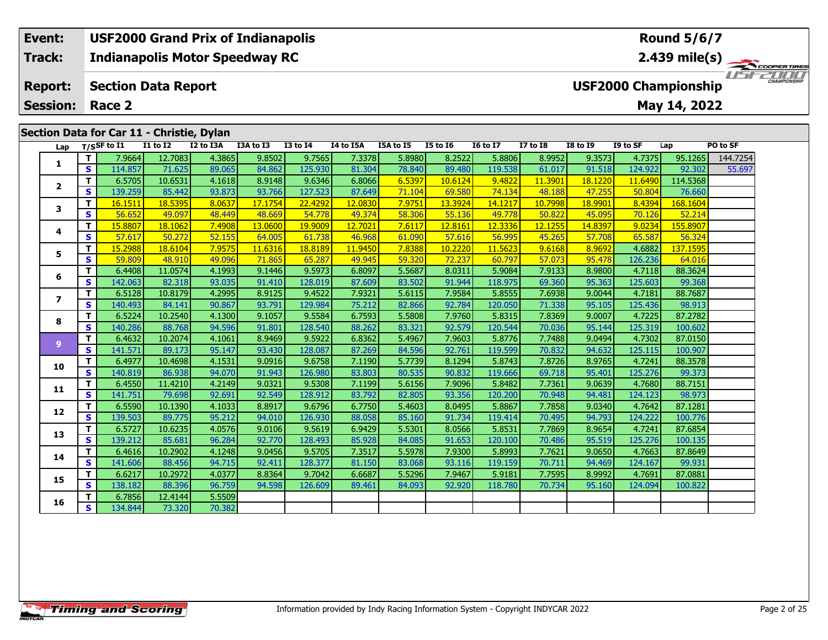## **Event: USF2000 Grand Prix of Indianapolis Round 5/6/7Indianapolis Motor Speedway RC 2.439 mile(s) Track:** THE COOPERTIRES **Report: Section Data Report USF2000 Championship May 14, 2022 Session: Race 2 Section Data for Car 11 - Christie, Dylan Lap T/SSF to I1 I1 to I2 I2 to I3A I3A to I3 I3 to I4 I4 to I5A I5A to I5 I5 to I6 I6 to I7 I7 to I8 I8 to I9 I9 to SF Lap PO to SF**

| Lap            |                         | T/SSF to I1 | <b>I1 to I2</b> | I2 to I3A | I3A to I3 | <b>I3 to I4</b> | I4 to I5A | I5A to I5 | <b>I5 to 16</b> | <b>16 to 17</b> | $I7$ to $I8$ | <b>I8 to 19</b> | I9 to SF | Lap      | PO to SF |
|----------------|-------------------------|-------------|-----------------|-----------|-----------|-----------------|-----------|-----------|-----------------|-----------------|--------------|-----------------|----------|----------|----------|
| 1              | T.                      | 7.9664      | 12.7083         | 4.3865    | 9.8502    | 9.7565          | 7.3378    | 5.8980    | 8.2522          | 5.8806          | 8.9952       | 9.3573          | 4.7375   | 95.1265  | 144.7254 |
|                | S                       | 114.857     | 71.625          | 89.065    | 84.862    | 125.930         | 81.304    | 78.840    | 89.480          | 119.538         | 61.017       | 91.518          | 124.922  | 92.302   | 55.697   |
| $\overline{2}$ | T.                      | 6.5705      | 10.6531         | 4.1618    | 8.9148    | 9.6346          | 6.8066    | 6.5397    | 10.6124         | 9.4822          | 11.3901      | 18.1220         | 11.6490  | 114.5368 |          |
|                | S                       | 139.259     | 85.442          | 93.873    | 93.766    | 127.523         | 87.649    | 71.104    | 69.580          | 74.134          | 48.188       | 47.255          | 50.804   | 76.660   |          |
| 3              | т                       | 16.1511     | 18.5395         | 8.0637    | 17.1754   | 22,4292         | 12.0830   | 7.9751    | 13.3924         | 14.1217         | 10.7998      | 18.9901         | 8.4394   | 168,1604 |          |
|                | $\overline{\mathbf{s}}$ | 56.652      | 49.097          | 48.449    | 48.669    | 54.778          | 49.374    | 58.306    | 55.136          | 49.778          | 50.822       | 45.095          | 70.126   | 52.214   |          |
| 4              | T.                      | 15.8807     | 18.1062         | 7.4908    | 13.0600   | 19.9009         | 12.7021   | 7.6117    | 12.8161         | 12.3336         | 12.1255      | 14.8397         | 9.0234   | 155.8907 |          |
|                | S                       | 57.617      | 50.272          | 52.155    | 64.005    | 61.738          | 46.968    | 61.090    | 57.616          | 56.995          | 45.265       | 57.708          | 65.587   | 56.324   |          |
| 5              | т                       | 15.2988     | 18.6104         | 7.9575    | 11.6316   | 18.8189         | 11,9450   | 7.8388    | 10.2220         | 11.5623         | 9.6168       | 8.9692          | 4.6882   | 137.1595 |          |
|                | $\mathbf{s}$            | 59.809      | 48.910          | 49.096    | 71.865    | 65.287          | 49.945    | 59.320    | 72.237          | 60.797          | 57.073       | 95.478          | 126.236  | 64.016   |          |
| 6              | T.                      | 6.4408      | 11.0574         | 4.1993    | 9.1446    | 9.5973          | 6.8097    | 5.5687    | 8.0311          | 5.9084          | 7.9133       | 8.9800          | 4.7118   | 88.3624  |          |
|                | S                       | 142.063     | 82.318          | 93.035    | 91.410    | 128.019         | 87.609    | 83.502    | 91.944          | 118.975         | 69.360       | 95.363          | 125.603  | 99.368   |          |
| $\overline{ }$ | T.                      | 6.5128      | 10.8179         | 4.2995    | 8.9125    | 9.4522          | 7.9321    | 5.6115    | 7.9584          | 5.8555          | 7.6938       | 9.0044          | 4.7181   | 88.7687  |          |
|                | S                       | 140.493     | 84.141          | 90.867    | 93.791    | 129.984         | 75.212    | 82.866    | 92.784          | 120.050         | 71.338       | 95.105          | 125.436  | 98.913   |          |
| 8              | T.                      | 6.5224      | 10.2540         | 4.1300    | 9.1057    | 9.5584          | 6.7593    | 5.5808    | 7.9760          | 5.8315          | 7.8369       | 9.0007          | 4.7225   | 87.2782  |          |
|                | S                       | 140.286     | 88.768          | 94.596    | 91.801    | 128.540         | 88.262    | 83.321    | 92.579          | 120.544         | 70.036       | 95.144          | 125.319  | 100.602  |          |
| 9              | T.                      | 6.4632      | 10.2074         | 4.1061    | 8.9469    | 9.5922          | 6.8362    | 5.4967    | 7.9603          | 5.8776          | 7.7488       | 9.0494          | 4.7302   | 87.0150  |          |
|                | S                       | 141.571     | 89.173          | 95.147    | 93.430    | 128.087         | 87.269    | 84.596    | 92.761          | 119.599         | 70.832       | 94.632          | 125.115  | 100.907  |          |
| 10             | T.                      | 6.4977      | 10.4698         | 4.1531    | 9.0916    | 9.6758          | 7.1190    | 5.7739    | 8.1294          | 5.8743          | 7.8726       | 8.9765          | 4.7241   | 88.3578  |          |
|                | S                       | 140.819     | 86.938          | 94.070    | 91.943    | 126.980         | 83.803    | 80.535    | 90.832          | 119.666         | 69.718       | 95.401          | 125.276  | 99.373   |          |
| 11             | T                       | 6.4550      | 11.4210         | 4.2149    | 9.0321    | 9.5308          | 7.1199    | 5.6156    | 7.9096          | 5.8482          | 7.7361       | 9.0639          | 4.7680   | 88.7151  |          |
|                | S                       | 141.751     | 79.698          | 92.691    | 92.549    | 128.912         | 83.792    | 82.805    | 93.356          | 120.200         | 70.948       | 94.481          | 124.123  | 98.973   |          |
| 12             | T.                      | 6.5590      | 10.1390         | 4.1033    | 8.8917    | 9.6796          | 6.7750    | 5.4603    | 8.0495          | 5.8867          | 7.7858       | 9.0340          | 4.7642   | 87.1281  |          |
|                | S                       | 139.503     | 89.775          | 95.212    | 94.010    | 126.930         | 88.058    | 85.160    | 91.734          | 119.414         | 70.495       | 94.793          | 124.222  | 100.776  |          |
| 13             | T.                      | 6.5727      | 10.6235         | 4.0576    | 9.0106    | 9.5619          | 6.9429    | 5.5301    | 8.0566          | 5.8531          | 7.7869       | 8.9654          | 4.7241   | 87.6854  |          |
|                | S.                      | 139.212     | 85.681          | 96.284    | 92.770    | 128.493         | 85.928    | 84.085    | 91.653          | 120.100         | 70.486       | 95.519          | 125.276  | 100.135  |          |
| 14             | Τ.                      | 6.4616      | 10.2902         | 4.1248    | 9.0456    | 9.5705          | 7.3517    | 5.5978    | 7.9300          | 5.8993          | 7.7621       | 9.0650          | 4.7663   | 87.8649  |          |
|                | S                       | 141.606     | 88.456          | 94.715    | 92.411    | 128.377         | 81.150    | 83.068    | 93.116          | 119.159         | 70.711       | 94.469          | 124.167  | 99.931   |          |
| 15             | T.                      | 6.6217      | 10.2972         | 4.0377    | 8.8364    | 9.7042          | 6.6687    | 5.5296    | 7.9467          | 5.9181          | 7.7595       | 8.9992          | 4.7691   | 87.0881  |          |
|                | S.                      | 138.182     | 88.396          | 96.759    | 94.598    | 126.609         | 89.461    | 84.093    | 92.920          | 118,780         | 70.734       | 95.160          | 124.094  | 100.822  |          |
| 16             | T.                      | 6.7856      | 12.4144         | 5.5509    |           |                 |           |           |                 |                 |              |                 |          |          |          |
|                | S.                      | 134.844     | 73.320          | 70.382    |           |                 |           |           |                 |                 |              |                 |          |          |          |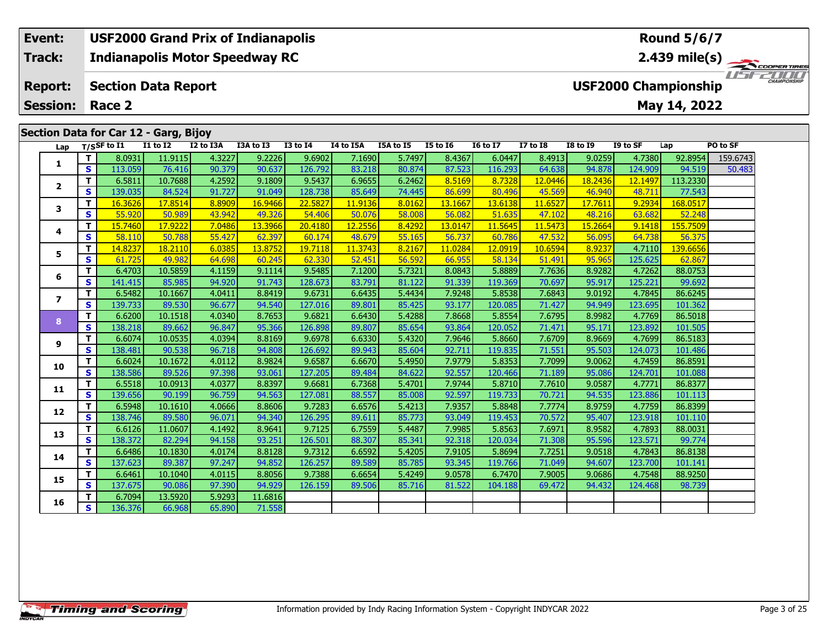## **Event: USF2000 Grand Prix of Indianapolis Round 5/6/7Track:Indianapolis Motor Speedway RC 2.439 mile(s)** *IFFERING* **Report: Section Data Report USF2000 Championship May 14, 2022 Session: Race 2 Section Data for Car 12 - Garg, Bijoy Lap T/SSF to I1 I1 to I2 I2 to I3A I3A to I3 I3 to I4 I4 to I5A I5A to I5 I5 to I6 I6 to I7 I7 to I8 I8 to I9 I9 to SF Lap PO to SF**   $\Box$ **T** 8.0931 11.9115 4.3227 9.2226 9.6902 7.1690 5.7497 8.4367 6.0447 8.4913 9.0259 4.7380 92.8954 159.6743 **1 <sup>T</sup>** 6.5811 10.7688 4.2592 9.1809 9.5437 6.9655 6.2462 8.5169 8.7328 12.0446 18.2436 12.1497 113.2330 **<sup>S</sup>** 139.035 84.524 91.727 91.049 128.738 85.649 74.445 86.699 80.496 45.569 46.940 48.711 77.543**2**

| ı              | s  | 113.059 | 76.416  | 90.379 | 90.637  | 126.792 | 83.218  | 80.874 | 87.523  | 116.293 | 64.638  | 94.878  | 124.909 | 94.519   | 50.483 |
|----------------|----|---------|---------|--------|---------|---------|---------|--------|---------|---------|---------|---------|---------|----------|--------|
|                | т  | 6.5811  | 10.7688 | 4.2592 | 9.1809  | 9.5437  | 6.9655  | 6.2462 | 8.5169  | 8.7328  | 12.0446 | 18.2436 | 12.1497 | 113.2330 |        |
| $\overline{2}$ | S  | 139.035 | 84.524  | 91.727 | 91.049  | 128.738 | 85.649  | 74.445 | 86.699  | 80.496  | 45.569  | 46.940  | 48.711  | 77.543   |        |
| 3              | т  | 16.3626 | 17.8514 | 8.8909 | 16.9466 | 22.5827 | 11.9136 | 8.0162 | 13.1667 | 13.6138 | 11.6527 | 17.7611 | 9.2934  | 168.0517 |        |
|                | S  | 55.920  | 50.989  | 43.942 | 49.326  | 54.406  | 50.076  | 58.008 | 56.082  | 51.635  | 47.102  | 48.216  | 63.682  | 52.248   |        |
| 4              | т  | 15.7460 | 17.9222 | 7.0486 | 13.3966 | 20.4180 | 12.2556 | 8.4292 | 13.0147 | 11.5645 | 11.5473 | 15.2664 | 9.1418  | 155.7509 |        |
|                | s  | 58.110  | 50.788  | 55.427 | 62.397  | 60.174  | 48.679  | 55.165 | 56.737  | 60.786  | 47.532  | 56.095  | 64.738  | 56.375   |        |
| 5              | т  | 14.8237 | 18.2110 | 6.0385 | 13.8752 | 19.7118 | 11.3743 | 8.2167 | 11.0284 | 12.0919 | 10.6594 | 8.9237  | 4.7110  | 139.6656 |        |
|                | S  | 61.725  | 49.982  | 64.698 | 60.245  | 62.330  | 52,451  | 56.592 | 66.955  | 58.134  | 51.491  | 95.965  | 125.625 | 62.867   |        |
| 6              | T. | 6.4703  | 10.5859 | 4.1159 | 9.1114  | 9.5485  | 7.1200  | 5.7321 | 8.0843  | 5.8889  | 7.7636  | 8.9282  | 4.7262  | 88.0753  |        |
|                | s  | 141.415 | 85.985  | 94.920 | 91.743  | 128.673 | 83.791  | 81.122 | 91.339  | 119.369 | 70.697  | 95.917  | 125.221 | 99.692   |        |
| 7              | т  | 6.5482  | 10.1667 | 4.0411 | 8.8419  | 9.6731  | 6.6435  | 5.4434 | 7.9248  | 5.8538  | 7.6843  | 9.0192  | 4.7845  | 86.6245  |        |
|                | S  | 139.733 | 89.530  | 96.677 | 94.540  | 127.016 | 89.801  | 85.425 | 93.177  | 120.085 | 71.427  | 94.949  | 123.695 | 101.362  |        |
| 8              | T. | 6.6200  | 10.1518 | 4.0340 | 8.7653  | 9.6821  | 6.6430  | 5.4288 | 7.8668  | 5.8554  | 7.6795  | 8.9982  | 4.7769  | 86.5018  |        |
|                | S  | 138.218 | 89.662  | 96.847 | 95.366  | 126.898 | 89.807  | 85.654 | 93.864  | 120.052 | 71.471  | 95.171  | 123.892 | 101.505  |        |
| 9              | т  | 6.6074  | 10.0535 | 4.0394 | 8.8169  | 9.6978  | 6.6330  | 5.4320 | 7.9646  | 5.8660  | 7.6709  | 8.9669  | 4.7699  | 86.5183  |        |
|                | S  | 138.481 | 90.538  | 96.718 | 94.808  | 126.692 | 89.943  | 85.604 | 92.711  | 119.835 | 71.551  | 95.503  | 124.073 | 101.486  |        |
| 10             | т  | 6.6024  | 10.1672 | 4.0112 | 8.9824  | 9.6587  | 6.6670  | 5.4950 | 7.9779  | 5.8353  | 7.7099  | 9.0062  | 4.7459  | 86.8591  |        |
|                | S  | 138.586 | 89.526  | 97.398 | 93.061  | 127.205 | 89.484  | 84.622 | 92.557  | 120.466 | 71.189  | 95.086  | 124.701 | 101.088  |        |
| 11             | т  | 6.5518  | 10.0913 | 4.0377 | 8.8397  | 9.6681  | 6.7368  | 5.4701 | 7.9744  | 5.8710  | 7.7610  | 9.0587  | 4.7771  | 86.8377  |        |
|                | S  | 139.656 | 90.199  | 96.759 | 94.563  | 127.081 | 88.557  | 85.008 | 92.597  | 119.733 | 70.721  | 94.535  | 123.886 | 101.113  |        |
| 12             | T. | 6.5948  | 10.1610 | 4.0666 | 8.8606  | 9.7283  | 6.6576  | 5.4213 | 7.9357  | 5.8848  | 7.7774  | 8.9759  | 4.7759  | 86.8399  |        |
|                | S  | 138.746 | 89.580  | 96.071 | 94.340  | 126.295 | 89.611  | 85.773 | 93.049  | 119.453 | 70.572  | 95.407  | 123.918 | 101.110  |        |
| 13             | т  | 6.6126  | 11.0607 | 4.1492 | 8.9641  | 9.7125  | 6.7559  | 5.4487 | 7.9985  | 5.8563  | 7.6971  | 8.9582  | 4.7893  | 88.0031  |        |
|                | S  | 138.372 | 82.294  | 94.158 | 93.251  | 126.501 | 88.307  | 85.341 | 92.318  | 120.034 | 71.308  | 95.596  | 123.571 | 99.774   |        |
| 14             | т  | 6.6486  | 10.1830 | 4.0174 | 8.8128  | 9.7312  | 6.6592  | 5.4205 | 7.9105  | 5.8694  | 7.7251  | 9.0518  | 4.7843  | 86.8138  |        |
|                | S  | 137.623 | 89.387  | 97.247 | 94.852  | 126.257 | 89.589  | 85.785 | 93.345  | 119.766 | 71.049  | 94.607  | 123.700 | 101.141  |        |
| 15             | т  | 6.6461  | 10.1040 | 4.0115 | 8.8056  | 9.7388  | 6.6654  | 5.4249 | 9.0578  | 6.7470  | 7.9005  | 9.0686  | 4.7548  | 88.9250  |        |
|                | S  | 137.675 | 90.086  | 97.390 | 94.929  | 126.159 | 89.506  | 85.716 | 81.522  | 104.188 | 69.472  | 94.432  | 124.468 | 98.739   |        |
| 16             | T. | 6.7094  | 13.5920 | 5.9293 | 11.6816 |         |         |        |         |         |         |         |         |          |        |
|                | S  | 136.376 | 66.968  | 65.890 | 71.558  |         |         |        |         |         |         |         |         |          |        |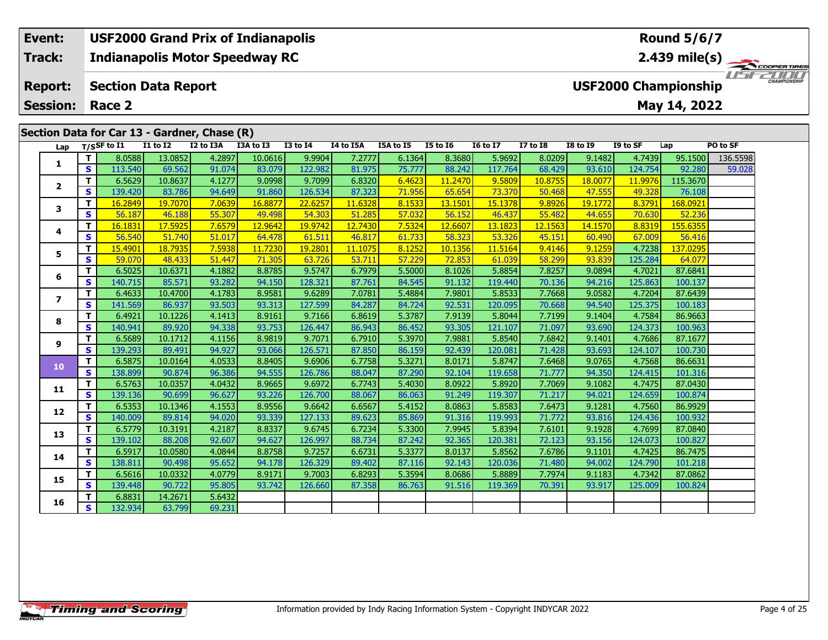#### **Event: USF2000 Grand Prix of Indianapolis Round 5/6/7Indianapolis Motor Speedway RC 2.439 mile(s) Track:**1151521111 **Report: Section Data Report USF2000 Championship May 14, 2022 Session: Race 2Section Data for Car 13 - Gardner, Chase (R) Lap T/SSF to I1 I1 to I2 I2 to I3A I3A to I3 I3 to I4 I4 to I5A I5A to I5 I5 to I6 I6 to I7 I7 to I8 I8 to I9 I9 to SF Lap PO to SF <sup>T</sup>** 8.0588 13.0852 4.2897 10.0616 9.9904 7.2777 6.1364 8.3680 5.9692 8.0209 9.1482 4.7439 95.1500 136.5598 **<sup>S</sup>** 113.540 69.562 91.074 83.079 122.982 81.975 75.777 88.242 117.764 68.429 93.610 124.754 92.280 59.028**1**

**<sup>T</sup>** 6.5629 10.8637 4.1277 9.0998 9.7099 6.8320 6.4623 11.2470 9.5809 10.8755 18.0077 11.9976 115.3670 **<sup>S</sup>** 139.420 83.786 94.649 91.860 126.534 87.323 71.956 65.654 73.370 50.468 47.555 49.328 76.108

**<sup>T</sup>** 16.2849 19.7070 7.0639 16.8877 22.6257 11.6328 8.1533 13.1501 15.1378 9.8926 19.1772 8.3791 168.0921 **<sup>S</sup>** 56.187 46.188 55.307 49.498 54.303 51.285 57.032 56.152 46.437 55.482 44.655 70.630 52.236

**<sup>T</sup>** 16.1831 17.5925 7.6579 12.9642 19.9742 12.7430 7.5324 12.6607 13.1823 12.1563 14.1570 8.8319 155.6355 **<sup>S</sup>** 56.540 51.740 51.017 64.478 61.511 46.817 61.733 58.323 53.326 45.151 60.490 67.009 56.416

**<sup>T</sup>** 15.4901 18.7935 7.5938 11.7230 19.2801 11.1075 8.1252 10.1356 11.5164 9.4146 9.1259 4.7238 137.0295 **<sup>S</sup>** 59.070 48.433 51.447 71.305 63.726 53.711 57.229 72.853 61.039 58.299 93.839 125.284 64.077

**<sup>T</sup>** 6.5025 10.6371 4.1882 8.8785 9.5747 6.7979 5.5000 8.1026 5.8854 7.8257 9.0894 4.7021 87.6841 **<sup>S</sup>** 140.715 85.571 93.282 94.150 128.321 87.761 84.545 91.132 119.440 70.136 94.216 125.863 100.137

**<sup>T</sup>** 6.4633 10.4700 4.1783 8.9581 9.6289 7.0781 5.4884 7.9801 5.8533 7.7668 9.0582 4.7204 87.6439 **<sup>S</sup>** 141.569 86.937 93.503 93.313 127.599 84.287 84.724 92.531 120.095 70.668 94.540 125.375 100.183

**<sup>T</sup>** 6.4921 10.1226 4.1413 8.9161 9.7166 6.8619 5.3787 7.9139 5.8044 7.7199 9.1404 4.7584 86.9663 **<sup>S</sup>** 140.941 89.920 94.338 93.753 126.447 86.943 86.452 93.305 121.107 71.097 93.690 124.373 100.963

**<sup>T</sup>** 6.5689 10.1712 4.1156 8.9819 9.7071 6.7910 5.3970 7.9881 5.8540 7.6842 9.1401 4.7686 87.1677 **<sup>S</sup>** 139.293 89.491 94.927 93.066 126.571 87.850 86.159 92.439 120.081 71.428 93.693 124.107 100.730

**<sup>T</sup>** 6.5875 10.0164 4.0533 8.8405 9.6906 6.7758 5.3271 8.0171 5.8747 7.6468 9.0765 4.7568 86.6631 **<sup>S</sup>** 138.899 90.874 96.386 94.555 126.786 88.047 87.290 92.104 119.658 71.777 94.350 124.415 101.316

**<sup>T</sup>** 6.5763 10.0357 4.0432 8.9665 9.6972 6.7743 5.4030 8.0922 5.8920 7.7069 9.1082 4.7475 87.0430 **<sup>S</sup>** 139.136 90.699 96.627 93.226 126.700 88.067 86.063 91.249 119.307 71.217 94.021 124.659 100.874

**<sup>T</sup>** 6.5353 10.1346 4.1553 8.9556 9.6642 6.6567 5.4152 8.0863 5.8583 7.6473 9.1281 4.7560 86.9929 **<sup>S</sup>** 140.009 89.814 94.020 93.339 127.133 89.623 85.869 91.316 119.993 71.772 93.816 124.436 100.932

**<sup>T</sup>** 6.5779 10.3191 4.2187 8.8337 9.6745 6.7234 5.3300 7.9945 5.8394 7.6101 9.1928 4.7699 87.0840 **<sup>S</sup>** 139.102 88.208 92.607 94.627 126.997 88.734 87.242 92.365 120.381 72.123 93.156 124.073 100.827

**<sup>T</sup>** 6.5917 10.0580 4.0844 8.8758 9.7257 6.6731 5.3377 8.0137 5.8562 7.6786 9.1101 4.7425 86.7475 **<sup>S</sup>** 138.811 90.498 95.652 94.178 126.329 89.402 87.116 92.143 120.036 71.480 94.002 124.790 101.218

**<sup>T</sup>** 6.5616 10.0332 4.0779 8.9171 9.7003 6.8293 5.3594 8.0686 5.8889 7.7974 9.1183 4.7342 87.0862 **<sup>S</sup>** 139.448 90.722 95.805 93.742 126.660 87.358 86.763 91.516 119.369 70.391 93.917 125.009 100.824

**<sup>T</sup>** 6.8831 14.2671 5.6432 **<sup>S</sup>** 132.934 63.799 69.231

**2**

**3**

**4**

**5**

**6**

**7**

**8**

**9**

**10**

**11**

**12**

**13**

**14**

**15**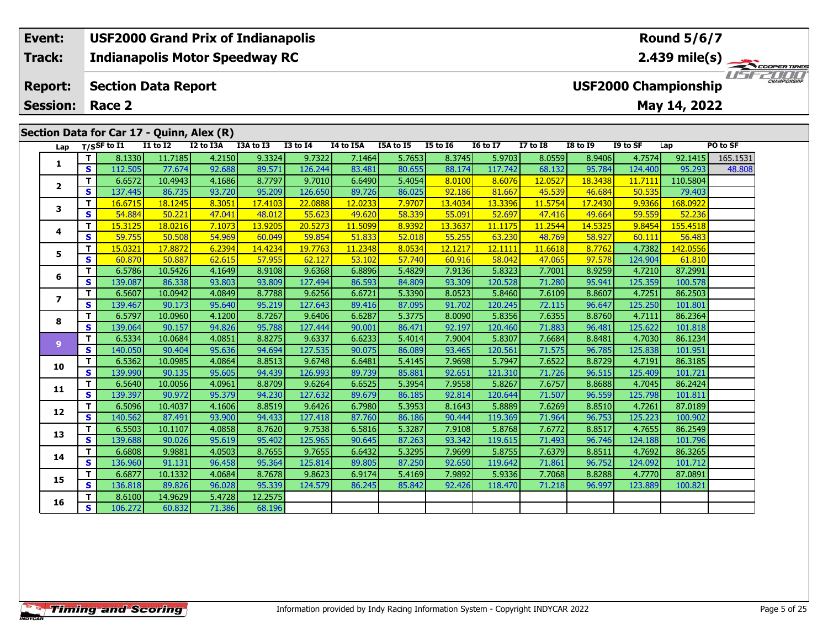#### **Event: USF2000 Grand Prix of Indianapolis Round 5/6/7Indianapolis Motor Speedway RC 2.439 mile(s) Track:**1151521111 **Report: Section Data Report USF2000 Championship May 14, 2022 Session: Race 2Section Data for Car 17 - Quinn, Alex (R) Lap T/SSF to I1 I1 to I2 I2 to I3A I3A to I3 I3 to I4 I4 to I5A I5A to I5 I5 to I6 I6 to I7 I7 to I8 I8 to I9 I9 to SF Lap PO to SF <sup>T</sup>** 8.1330 11.7185 4.2150 9.3324 9.7322 7.1464 5.7653 8.3745 5.9703 8.0559 8.9406 4.7574 92.1415 165.1531 **<sup>S</sup>** 112.505 77.674 92.688 89.571 126.244 83.481 80.655 88.174 117.742 68.132 95.784 124.400 95.293 48.808**1**

**<sup>T</sup>** 6.6572 10.4943 4.1686 8.7797 9.7010 6.6490 5.4054 8.0100 8.6076 12.0527 18.3438 11.7111 110.5804 **<sup>S</sup>** 137.445 86.735 93.720 95.209 126.650 89.726 86.025 92.186 81.667 45.539 46.684 50.535 79.403

**<sup>T</sup>** 16.6715 18.1245 8.3051 17.4103 22.0888 12.0233 7.9707 13.4034 13.3396 11.5754 17.2430 9.9366 168.0922 **<sup>S</sup>** 54.884 50.221 47.041 48.012 55.623 49.620 58.339 55.091 52.697 47.416 49.664 59.559 52.236

**<sup>T</sup>** 15.3125 18.0216 7.1073 13.9205 20.5273 11.5099 8.9392 13.3637 11.1175 11.2544 14.5325 9.8454 155.4518 **<sup>S</sup>** 59.755 50.508 54.969 60.049 59.854 51.833 52.018 55.255 63.230 48.769 58.927 60.111 56.483

**<sup>T</sup>** 15.0321 17.8872 6.2394 14.4234 19.7763 11.2348 8.0534 12.1217 12.1111 11.6618 8.7762 4.7382 142.0556 **<sup>S</sup>** 60.870 50.887 62.615 57.955 62.127 53.102 57.740 60.916 58.042 47.065 97.578 124.904 61.810

**<sup>T</sup>** 6.5786 10.5426 4.1649 8.9108 9.6368 6.8896 5.4829 7.9136 5.8323 7.7001 8.9259 4.7210 87.2991 **<sup>S</sup>** 139.087 86.338 93.803 93.809 127.494 86.593 84.809 93.309 120.528 71.280 95.941 125.359 100.578

**<sup>T</sup>** 6.5607 10.0942 4.0849 8.7788 9.6256 6.6721 5.3390 8.0523 5.8460 7.6109 8.8607 4.7251 86.2503 **<sup>S</sup>** 139.467 90.173 95.640 95.219 127.643 89.416 87.095 91.702 120.245 72.115 96.647 125.250 101.801

**<sup>T</sup>** 6.5797 10.0960 4.1200 8.7267 9.6406 6.6287 5.3775 8.0090 5.8356 7.6355 8.8760 4.7111 86.2364 **<sup>S</sup>** 139.064 90.157 94.826 95.788 127.444 90.001 86.471 92.197 120.460 71.883 96.481 125.622 101.818

**<sup>T</sup>** 6.5334 10.0684 4.0851 8.8275 9.6337 6.6233 5.4014 7.9004 5.8307 7.6684 8.8481 4.7030 86.1234 **<sup>S</sup>** 140.050 90.404 95.636 94.694 127.535 90.075 86.089 93.465 120.561 71.575 96.785 125.838 101.951

**<sup>T</sup>** 6.5362 10.0985 4.0864 8.8513 9.6748 6.6481 5.4145 7.9698 5.7947 7.6522 8.8729 4.7191 86.3185 **<sup>S</sup>** 139.990 90.135 95.605 94.439 126.993 89.739 85.881 92.651 121.310 71.726 96.515 125.409 101.721

**<sup>T</sup>** 6.5640 10.0056 4.0961 8.8709 9.6264 6.6525 5.3954 7.9558 5.8267 7.6757 8.8688 4.7045 86.2424 **<sup>S</sup>** 139.397 90.972 95.379 94.230 127.632 89.679 86.185 92.814 120.644 71.507 96.559 125.798 101.811

**<sup>T</sup>** 6.5096 10.4037 4.1606 8.8519 9.6426 6.7980 5.3953 8.1643 5.8889 7.6269 8.8510 4.7261 87.0189 **<sup>S</sup>** 140.562 87.491 93.900 94.433 127.418 87.760 86.186 90.444 119.369 71.964 96.753 125.223 100.902

**<sup>T</sup>** 6.5503 10.1107 4.0858 8.7620 9.7538 6.5816 5.3287 7.9108 5.8768 7.6772 8.8517 4.7655 86.2549 **<sup>S</sup>** 139.688 90.026 95.619 95.402 125.965 90.645 87.263 93.342 119.615 71.493 96.746 124.188 101.796

**<sup>T</sup>** 6.6808 9.9881 4.0503 8.7655 9.7655 6.6432 5.3295 7.9699 5.8755 7.6379 8.8511 4.7692 86.3265 **<sup>S</sup>** 136.960 91.131 96.458 95.364 125.814 89.805 87.250 92.650 119.642 71.861 96.752 124.092 101.712

**<sup>T</sup>** 6.6877 10.1332 4.0684 8.7678 9.8623 6.9174 5.4169 7.9892 5.9336 7.7068 8.8288 4.7770 87.0891 **<sup>S</sup>** 136.818 89.826 96.028 95.339 124.579 86.245 85.842 92.426 118.470 71.218 96.997 123.889 100.821

**<sup>T</sup>** 8.6100 14.9629 5.4728 12.2575 **<sup>S</sup>** 106.272 60.832 71.386 68.196

**2**

**3**

**4**

**5**

**6**

**7**

**8**

**9**

**10**

**11**

**12**

**13**

**14**

**15**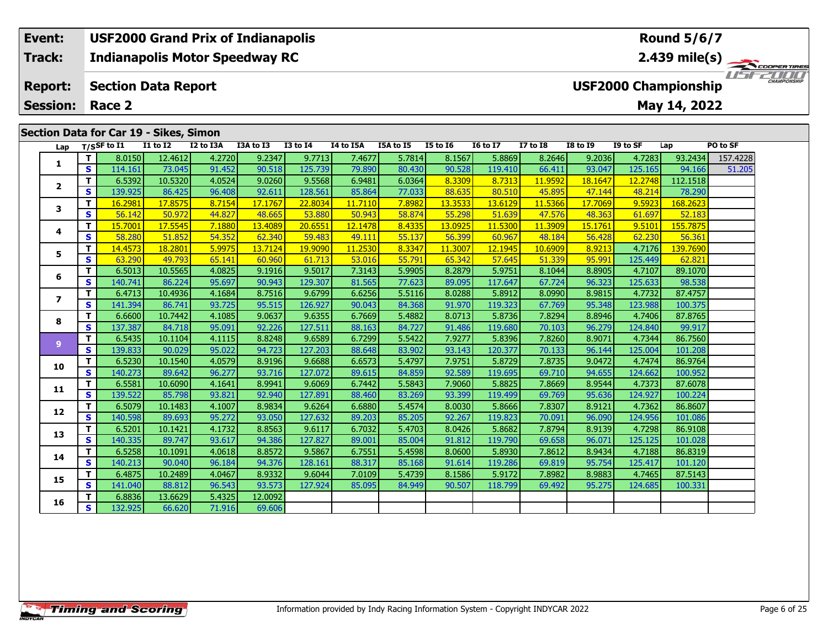#### **Event: USF2000 Grand Prix of Indianapolis Round 5/6/7Indianapolis Motor Speedway RC 2.439 mile(s) Track:**1151521111 **Report: Section Data Report USF2000 Championship May 14, 2022 Session: Race 2Section Data for Car 19 - Sikes, Simon Lap T/SSF to I1 I1 to I2 I2 to I3A I3A to I3 I3 to I4 I4 to I5A I5A to I5 I5 to I6 I6 to I7 I7 to I8 I8 to I9 I9 to SF Lap PO to SF <sup>T</sup>** 8.0150 12.4612 4.2720 9.2347 9.7713 7.4677 5.7814 8.1567 5.8869 8.2646 9.2036 4.7283 93.2434 157.4228 **<sup>S</sup>** 114.161 73.045 91.452 90.518 125.739 79.890 80.430 90.528 119.410 66.411 93.047 125.165 94.166 51.205**1**

**<sup>T</sup>** 6.5392 10.5320 4.0524 9.0260 9.5568 6.9481 6.0364 8.3309 8.7313 11.9592 18.1647 12.2748 112.1518 **<sup>S</sup>** 139.925 86.425 96.408 92.611 128.561 85.864 77.033 88.635 80.510 45.895 47.144 48.214 78.290

**<sup>T</sup>** 16.2981 17.8575 8.7154 17.1767 22.8034 11.7110 7.8982 13.3533 13.6129 11.5366 17.7069 9.5923 168.2623 **<sup>S</sup>** 56.142 50.972 44.827 48.665 53.880 50.943 58.874 55.298 51.639 47.576 48.363 61.697 52.183

**<sup>T</sup>** 15.7001 17.5545 7.1880 13.4089 20.6551 12.1478 8.4335 13.0925 11.5300 11.3909 15.1761 9.5101 155.7875 **<sup>S</sup>** 58.280 51.852 54.352 62.340 59.483 49.111 55.137 56.399 60.967 48.184 56.428 62.230 56.361

**<sup>T</sup>** 14.4573 18.2801 5.9975 13.7124 19.9090 11.2530 8.3347 11.3007 12.1945 10.6909 8.9213 4.7176 139.7690 **<sup>S</sup>** 63.290 49.793 65.141 60.960 61.713 53.016 55.791 65.342 57.645 51.339 95.991 125.449 62.821

**<sup>T</sup>** 6.5013 10.5565 4.0825 9.1916 9.5017 7.3143 5.9905 8.2879 5.9751 8.1044 8.8905 4.7107 89.1070 **<sup>S</sup>** 140.741 86.224 95.697 90.943 129.307 81.565 77.623 89.095 117.647 67.724 96.323 125.633 98.538

**<sup>T</sup>** 6.4713 10.4936 4.1684 8.7516 9.6799 6.6256 5.5116 8.0288 5.8912 8.0990 8.9815 4.7732 87.4757 **<sup>S</sup>** 141.394 86.741 93.725 95.515 126.927 90.043 84.368 91.970 119.323 67.769 95.348 123.988 100.375

**<sup>T</sup>** 6.6600 10.7442 4.1085 9.0637 9.6355 6.7669 5.4882 8.0713 5.8736 7.8294 8.8946 4.7406 87.8765 **<sup>S</sup>** 137.387 84.718 95.091 92.226 127.511 88.163 84.727 91.486 119.680 70.103 96.279 124.840 99.917

**<sup>T</sup>** 6.5435 10.1104 4.1115 8.8248 9.6589 6.7299 5.5422 7.9277 5.8396 7.8260 8.9071 4.7344 86.7560 **<sup>S</sup>** 139.833 90.029 95.022 94.723 127.203 88.648 83.902 93.143 120.377 70.133 96.144 125.004 101.208

**<sup>T</sup>** 6.5230 10.1540 4.0579 8.9196 9.6688 6.6573 5.4797 7.9751 5.8729 7.8735 9.0472 4.7474 86.9764 **<sup>S</sup>** 140.273 89.642 96.277 93.716 127.072 89.615 84.859 92.589 119.695 69.710 94.655 124.662 100.952

**<sup>T</sup>** 6.5581 10.6090 4.1641 8.9941 9.6069 6.7442 5.5843 7.9060 5.8825 7.8669 8.9544 4.7373 87.6078 **<sup>S</sup>** 139.522 85.798 93.821 92.940 127.891 88.460 83.269 93.399 119.499 69.769 95.636 124.927 100.224

**<sup>T</sup>** 6.5079 10.1483 4.1007 8.9834 9.6264 6.6880 5.4574 8.0030 5.8666 7.8307 8.9121 4.7362 86.8607 **<sup>S</sup>** 140.598 89.693 95.272 93.050 127.632 89.203 85.205 92.267 119.823 70.091 96.090 124.956 101.086

**<sup>T</sup>** 6.5201 10.1421 4.1732 8.8563 9.6117 6.7032 5.4703 8.0426 5.8682 7.8794 8.9139 4.7298 86.9108 **<sup>S</sup>** 140.335 89.747 93.617 94.386 127.827 89.001 85.004 91.812 119.790 69.658 96.071 125.125 101.028

**<sup>T</sup>** 6.5258 10.1091 4.0618 8.8572 9.5867 6.7551 5.4598 8.0600 5.8930 7.8612 8.9434 4.7188 86.8319 **<sup>S</sup>** 140.213 90.040 96.184 94.376 128.161 88.317 85.168 91.614 119.286 69.819 95.754 125.417 101.120

**<sup>T</sup>** 6.4875 10.2489 4.0467 8.9332 9.6044 7.0109 5.4739 8.1586 5.9172 7.8982 8.9883 4.7465 87.5143 **<sup>S</sup>** 141.040 88.812 96.543 93.573 127.924 85.095 84.949 90.507 118.799 69.492 95.275 124.685 100.331

**<sup>T</sup>** 6.8836 13.6629 5.4325 12.0092 **<sup>S</sup>** 132.925 66.620 71.916 69.606

**2**

**3**

**4**

**5**

**6**

**7**

**8**

**9**

**10**

**11**

**12**

**13**

**14**

**15**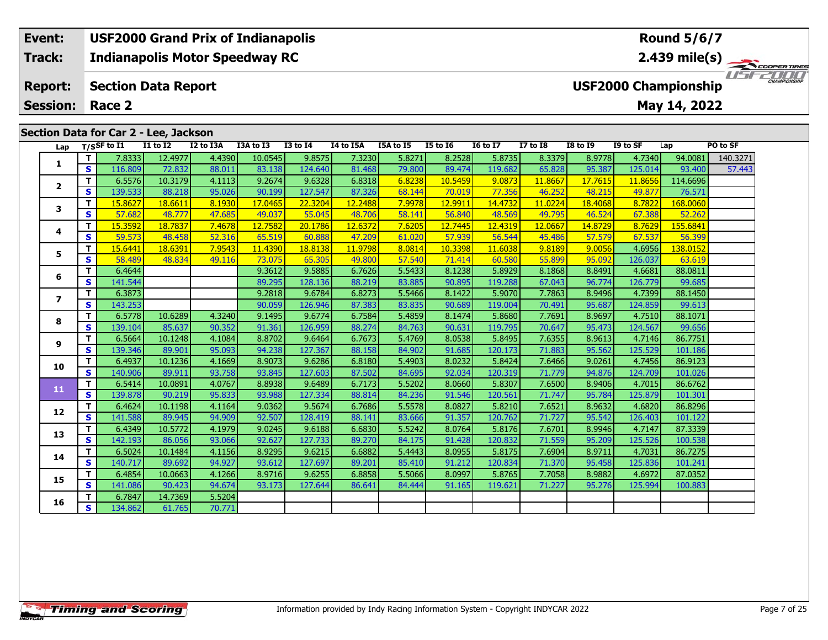# **Event: USF2000 Grand Prix of Indianapolis Round 5/6/7Track:Indianapolis Motor Speedway RC 2.439 mile(s)** WSFZOOD, **Section Data Report Report: USF2000 Championship May 14, 2022 Session: Race 2 Section Data for Car 2 - Lee, Jackson Lap T/SSF to I1 I1 to I2 I2 to I3A I3A to I3 I3 to I4 I4 to I5A I5A to I5 I5 to I6 I6 to I7 I7 to I8 I8 to I9 I9 to SF Lap PO to SF**

| Lap          |              | $1/5$ <sub>3</sub> r to 11 | 11 W 14 | 12 W 13A | נו טו אכו | +ב טו כב | 14 W 13A | 13A W 13 | <b>13 M TO</b> | 10 TO 17 | 17 to 10 | 10 IO 15 | 19 LU 31 | ∟aµ      | rv tu sr |
|--------------|--------------|----------------------------|---------|----------|-----------|----------|----------|----------|----------------|----------|----------|----------|----------|----------|----------|
|              | T.           | 7.8333                     | 12.4977 | 4.4390   | 10.0545   | 9.8575   | 7.3230   | 5.8271   | 8.2528         | 5.8735   | 8.3379   | 8.9778   | 4.7340   | 94.0081  | 140.3271 |
| 1            | S            | 116.809                    | 72.832  | 88.011   | 83.138    | 124.640  | 81.468   | 79.800   | 89.474         | 119.682  | 65.828   | 95.387   | 125.014  | 93.400   | 57.443   |
| $\mathbf{2}$ | T.           | 6.5576                     | 10.3179 | 4.1113   | 9.2674    | 9.6328   | 6.8318   | 6.8238   | 10.5459        | 9.0873   | 11.8667  | 17.7615  | 11.8656  | 114.6696 |          |
|              | $\mathbf{s}$ | 139.533                    | 88.218  | 95.026   | 90.199    | 127.547  | 87.326   | 68.144   | 70.019         | 77.356   | 46.252   | 48.215   | 49.877   | 76.571   |          |
| 3            | T.           | 15,8627                    | 18.6611 | 8.1930   | 17.0465   | 22.3204  | 12.2488  | 7.9978   | 12.9911        | 14.4732  | 11.0224  | 18.4068  | 8.7822   | 168.0060 |          |
|              | S            | 57.682                     | 48.777  | 47.685   | 49.037    | 55.045   | 48.706   | 58.141   | 56.840         | 48.569   | 49.795   | 46.524   | 67.388   | 52.262   |          |
| 4            | $\mathbf{T}$ | 15.3592                    | 18.7837 | 7.4678   | 12.7582   | 20.1786  | 12.6372  | 7.6205   | 12.7445        | 12.4319  | 12.0667  | 14.8729  | 8.7629   | 155.6841 |          |
|              | S            | 59.573                     | 48.458  | 52.316   | 65.519    | 60.888   | 47.209   | 61.020   | 57.939         | 56.544   | 45.486   | 57.579   | 67.537   | 56.399   |          |
| 5            | T.           | 15.6441                    | 18.6391 | 7.9543   | 11.4390   | 18.8138  | 11.9798  | 8.0814   | 10.3398        | 11.6038  | 9.8189   | 9.0056   | 4.6956   | 138.0152 |          |
|              | <b>S</b>     | 58.489                     | 48.834  | 49.116   | 73.075    | 65.305   | 49.800   | 57.540   | 71.414         | 60.580   | 55.899   | 95.092   | 126.037  | 63.619   |          |
| 6            | T.           | 6.4644                     |         |          | 9.3612    | 9.5885   | 6.7626   | 5.5433   | 8.1238         | 5.8929   | 8.1868   | 8.8491   | 4.6681   | 88.0811  |          |
|              | $\mathbf{s}$ | 141.544                    |         |          | 89.295    | 128.136  | 88.219   | 83.885   | 90.895         | 119.288  | 67.043   | 96.774   | 126.779  | 99.685   |          |
| 7            | T.           | 6.3873                     |         |          | 9.2818    | 9.6784   | 6.8273   | 5.5466   | 8.1422         | 5.9070   | 7.7863   | 8.9496   | 4.7399   | 88.1450  |          |
|              | S            | 143.253                    |         |          | 90.059    | 126.946  | 87.383   | 83.835   | 90.689         | 119.004  | 70.491   | 95.687   | 124.859  | 99.613   |          |
| 8            | $\mathbf{T}$ | 6.5778                     | 10.6289 | 4.3240   | 9.1495    | 9.6774   | 6.7584   | 5.4859   | 8.1474         | 5.8680   | 7.7691   | 8.9697   | 4.7510   | 88.1071  |          |
|              | S            | 139.104                    | 85.637  | 90.352   | 91.361    | 126.959  | 88.274   | 84.763   | 90.631         | 119.795  | 70.647   | 95.473   | 124.567  | 99.656   |          |
| 9            | T.           | 6.5664                     | 10.1248 | 4.1084   | 8.8702    | 9.6464   | 6.7673   | 5.4769   | 8.0538         | 5.8495   | 7.6355   | 8.9613   | 4.7146   | 86.7751  |          |
|              | <b>S</b>     | 139.346                    | 89.901  | 95.093   | 94.238    | 127.367  | 88.158   | 84.902   | 91.685         | 120.173  | 71.883   | 95.562   | 125.529  | 101.186  |          |
| 10           | $\mathbf{T}$ | 6.4937                     | 10.1236 | 4.1669   | 8.9073    | 9.6286   | 6.8180   | 5.4903   | 8.0232         | 5.8424   | 7.6466   | 9.0261   | 4.7456   | 86.9123  |          |
|              | <b>S</b>     | 140.906                    | 89.911  | 93.758   | 93.845    | 127.603  | 87.502   | 84.695   | 92.034         | 120.319  | 71.779   | 94.876   | 124.709  | 101.026  |          |
| 11           | $\mathbf{T}$ | 6.5414                     | 10.0891 | 4.0767   | 8.8938    | 9.6489   | 6.7173   | 5.5202   | 8.0660         | 5.8307   | 7.6500   | 8.9406   | 4.7015   | 86.6762  |          |
|              | S            | 139.878                    | 90.219  | 95.833   | 93.988    | 127.334  | 88.814   | 84.236   | 91.546         | 120.561  | 71.747   | 95.784   | 125.879  | 101.301  |          |
| 12           | $\mathbf{T}$ | 6.4624                     | 10.1198 | 4.1164   | 9.0362    | 9.5674   | 6.7686   | 5.5578   | 8.0827         | 5.8210   | 7.6521   | 8.9632   | 4.6820   | 86.8296  |          |
|              | S            | 141.588                    | 89.945  | 94.909   | 92.507    | 128.419  | 88.141   | 83.666   | 91.357         | 120.762  | 71.727   | 95.542   | 126.403  | 101.122  |          |
| 13           | T            | 6.4349                     | 10.5772 | 4.1979   | 9.0245    | 9.6188   | 6.6830   | 5.5242   | 8.0764         | 5.8176   | 7.6701   | 8.9946   | 4.7147   | 87.3339  |          |
|              | $\mathbf{s}$ | 142.193                    | 86.056  | 93.066   | 92.627    | 127.733  | 89.270   | 84.175   | 91.428         | 120.832  | 71.559   | 95.209   | 125.526  | 100.538  |          |
| 14           | T.           | 6.5024                     | 10.1484 | 4.1156   | 8.9295    | 9.6215   | 6.6882   | 5.4443   | 8.0955         | 5.8175   | 7.6904   | 8.9711   | 4.7031   | 86.7275  |          |
|              | <b>S</b>     | 140.717                    | 89.692  | 94.927   | 93.612    | 127.697  | 89.201   | 85.410   | 91.212         | 120.834  | 71.370   | 95.458   | 125.836  | 101.241  |          |
| 15           | T.           | 6.4854                     | 10.0663 | 4.1266   | 8.9716    | 9.6255   | 6.8858   | 5.5066   | 8.0997         | 5.8765   | 7.7058   | 8.9882   | 4.6972   | 87.0352  |          |
|              | S            | 141.086                    | 90.423  | 94.674   | 93.173    | 127.644  | 86.641   | 84.444   | 91.165         | 119.621  | 71.227   | 95.276   | 125.994  | 100.883  |          |
| 16           | T.<br>S      | 6.7847                     | 14.7369 | 5.5204   |           |          |          |          |                |          |          |          |          |          |          |
|              |              | 134.862                    | 61.765  | 70.771   |           |          |          |          |                |          |          |          |          |          |          |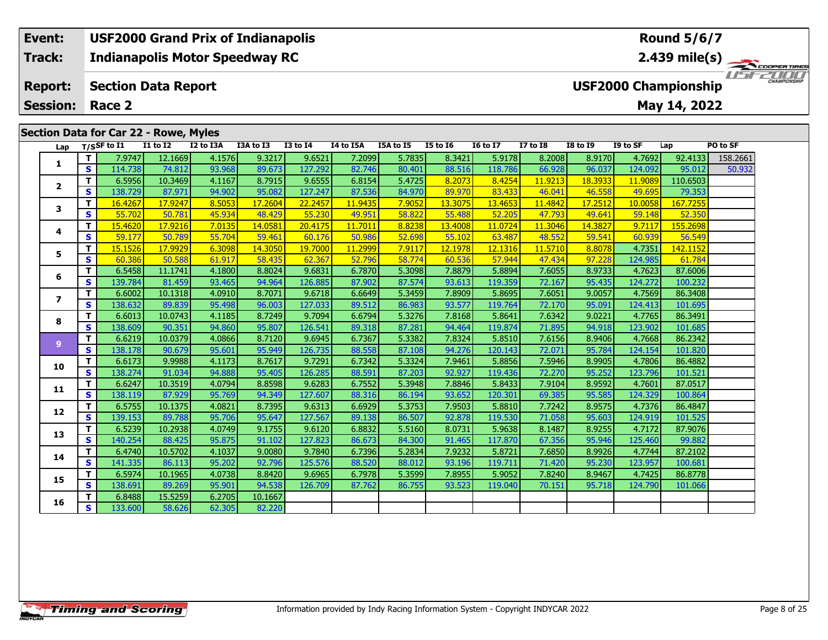#### **Event: USF2000 Grand Prix of Indianapolis Round 5/6/7Indianapolis Motor Speedway RC 2.439 mile(s) Track:**1151521111 **Report: Section Data Report USF2000 Championship May 14, 2022 Session: Race 2Section Data for Car 22 - Rowe, Myles Lap T/SSF to I1 I1 to I2 I2 to I3A I3A to I3 I3 to I4 I4 to I5A I5A to I5 I5 to I6 I6 to I7 I7 to I8 I8 to I9 I9 to SF Lap PO to SF <sup>T</sup>** 7.9747 12.1669 4.1576 9.3217 9.6521 7.2099 5.7835 8.3421 5.9178 8.2008 8.9170 4.7692 92.4133 158.2661 **<sup>S</sup>** 114.738 74.812 93.968 89.673 127.292 82.746 80.401 88.516 118.786 66.928 96.037 124.092 95.012 50.932**1**

**<sup>T</sup>** 6.5956 10.3469 4.1167 8.7915 9.6555 6.8154 5.4725 8.2073 8.4254 11.9213 18.3933 11.9089 110.6503 **<sup>S</sup>** 138.729 87.971 94.902 95.082 127.247 87.536 84.970 89.970 83.433 46.041 46.558 49.695 79.353

**<sup>T</sup>** 16.4267 17.9247 8.5053 17.2604 22.2457 11.9435 7.9052 13.3075 13.4653 11.4842 17.2512 10.0058 167.7255 **<sup>S</sup>** 55.702 50.781 45.934 48.429 55.230 49.951 58.822 55.488 52.205 47.793 49.641 59.148 52.350

**<sup>T</sup>** 15.4620 17.9216 7.0135 14.0581 20.4175 11.7011 8.8238 13.4008 11.0724 11.3046 14.3827 9.7117 155.2698 **<sup>S</sup>** 59.177 50.789 55.704 59.461 60.176 50.986 52.698 55.102 63.487 48.552 59.541 60.939 56.549

**<sup>T</sup>** 15.1526 17.9929 6.3098 14.3050 19.7000 11.2999 7.9117 12.1978 12.1316 11.5710 8.8078 4.7351 142.1152 **<sup>S</sup>** 60.386 50.588 61.917 58.435 62.367 52.796 58.774 60.536 57.944 47.434 97.228 124.985 61.784

**<sup>T</sup>** 6.5458 11.1741 4.1800 8.8024 9.6831 6.7870 5.3098 7.8879 5.8894 7.6055 8.9733 4.7623 87.6006 **<sup>S</sup>** 139.784 81.459 93.465 94.964 126.885 87.902 87.574 93.613 119.359 72.167 95.435 124.272 100.232

**<sup>T</sup>** 6.6002 10.1318 4.0910 8.7071 9.6718 6.6649 5.3459 7.8909 5.8695 7.6051 9.0057 4.7569 86.3408 **<sup>S</sup>** 138.632 89.839 95.498 96.003 127.033 89.512 86.983 93.577 119.764 72.170 95.091 124.413 101.695

**<sup>T</sup>** 6.6013 10.0743 4.1185 8.7249 9.7094 6.6794 5.3276 7.8168 5.8641 7.6342 9.0221 4.7765 86.3491 **<sup>S</sup>** 138.609 90.351 94.860 95.807 126.541 89.318 87.281 94.464 119.874 71.895 94.918 123.902 101.685

**<sup>T</sup>** 6.6219 10.0379 4.0866 8.7120 9.6945 6.7367 5.3382 7.8324 5.8510 7.6156 8.9406 4.7668 86.2342 **<sup>S</sup>** 138.178 90.679 95.601 95.949 126.735 88.558 87.108 94.276 120.143 72.071 95.784 124.154 101.820

**<sup>T</sup>** 6.6173 9.9988 4.1173 8.7617 9.7291 6.7342 5.3324 7.9461 5.8856 7.5946 8.9905 4.7806 86.4882 **<sup>S</sup>** 138.274 91.034 94.888 95.405 126.285 88.591 87.203 92.927 119.436 72.270 95.252 123.796 101.521

**<sup>T</sup>** 6.6247 10.3519 4.0794 8.8598 9.6283 6.7552 5.3948 7.8846 5.8433 7.9104 8.9592 4.7601 87.0517 **<sup>S</sup>** 138.119 87.929 95.769 94.349 127.607 88.316 86.194 93.652 120.301 69.385 95.585 124.329 100.864

**<sup>T</sup>** 6.5755 10.1375 4.0821 8.7395 9.6313 6.6929 5.3753 7.9503 5.8810 7.7242 8.9575 4.7376 86.4847 **<sup>S</sup>** 139.153 89.788 95.706 95.647 127.567 89.138 86.507 92.878 119.530 71.058 95.603 124.919 101.525

**<sup>T</sup>** 6.5239 10.2938 4.0749 9.1755 9.6120 6.8832 5.5160 8.0731 5.9638 8.1487 8.9255 4.7172 87.9076 **<sup>S</sup>** 140.254 88.425 95.875 91.102 127.823 86.673 84.300 91.465 117.870 67.356 95.946 125.460 99.882

**<sup>T</sup>** 6.4740 10.5702 4.1037 9.0080 9.7840 6.7396 5.2834 7.9232 5.8721 7.6850 8.9926 4.7744 87.2102 **<sup>S</sup>** 141.335 86.113 95.202 92.796 125.576 88.520 88.012 93.196 119.711 71.420 95.230 123.957 100.681

**<sup>T</sup>** 6.5974 10.1965 4.0738 8.8420 9.6965 6.7978 5.3599 7.8955 5.9052 7.8240 8.9467 4.7425 86.8778 **<sup>S</sup>** 138.691 89.269 95.901 94.538 126.709 87.762 86.755 93.523 119.040 70.151 95.718 124.790 101.066

**<sup>T</sup>** 6.8488 15.5259 6.2705 10.1667 **<sup>S</sup>** 133.600 58.626 62.305 82.220

**2**

**3**

**4**

**5**

**6**

**7**

**8**

**9**

**10**

**11**

**12**

**13**

**14**

**15**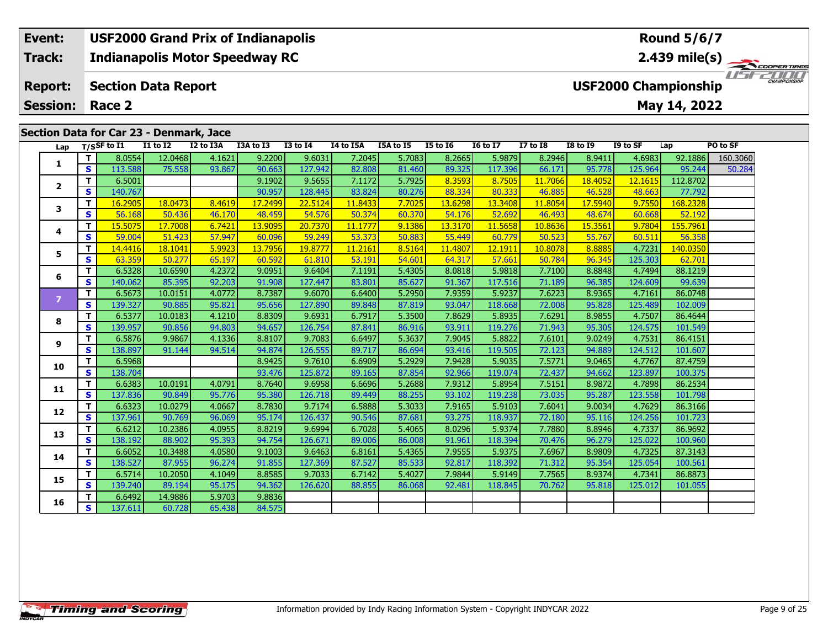### **Event: USF2000 Grand Prix of Indianapolis Round 5/6/7Indianapolis Motor Speedway RC 2.439 mile(s) Track:** THE COOPERTIRES **Section Data Report Report: USF2000 Championship May 14, 2022 Session: Race 2 Section Data for Car 23 - Denmark, Jace Lap T/SSF to I1 I1 to I2 I2 to I3A I3A to I3 I3 to I4 I4 to I5A I5A to I5 I5 to I6 I6 to I7 I7 to I8 I8 to I9 I9 to SF Lap PO to SF**

| Lap            |                         | T/SSF to I1 | <b>I1 to I2</b> | I2 to I3A | I3A to I3 | <b>I3 to I4</b> | I4 to I5A | I5A to I5 | $15$ to $16$ | I6 to $\overline{17}$ | <b>I7 to I8</b> | <b>I8 to I9</b> | I9 to SF | Lap      | PO to SF |
|----------------|-------------------------|-------------|-----------------|-----------|-----------|-----------------|-----------|-----------|--------------|-----------------------|-----------------|-----------------|----------|----------|----------|
| 1              | T.                      | 8.0554      | 12.0468         | 4.1621    | 9.2200    | 9.6031          | 7.2045    | 5.7083    | 8.2665       | 5.9879                | 8.2946          | 8.9411          | 4.6983   | 92.1886  | 160.3060 |
|                | S                       | 113.588     | 75.558          | 93.867    | 90.663    | 127.942         | 82.808    | 81.460    | 89.325       | 117.396               | 66.171          | 95.778          | 125.964  | 95.244   | 50.284   |
|                | T                       | 6.5001      |                 |           | 9.1902    | 9.5655          | 7.1172    | 5.7925    | 8.3593       | 8.7505                | 11.7066         | 18.4052         | 12.1615  | 112.8702 |          |
| $\mathbf{2}$   | S                       | 140.767     |                 |           | 90.957    | 128.445         | 83.824    | 80.276    | 88.334       | 80.333                | 46.885          | 46.528          | 48.663   | 77.792   |          |
| 3              | T                       | 16.2905     | 18.0473         | 8.4619    | 17.2499   | 22.5124         | 11.8433   | 7.7025    | 13.6298      | 13.3408               | 11.8054         | 17.5940         | 9.7550   | 168.2328 |          |
|                | $\overline{\mathbf{s}}$ | 56.168      | 50.436          | 46.170    | 48.459    | 54.576          | 50.374    | 60.370    | 54.176       | 52.692                | 46.493          | 48.674          | 60.668   | 52.192   |          |
|                | T                       | 15.5075     | 17.7008         | 6.7421    | 13.9095   | 20.7370         | 11.1777   | 9.1386    | 13.3170      | 11.5658               | 10.8636         | 15.3561         | 9.7804   | 155.7961 |          |
| 4              | $\mathbf{s}$            | 59.004      | 51.423          | 57.947    | 60.096    | 59.249          | 53.373    | 50.883    | 55.449       | 60.779                | 50.523          | 55.767          | 60.511   | 56.358   |          |
| 5              | T                       | 14.4416     | 18.1041         | 5.9923    | 13.7956   | 19.8777         | 11.2161   | 8.5164    | 11.4807      | 12.1911               | 10.8078         | 8.8885          | 4.7231   | 140.0350 |          |
|                | $\overline{\mathbf{s}}$ | 63.359      | 50.277          | 65.197    | 60.592    | 61.810          | 53.191    | 54.601    | 64.317       | 57.661                | 50.784          | 96.345          | 125.303  | 62.701   |          |
| 6              | T                       | 6.5328      | 10.6590         | 4.2372    | 9.0951    | 9.6404          | 7.1191    | 5.4305    | 8.0818       | 5.9818                | 7.7100          | 8.8848          | 4.7494   | 88.1219  |          |
|                | S                       | 140.062     | 85.395          | 92.203    | 91.908    | 127.447         | 83.801    | 85.627    | 91.367       | 117.516               | 71.189          | 96.385          | 124.609  | 99.639   |          |
| $\overline{7}$ | T                       | 6.5673      | 10.0151         | 4.0772    | 8.7387    | 9.6070          | 6.6400    | 5.2950    | 7.9359       | 5.9237                | 7.6223          | 8.9365          | 4.7161   | 86.0748  |          |
|                | <b>S</b>                | 139.327     | 90.885          | 95.821    | 95.656    | 127.890         | 89.848    | 87.819    | 93.047       | 118.668               | 72.008          | 95.828          | 125.489  | 102.009  |          |
| 8              | $\mathbf{T}$            | 6.5377      | 10.0183         | 4.1210    | 8.8309    | 9.6931          | 6.7917    | 5.3500    | 7.8629       | 5.8935                | 7.6291          | 8.9855          | 4.7507   | 86.4644  |          |
|                | $\overline{\mathbf{s}}$ | 139.957     | 90.856          | 94.803    | 94.657    | 126.754         | 87.841    | 86.916    | 93.911       | 119.276               | 71.943          | 95.305          | 124.575  | 101.549  |          |
| 9              | T                       | 6.5876      | 9.9867          | 4.1336    | 8.8107    | 9.7083          | 6.6497    | 5.3637    | 7.9045       | 5.8822                | 7.6101          | 9.0249          | 4.7531   | 86.4151  |          |
|                | $\mathbf{s}$            | 138.897     | 91.144          | 94.514    | 94.874    | 126.555         | 89.717    | 86.694    | 93.416       | 119.505               | 72.123          | 94.889          | 124.512  | 101.607  |          |
| 10             | T                       | 6.5968      |                 |           | 8.9425    | 9.7610          | 6.6909    | 5.2929    | 7.9428       | 5.9035                | 7.5771          | 9.0465          | 4.7767   | 87.4759  |          |
|                | $\overline{\mathbf{s}}$ | 138.704     |                 |           | 93.476    | 125.872         | 89.165    | 87.854    | 92.966       | 119.074               | 72.437          | 94.662          | 123.897  | 100.375  |          |
| 11             | T.                      | 6.6383      | 10.0191         | 4.0791    | 8.7640    | 9.6958          | 6.6696    | 5.2688    | 7.9312       | 5.8954                | 7.5151          | 8.9872          | 4.7898   | 86.2534  |          |
|                | $\overline{\mathbf{s}}$ | 137.836     | 90.849          | 95.776    | 95.380    | 126.718         | 89.449    | 88.255    | 93.102       | 119.238               | 73.035          | 95.287          | 123.558  | 101.798  |          |
| 12             | T                       | 6.6323      | 10.0279         | 4.0667    | 8.7830    | 9.7174          | 6.5888    | 5.3033    | 7.9165       | 5.9103                | 7.6041          | 9.0034          | 4.7629   | 86.3166  |          |
|                | S                       | 137.961     | 90.769          | 96.069    | 95.174    | 126.437         | 90.546    | 87.681    | 93.275       | 118.937               | 72.180          | 95.116          | 124.256  | 101.723  |          |
| 13             | T                       | 6.6212      | 10.2386         | 4.0955    | 8.8219    | 9.6994          | 6.7028    | 5.4065    | 8.0296       | 5.9374                | 7.7880          | 8.8946          | 4.7337   | 86.9692  |          |
|                | $\overline{\mathbf{s}}$ | 138.192     | 88.902          | 95.393    | 94.754    | 126.671         | 89.006    | 86.008    | 91.961       | 118.394               | 70.476          | 96.279          | 125.022  | 100.960  |          |
| 14             | T                       | 6.6052      | 10.3488         | 4.0580    | 9.1003    | 9.6463          | 6.8161    | 5.4365    | 7.9555       | 5.9375                | 7.6967          | 8.9809          | 4.7325   | 87.3143  |          |
|                | S                       | 138.527     | 87.955          | 96.274    | 91.855    | 127.369         | 87.527    | 85.533    | 92.817       | 118.392               | 71.312          | 95.354          | 125.054  | 100.561  |          |
| 15             | T.                      | 6.5714      | 10.2050         | 4.1049    | 8.8585    | 9.7033          | 6.7142    | 5.4027    | 7.9844       | 5.9149                | 7.7565          | 8.9374          | 4.7341   | 86.8873  |          |
|                | $\overline{\mathbf{s}}$ | 139.240     | 89.194          | 95.175    | 94.362    | 126.620         | 88.855    | 86.068    | 92.481       | 118.845               | 70.762          | 95.818          | 125.012  | 101.055  |          |
| 16             | $\mathbf{T}$            | 6.6492      | 14.9886         | 5.9703    | 9.8836    |                 |           |           |              |                       |                 |                 |          |          |          |
|                | S                       | 137.611     | 60.728          | 65.438    | 84.575    |                 |           |           |              |                       |                 |                 |          |          |          |

**Timing and Scoring**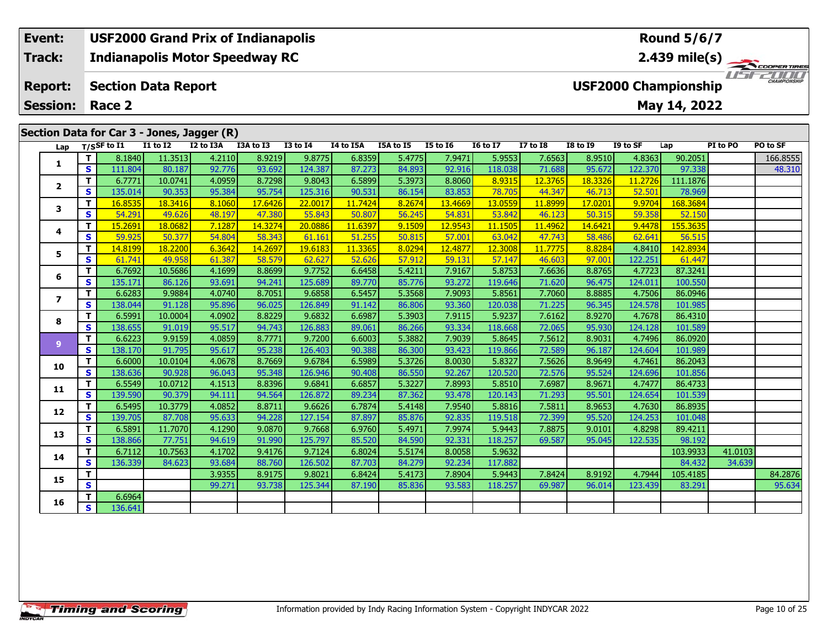#### **Event: USF2000 Grand Prix of Indianapolis Round 5/6/7Indianapolis Motor Speedway RC 2.439 mile(s) Track:**1151521111 **Report: Section Data Report USF2000 Championship May 14, 2022 Session: Race 2Section Data for Car 3 - Jones, Jagger (R) Lap T/SSF to I1 I1 to I2 I2 to I3A I3A to I3 I3 to I4 I4 to I5A I5A to I5 I5 to I6 I6 to I7 I7 to I8 I8 to I9 I9 to SF Lap PI to PO PO to SF <sup>T</sup>** 8.1840 11.3513 4.2110 8.9219 9.8775 6.8359 5.4775 7.9471 5.9553 7.6563 8.9510 4.8363 90.2051 166.8555 **<sup>S</sup>** 111.804 80.187 92.776 93.692 124.387 87.273 84.893 92.916 118.038 71.688 95.672 122.370 97.338 48.310**1**

**<sup>T</sup>** 6.7771 10.0741 4.0959 8.7298 9.8043 6.5899 5.3973 8.8060 8.9315 12.3765 18.3326 11.2726 111.1876 **<sup>S</sup>** 135.014 90.353 95.384 95.754 125.316 90.531 86.154 83.853 78.705 44.347 46.713 52.501 78.969

**<sup>T</sup>** 16.8535 18.3416 8.1060 17.6426 22.0017 11.7424 8.2674 13.4669 13.0559 11.8999 17.0201 9.9704 168.3684 **<sup>S</sup>** 54.291 49.626 48.197 47.380 55.843 50.807 56.245 54.831 53.842 46.123 50.315 59.358 52.150

**<sup>T</sup>** 15.2691 18.0682 7.1287 14.3274 20.0886 11.6397 9.1509 12.9543 11.1505 11.4962 14.6421 9.4478 155.3635 **<sup>S</sup>** 59.925 50.377 54.804 58.343 61.161 51.255 50.815 57.001 63.042 47.743 58.486 62.641 56.515

**<sup>T</sup>** 14.8199 18.2200 6.3642 14.2697 19.6183 11.3365 8.0294 12.4877 12.3008 11.7775 8.8284 4.8410 142.8934 **<sup>S</sup>** 61.741 49.958 61.387 58.579 62.627 52.626 57.912 59.131 57.147 46.603 97.001 122.251 61.447

**<sup>T</sup>** 6.7692 10.5686 4.1699 8.8699 9.7752 6.6458 5.4211 7.9167 5.8753 7.6636 8.8765 4.7723 87.3241 **<sup>S</sup>** 135.171 86.126 93.691 94.241 125.689 89.770 85.776 93.272 119.646 71.620 96.475 124.011 100.550

**<sup>T</sup>** 6.6283 9.9884 4.0740 8.7051 9.6858 6.5457 5.3568 7.9093 5.8561 7.7060 8.8885 4.7506 86.0946 **<sup>S</sup>** 138.044 91.128 95.896 96.025 126.849 91.142 86.806 93.360 120.038 71.225 96.345 124.578 101.985

**<sup>T</sup>** 6.5991 10.0004 4.0902 8.8229 9.6832 6.6987 5.3903 7.9115 5.9237 7.6162 8.9270 4.7678 86.4310 **<sup>S</sup>** 138.655 91.019 95.517 94.743 126.883 89.061 86.266 93.334 118.668 72.065 95.930 124.128 101.589

**<sup>T</sup>** 6.6223 9.9159 4.0859 8.7771 9.7200 6.6003 5.3882 7.9039 5.8645 7.5612 8.9031 4.7496 86.0920 **<sup>S</sup>** 138.170 91.795 95.617 95.238 126.403 90.388 86.300 93.423 119.866 72.589 96.187 124.604 101.989

**<sup>T</sup>** 6.6000 10.0104 4.0678 8.7669 9.6784 6.5989 5.3726 8.0030 5.8327 7.5626 8.9649 4.7461 86.2043 **<sup>S</sup>** 138.636 90.928 96.043 95.348 126.946 90.408 86.550 92.267 120.520 72.576 95.524 124.696 101.856

**<sup>T</sup>** 6.5549 10.0712 4.1513 8.8396 9.6841 6.6857 5.3227 7.8993 5.8510 7.6987 8.9671 4.7477 86.4733 **<sup>S</sup>** 139.590 90.379 94.111 94.564 126.872 89.234 87.362 93.478 120.143 71.293 95.501 124.654 101.539

**<sup>T</sup>** 6.5495 10.3779 4.0852 8.8711 9.6626 6.7874 5.4148 7.9540 5.8816 7.5811 8.9653 4.7630 86.8935 **<sup>S</sup>** 139.705 87.708 95.633 94.228 127.154 87.897 85.876 92.835 119.518 72.399 95.520 124.253 101.048

**<sup>T</sup>** 6.5891 11.7070 4.1290 9.0870 9.7668 6.9760 5.4971 7.9974 5.9443 7.8875 9.0101 4.8298 89.4211 **<sup>S</sup>** 138.866 77.751 94.619 91.990 125.797 85.520 84.590 92.331 118.257 69.587 95.045 122.535 98.192

**<sup>T</sup>** 6.7112 10.7563 4.1702 9.4176 9.7124 6.8024 5.5174 8.0058 5.9632 103.9933 41.0103 **<sup>S</sup>** 136.339 84.623 93.684 88.760 126.502 87.703 84.279 92.234 117.882 84.432 34.639

**T | | | 3.9355| 8.9175| 9.8021| 6.8424| 5.4173| 7.8904| 5.9443| 7.8424| 8.9192| 4.7944| 105.4185| | 84.2876<br>| S | | | 99.271 93.738 125.344 87.190 85.836 93.583 118.257 69.987 96.014 123.439 83.291** 

**<sup>T</sup>** 6.6964 **<sup>S</sup>** 136.641

**2**

**3**

**4**

**5**

**6**

**7**

**8**

**9**

**10**

**11**

**12**

**13**

**14**

**15**

**16**

78.969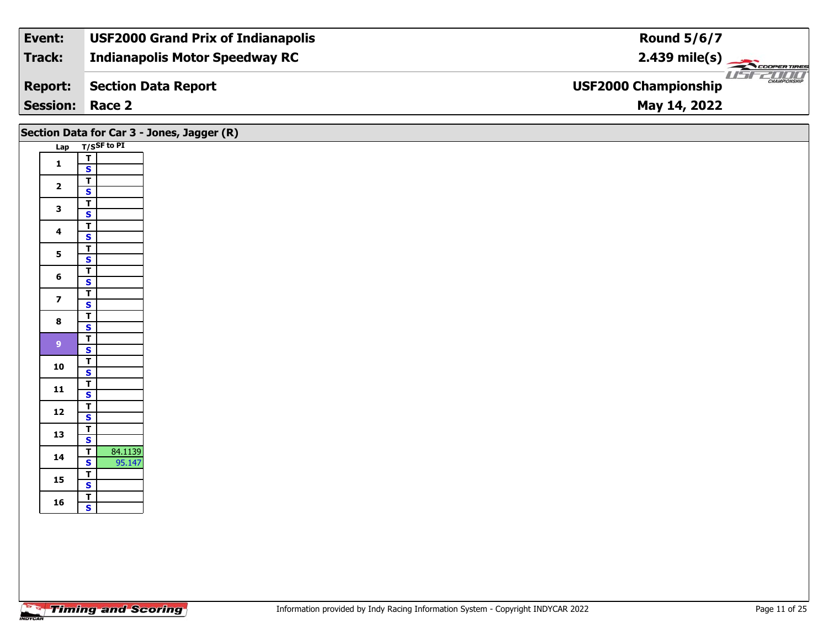| Event:                 | <b>USF2000 Grand Prix of Indianapolis</b> | <b>Round 5/6/7</b>                                 |
|------------------------|-------------------------------------------|----------------------------------------------------|
| Track:                 | <b>Indianapolis Motor Speedway RC</b>     | $2.439 \text{ mile(s)}$                            |
| <b>Report:</b>         | <b>Section Data Report</b>                | <b>CHAMPIONSHIP</b><br><b>USF2000 Championship</b> |
| <b>Session: Race 2</b> |                                           | May 14, 2022                                       |

| Lap T/SSF to PI<br>$\overline{1}$<br>$\mathbf{1}$<br>$\mathbf{s}$<br>$\overline{\mathsf{r}}$<br>$\overline{\mathbf{2}}$<br>$\mathbf{s}$<br>$\overline{\mathsf{T}}$<br>$\mathbf{3}$<br>$\overline{\mathbf{s}}$<br>$\overline{\mathsf{r}}$<br>$\overline{\mathbf{4}}$<br>$\mathsf{s}$<br>$rac{1}{s}$<br>$5\phantom{a}$<br>$\overline{I}$<br>$6\phantom{1}$<br>$\mathsf{s}$<br>$\overline{\mathbf{r}}$<br>$\overline{\mathbf{z}}$<br>$\overline{\mathbf{s}}$<br>$\overline{\mathsf{T}}$<br>$\bf{8}$<br>$\overline{\mathbf{s}}$<br>$\overline{\mathsf{T}}$<br>9 <sup>°</sup><br>$\mathsf{s}$<br>$\frac{1}{s}$<br>10<br>$\overline{1}$<br>11<br>$\mathbf{s}$<br>$\overline{1}$<br>$12$<br>$\overline{\mathbf{s}}$<br>$\mathbf{T}$<br>13<br>$\overline{\mathbf{s}}$<br>84.1139<br>$\overline{t}$<br>14<br>$\mathsf{s}$<br>95.147<br>$\overline{I}$<br>15<br>$\overline{\mathbf{s}}$<br>$rac{1}{s}$<br>16 | Section Data for Car 3 - Jones, Jagger (R) |
|----------------------------------------------------------------------------------------------------------------------------------------------------------------------------------------------------------------------------------------------------------------------------------------------------------------------------------------------------------------------------------------------------------------------------------------------------------------------------------------------------------------------------------------------------------------------------------------------------------------------------------------------------------------------------------------------------------------------------------------------------------------------------------------------------------------------------------------------------------------------------------------------------|--------------------------------------------|
|                                                                                                                                                                                                                                                                                                                                                                                                                                                                                                                                                                                                                                                                                                                                                                                                                                                                                                    |                                            |
|                                                                                                                                                                                                                                                                                                                                                                                                                                                                                                                                                                                                                                                                                                                                                                                                                                                                                                    |                                            |
|                                                                                                                                                                                                                                                                                                                                                                                                                                                                                                                                                                                                                                                                                                                                                                                                                                                                                                    |                                            |
|                                                                                                                                                                                                                                                                                                                                                                                                                                                                                                                                                                                                                                                                                                                                                                                                                                                                                                    |                                            |
|                                                                                                                                                                                                                                                                                                                                                                                                                                                                                                                                                                                                                                                                                                                                                                                                                                                                                                    |                                            |
|                                                                                                                                                                                                                                                                                                                                                                                                                                                                                                                                                                                                                                                                                                                                                                                                                                                                                                    |                                            |
|                                                                                                                                                                                                                                                                                                                                                                                                                                                                                                                                                                                                                                                                                                                                                                                                                                                                                                    |                                            |
|                                                                                                                                                                                                                                                                                                                                                                                                                                                                                                                                                                                                                                                                                                                                                                                                                                                                                                    |                                            |
|                                                                                                                                                                                                                                                                                                                                                                                                                                                                                                                                                                                                                                                                                                                                                                                                                                                                                                    |                                            |
|                                                                                                                                                                                                                                                                                                                                                                                                                                                                                                                                                                                                                                                                                                                                                                                                                                                                                                    |                                            |
|                                                                                                                                                                                                                                                                                                                                                                                                                                                                                                                                                                                                                                                                                                                                                                                                                                                                                                    |                                            |
|                                                                                                                                                                                                                                                                                                                                                                                                                                                                                                                                                                                                                                                                                                                                                                                                                                                                                                    |                                            |
|                                                                                                                                                                                                                                                                                                                                                                                                                                                                                                                                                                                                                                                                                                                                                                                                                                                                                                    |                                            |
|                                                                                                                                                                                                                                                                                                                                                                                                                                                                                                                                                                                                                                                                                                                                                                                                                                                                                                    |                                            |
|                                                                                                                                                                                                                                                                                                                                                                                                                                                                                                                                                                                                                                                                                                                                                                                                                                                                                                    |                                            |
|                                                                                                                                                                                                                                                                                                                                                                                                                                                                                                                                                                                                                                                                                                                                                                                                                                                                                                    |                                            |
|                                                                                                                                                                                                                                                                                                                                                                                                                                                                                                                                                                                                                                                                                                                                                                                                                                                                                                    |                                            |
|                                                                                                                                                                                                                                                                                                                                                                                                                                                                                                                                                                                                                                                                                                                                                                                                                                                                                                    |                                            |
|                                                                                                                                                                                                                                                                                                                                                                                                                                                                                                                                                                                                                                                                                                                                                                                                                                                                                                    |                                            |
|                                                                                                                                                                                                                                                                                                                                                                                                                                                                                                                                                                                                                                                                                                                                                                                                                                                                                                    |                                            |
|                                                                                                                                                                                                                                                                                                                                                                                                                                                                                                                                                                                                                                                                                                                                                                                                                                                                                                    |                                            |
|                                                                                                                                                                                                                                                                                                                                                                                                                                                                                                                                                                                                                                                                                                                                                                                                                                                                                                    |                                            |
|                                                                                                                                                                                                                                                                                                                                                                                                                                                                                                                                                                                                                                                                                                                                                                                                                                                                                                    |                                            |
|                                                                                                                                                                                                                                                                                                                                                                                                                                                                                                                                                                                                                                                                                                                                                                                                                                                                                                    |                                            |
|                                                                                                                                                                                                                                                                                                                                                                                                                                                                                                                                                                                                                                                                                                                                                                                                                                                                                                    |                                            |
|                                                                                                                                                                                                                                                                                                                                                                                                                                                                                                                                                                                                                                                                                                                                                                                                                                                                                                    |                                            |
|                                                                                                                                                                                                                                                                                                                                                                                                                                                                                                                                                                                                                                                                                                                                                                                                                                                                                                    |                                            |
|                                                                                                                                                                                                                                                                                                                                                                                                                                                                                                                                                                                                                                                                                                                                                                                                                                                                                                    |                                            |
|                                                                                                                                                                                                                                                                                                                                                                                                                                                                                                                                                                                                                                                                                                                                                                                                                                                                                                    |                                            |
|                                                                                                                                                                                                                                                                                                                                                                                                                                                                                                                                                                                                                                                                                                                                                                                                                                                                                                    |                                            |
|                                                                                                                                                                                                                                                                                                                                                                                                                                                                                                                                                                                                                                                                                                                                                                                                                                                                                                    |                                            |
|                                                                                                                                                                                                                                                                                                                                                                                                                                                                                                                                                                                                                                                                                                                                                                                                                                                                                                    |                                            |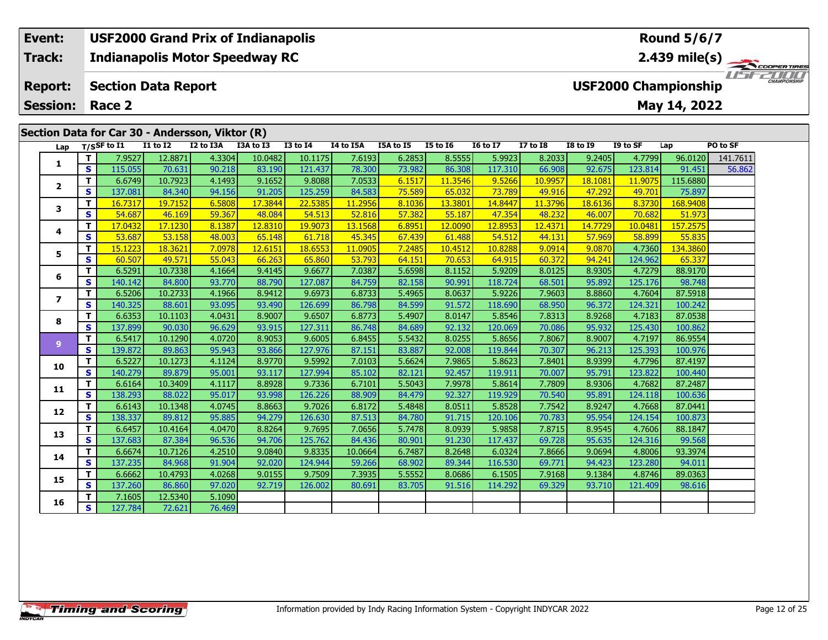#### **Event: USF2000 Grand Prix of Indianapolis Round 5/6/7Indianapolis Motor Speedway RC 2.439 mile(s) Track:** USFZUUD **Report: Section Data Report USF2000 Championship May 14, 2022 Session: Race 2**

|                |              |                                |                 | Section Data for Car 30 - Andersson, Viktor (R) |           |                 |                  |           |                 |                 |                 |                 |          |          |          |
|----------------|--------------|--------------------------------|-----------------|-------------------------------------------------|-----------|-----------------|------------------|-----------|-----------------|-----------------|-----------------|-----------------|----------|----------|----------|
|                |              | Lap $T/SSF$ to $\overline{11}$ | <b>I1 to I2</b> | I2 to I3A                                       | I3A to I3 | <b>I3 to I4</b> | <b>I4 to I5A</b> | I5A to I5 | <b>I5 to 16</b> | <b>I6 to I7</b> | <b>I7 to 18</b> | <b>I8 to I9</b> | I9 to SF | Lap      | PO to SF |
| 1              | T            | 7.9527                         | 12.8871         | 4.3304                                          | 10.0482   | 10.1175         | 7.6193           | 6.2853    | 8.5555          | 5.9923          | 8.2033          | 9.2405          | 4.7799   | 96.0120  | 141.7611 |
|                | S            | 115.055                        | 70.631          | 90.218                                          | 83.190    | 121.437         | 78.300           | 73.982    | 86.308          | 117.310         | 66.908          | 92.675          | 123.814  | 91.451   | 56.862   |
| $\mathbf{2}$   | $\mathbf{T}$ | 6.6749                         | 10.7923         | 4.1493                                          | 9.1652    | 9.8088          | 7.0533           | 6.1517    | 11.3546         | 9.5266          | 10.9957         | 18.1081         | 11.9075  | 115.6880 |          |
|                | S            | 137.081                        | 84.340          | 94.156                                          | 91.205    | 125.259         | 84.583           | 75.589    | 65.032          | 73.789          | 49.916          | 47.292          | 49.701   | 75.897   |          |
| 3              | T            | 16.7317                        | 19.7152         | 6.5808                                          | 17.3844   | 22.5385         | 11.2956          | 8.1036    | 13.3801         | 14.8447         | 11.3796         | 18.6136         | 8.3730   | 168.9408 |          |
|                | S            | 54.687                         | 46.169          | 59.367                                          | 48.084    | 54.513          | 52.816           | 57.382    | 55.187          | 47.354          | 48.232          | 46.007          | 70.682   | 51.973   |          |
| 4              | T.           | 17.0432                        | 17.1230         | 8.1387                                          | 12.8310   | 19.9073         | 13.1568          | 6.8951    | 12.0090         | 12.8953         | 12.4371         | 14.7729         | 10.0481  | 157.2575 |          |
|                | S            | 53.687                         | 53.158          | 48.003                                          | 65.148    | 61.718          | 45.345           | 67.439    | 61.488          | 54.512          | 44.131          | 57.969          | 58.899   | 55.835   |          |
| 5              | T            | 15.1223                        | 18.3621         | 7.0978                                          | 12.6151   | 18.6553         | 11.0905          | 7.2485    | 10.4512         | 10.8288         | 9.0914          | 9.0870          | 4.7360   | 134.3860 |          |
|                | S            | 60.507                         | 49.571          | 55.043                                          | 66.263    | 65.860          | 53.793           | 64.151    | 70.653          | 64.915          | 60.372          | 94.241          | 124.962  | 65.337   |          |
| 6              | T            | 6.5291                         | 10.7338         | 4.1664                                          | 9.4145    | 9.6677          | 7.0387           | 5.6598    | 8.1152          | 5.9209          | 8.0125          | 8.9305          | 4.7279   | 88.9170  |          |
|                | S            | 140.142                        | 84.800          | 93.770                                          | 88.790    | 127.087         | 84.759           | 82.158    | 90.991          | 118.724         | 68.501          | 95.892          | 125.176  | 98.748   |          |
| $\overline{ }$ | T            | 6.5206                         | 10.2733         | 4.1966                                          | 8.9412    | 9.6973          | 6.8733           | 5.4965    | 8.0637          | 5.9226          | 7.9603          | 8.8860          | 4.7604   | 87.5918  |          |
|                | $\mathbf{s}$ | 140.325                        | 88.601          | 93.095                                          | 93.490    | 126.699         | 86.798           | 84.599    | 91.572          | 118.690         | 68.950          | 96.372          | 124.321  | 100.242  |          |
| 8              | т            | 6.6353                         | 10.1103         | 4.0431                                          | 8.9007    | 9.6507          | 6.8773           | 5.4907    | 8.0147          | 5.8546          | 7.8313          | 8.9268          | 4.7183   | 87.0538  |          |
|                | $\mathbf{s}$ | 137.899                        | 90.030          | 96.629                                          | 93.915    | 127.311         | 86.748           | 84.689    | 92.132          | 120.069         | 70.086          | 95.932          | 125.430  | 100.862  |          |
| $\overline{9}$ | T.           | 6.5417                         | 10.1290         | 4.0720                                          | 8.9053    | 9.6005          | 6.8455           | 5.5432    | 8.0255          | 5.8656          | 7.8067          | 8.9007          | 4.7197   | 86.9554  |          |
|                | S            | 139.872                        | 89.863          | 95.943                                          | 93.866    | 127.976         | 87.151           | 83.887    | 92.008          | 119.844         | 70.307          | 96.213          | 125.393  | 100.976  |          |
| 10             | T            | 6.5227                         | 10.1273         | 4.1124                                          | 8.9770    | 9.5992          | 7.0103           | 5.6624    | 7.9865          | 5.8623          | 7.8401          | 8.9399          | 4.7796   | 87.4197  |          |
|                | $\mathbf{s}$ | 140.279                        | 89.879          | 95.001                                          | 93.117    | 127.994         | 85.102           | 82.121    | 92.457          | 119.911         | 70.007          | 95.791          | 123.822  | 100.440  |          |
| 11             | T            | 6.6164                         | 10.3409         | 4.1117                                          | 8.8928    | 9.7336          | 6.7101           | 5.5043    | 7.9978          | 5.8614          | 7.7809          | 8.9306          | 4.7682   | 87.2487  |          |
|                | S            | 138.293                        | 88.022          | 95.017                                          | 93.998    | 126.226         | 88.909           | 84.479    | 92.327          | 119.929         | 70.540          | 95.891          | 124.118  | 100.636  |          |
| 12             | T.           | 6.6143                         | 10.1348         | 4.0745                                          | 8.8663    | 9.7026          | 6.8172           | 5.4848    | 8.0511          | 5.8528          | 7.7542          | 8.9247          | 4.7668   | 87.0441  |          |
|                | S            | 138.337                        | 89.812          | 95.885                                          | 94.279    | 126.630         | 87.513           | 84.780    | 91.715          | 120.106         | 70.783          | 95.954          | 124.154  | 100.873  |          |
| 13             | $\mathbf{T}$ | 6.6457                         | 10.4164         | 4.0470                                          | 8.8264    | 9.7695          | 7.0656           | 5.7478    | 8.0939          | 5.9858          | 7.8715          | 8.9545          | 4.7606   | 88.1847  |          |
|                | S            | 137.683                        | 87.384          | 96.536                                          | 94.706    | 125.762         | 84.436           | 80.901    | 91.230          | 117.437         | 69.728          | 95.635          | 124.316  | 99.568   |          |
| 14             | T            | 6.6674                         | 10.7126         | 4.2510                                          | 9.0840    | 9.8335          | 10.0664          | 6.7487    | 8.2648          | 6.0324          | 7.8666          | 9.0694          | 4.8006   | 93.3974  |          |
|                | S            | 137.235                        | 84.968          | 91.904                                          | 92.020    | 124.944         | 59.266           | 68.902    | 89.344          | 116.530         | 69.771          | 94.423          | 123.280  | 94.011   |          |
| 15             | T.           | 6.6662                         | 10.4793         | 4.0268                                          | 9.0155    | 9.7509          | 7.3935           | 5.5552    | 8.0686          | 6.1505          | 7.9168          | 9.1384          | 4.8746   | 89.0363  |          |
|                | S            | 137.260                        | 86.860          | 97.020                                          | 92.719    | 126.002         | 80.691           | 83.705    | 91.516          | 114.292         | 69.329          | 93.710          | 121.409  | 98.616   |          |
| 16             | T            | 7.1605                         | 12.5340         | 5.1090                                          |           |                 |                  |           |                 |                 |                 |                 |          |          |          |
|                | s            | 127.784                        | 72.621          | 76.469                                          |           |                 |                  |           |                 |                 |                 |                 |          |          |          |

ER TIRES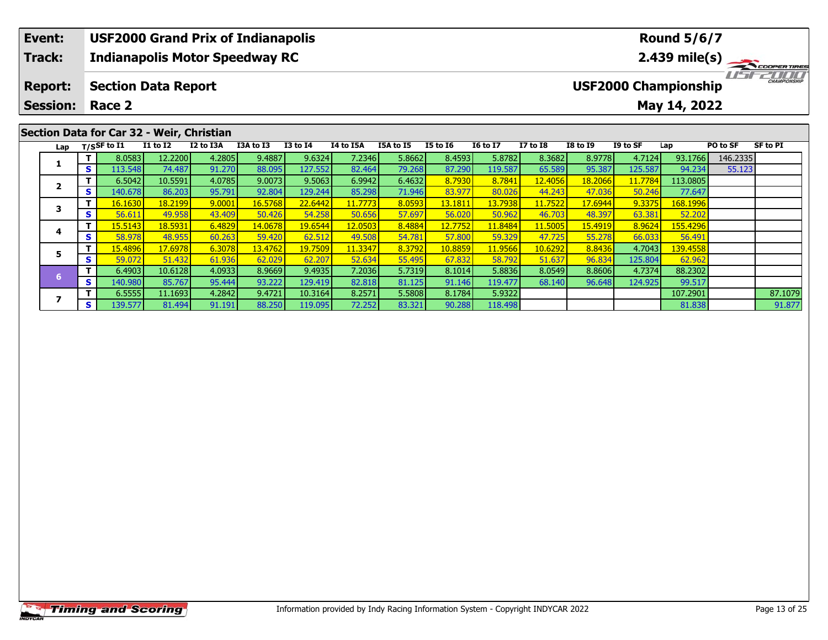| Event:          |    |                    |                                           | <b>USF2000 Grand Prix of Indianapolis</b> |           |                 |           |                  |                 |                 |                 |                 |          | <b>Round 5/6/7</b>          |          |                     |
|-----------------|----|--------------------|-------------------------------------------|-------------------------------------------|-----------|-----------------|-----------|------------------|-----------------|-----------------|-----------------|-----------------|----------|-----------------------------|----------|---------------------|
| <b>Track:</b>   |    |                    |                                           | <b>Indianapolis Motor Speedway RC</b>     |           |                 |           |                  |                 |                 |                 |                 |          | $2.439$ mile(s)             |          | COOPER TIRES        |
| <b>Report:</b>  |    |                    | <b>Section Data Report</b>                |                                           |           |                 |           |                  |                 |                 |                 |                 |          | <b>USF2000 Championship</b> |          | <b>CHAMPIONSHIP</b> |
| <b>Session:</b> |    | Race 2             |                                           |                                           |           |                 |           |                  |                 |                 |                 |                 |          | May 14, 2022                |          |                     |
|                 |    |                    | Section Data for Car 32 - Weir, Christian |                                           |           |                 |           |                  |                 |                 |                 |                 |          |                             |          |                     |
|                 |    | Lap $T/S$ SF to I1 | <b>I1 to I2</b>                           | I2 to I3A                                 | I3A to I3 | <b>I3 to I4</b> | I4 to I5A | <b>I5A to I5</b> | <b>I5 to 16</b> | <b>I6 to I7</b> | <b>I7 to I8</b> | <b>I8 to I9</b> | I9 to SF | Lap                         | PO to SF | SF to PI            |
|                 |    | 8.0583             | 12.2200                                   | 4.2805                                    | 9.4887    | 9.6324          | 7.2346    | 5.8662           | 8.4593          | 5.8782          | 8.3682          | 8.9778          | 4.7124   | 93.1766                     | 146.2335 |                     |
|                 | S. | 113.548            | 74.487                                    | 91.270                                    | 88.095    | 127.552         | 82.464    | 79.268           | 87.290          | 119.587         | 65.589          | 95.387          | 125.587  | 94.234                      | 55.123   |                     |

**<sup>T</sup>** 6.5042 10.5591 4.0785 9.0073 9.5063 6.9942 6.4632 8.7930 8.7841 12.4056 18.2066 11.7784 113.0805 **<sup>S</sup>** 140.678 86.203 95.791 92.804 129.244 85.298 71.946 83.977 80.026 44.243 47.036 50.246 77.647

**<sup>T</sup>** 16.1630 18.2199 9.0001 16.5768 22.6442 11.7773 8.0593 13.1811 13.7938 11.7522 17.6944 9.3375 168.1996 **<sup>S</sup>** 56.611 49.958 43.409 50.426 54.258 50.656 57.697 56.020 50.962 46.703 48.397 63.381 52.202

**<sup>T</sup>** 15.5143 18.5931 6.4829 14.0678 19.6544 12.0503 8.4884 12.7752 11.8484 11.5005 15.4919 8.9624 155.4296 **<sup>S</sup>** 58.978 48.955 60.263 59.420 62.512 49.508 54.781 57.800 59.329 47.725 55.278 66.033 56.491

**<sup>T</sup>** 15.4896 17.6978 6.3078 13.4762 19.7509 11.3347 8.3792 10.8859 11.9566 10.6292 8.8436 4.7043 139.4558 **<sup>S</sup>** 59.072 51.432 61.936 62.029 62.207 52.634 55.495 67.832 58.792 51.637 96.834 125.804 62.962

**<sup>T</sup>** 6.4903 10.6128 4.0933 8.9669 9.4935 7.2036 5.7319 8.1014 5.8836 8.0549 8.8606 4.7374 88.2302 **<sup>S</sup>** 140.980 85.767 95.444 93.222 129.419 82.818 81.125 91.146 119.477 68.140 96.648 124.925 99.517

**T** 6.5555 11.1693 4.2842 9.4721 10.3164 8.2571 5.5808 8.1784 5.9322 107.2901 87.1079<br>7 81.494 91.191 88.250 119.095 72.252 83.321 90.288 118.498 81.838 9

**2**

**3**

**4**

**5**

**7**

91.877

77.647

52.202

56.491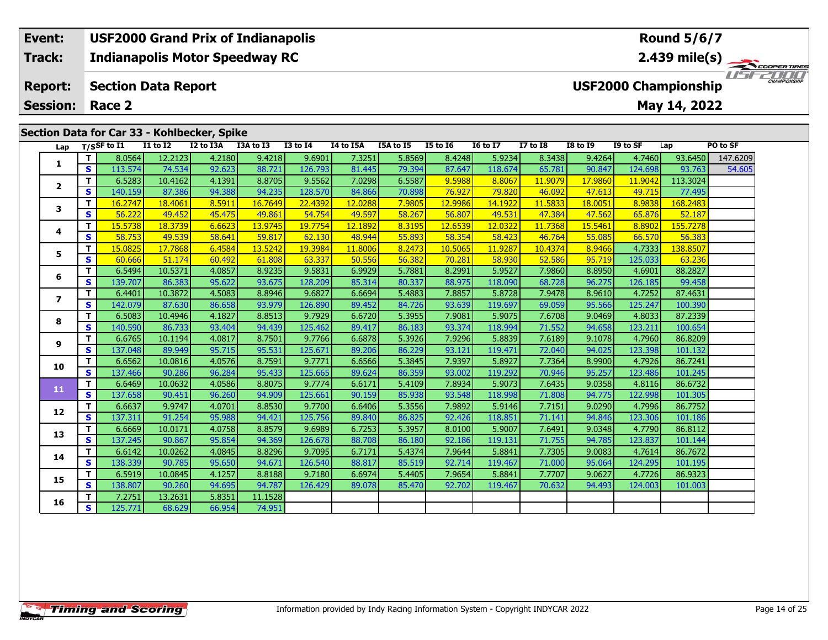#### **Event: USF2000 Grand Prix of Indianapolis Round 5/6/7Indianapolis Motor Speedway RC 2.439 mile(s) Track:** ER TIRES USFZUUD **Report: USF2000 Championship Section Data Report May 14, 2022 Session: Race 2 Section Data for Car 33 - Kohlbecker, Spike**

| Lap                      |                         | $T/S$ SF to I1 | <b>I1 to I2</b> | I2 to I3A | I3A to I3 | <b>I3 to 14</b> | I4 to I5A | <b>I5A to I5</b> | <b>I5 to 16</b> | <b>16 to 17</b> | <b>I7 to I8</b> | <b>I8 to 19</b> | I9 to SF | Lap      | PO to SF |
|--------------------------|-------------------------|----------------|-----------------|-----------|-----------|-----------------|-----------|------------------|-----------------|-----------------|-----------------|-----------------|----------|----------|----------|
|                          | T.                      | 8.0564         | 12.2123         | 4.2180    | 9.4218    | 9.6901          | 7.3251    | 5.8569           | 8.4248          | 5.9234          | 8.3438          | 9.4264          | 4.7460   | 93.6450  | 147.6209 |
| 1                        | S                       | 113.574        | 74.534          | 92.623    | 88.721    | 126.793         | 81.445    | 79.394           | 87.647          | 118.674         | 65.781          | 90.847          | 124.698  | 93.763   | 54.605   |
| $\overline{2}$           | T                       | 6.5283         | 10.4162         | 4.1391    | 8.8705    | 9.5562          | 7.0298    | 6.5587           | 9.5988          | 8.8067          | 11.9079         | 17.9860         | 11.9042  | 113.3024 |          |
|                          | S                       | 140.159        | 87.386          | 94.388    | 94.235    | 128.570         | 84.866    | 70.898           | 76.927          | 79.820          | 46.092          | 47.613          | 49.715   | 77.495   |          |
| 3                        | т                       | 16.2747        | 18.4061         | 8.5911    | 16.7649   | 22.4392         | 12.0288   | 7.9805           | 12.9986         | 14.1922         | 11.5833         | 18.0051         | 8.9838   | 168,2483 |          |
|                          | $\overline{\mathbf{s}}$ | 56.222         | 49.452          | 45.475    | 49.861    | 54.754          | 49.597    | 58.267           | 56.807          | 49.531          | 47.384          | 47.562          | 65.876   | 52.187   |          |
| 4                        | т                       | 15.5738        | 18.3739         | 6.6623    | 13.9745   | 19.7754         | 12.1892   | 8.3195           | 12.6539         | 12.0322         | 11.7368         | 15.5461         | 8.8902   | 155.7278 |          |
|                          | $\mathbf{s}$            | 58.753         | 49.539          | 58.641    | 59.817    | 62.130          | 48.944    | 55.893           | 58.354          | 58.423          | 46.764          | 55.085          | 66.570   | 56.383   |          |
| 5                        | T                       | 15.0825        | 17.7868         | 6.4584    | 13.5242   | 19.3984         | 11.8006   | 8.2473           | 10.5065         | 11.9287         | 10.4374         | 8.9466          | 4.7333   | 138.8507 |          |
|                          | $\mathbf{s}$            | 60.666         | 51.174          | 60.492    | 61.808    | 63.337          | 50.556    | 56.382           | 70.281          | 58.930          | 52.586          | 95.719          | 125.033  | 63.236   |          |
| 6                        | T.                      | 6.5494         | 10.5371         | 4.0857    | 8.9235    | 9.5831          | 6.9929    | 5.7881           | 8.2991          | 5.9527          | 7.9860          | 8.8950          | 4.6901   | 88.2827  |          |
|                          | S                       | 139.707        | 86.383          | 95.622    | 93.675    | 128.209         | 85.314    | 80.337           | 88.975          | 118.090         | 68.728          | 96.275          | 126.185  | 99.458   |          |
| $\overline{\phantom{a}}$ | T.                      | 6.4401         | 10.3872         | 4.5083    | 8.8946    | 9.6827          | 6.6694    | 5.4883           | 7.8857          | 5.8728          | 7.9478          | 8.9610          | 4.7252   | 87.4631  |          |
|                          | S                       | 142.079        | 87.630          | 86.658    | 93.979    | 126.890         | 89.452    | 84.726           | 93.639          | 119.697         | 69.059          | 95.566          | 125.247  | 100.390  |          |
| 8                        | T.                      | 6.5083         | 10.4946         | 4.1827    | 8.8513    | 9.7929          | 6.6720    | 5.3955           | 7.9081          | 5.9075          | 7.6708          | 9.0469          | 4.8033   | 87.2339  |          |
|                          | $\overline{\mathbf{s}}$ | 140.590        | 86.733          | 93.404    | 94.439    | 125.462         | 89.417    | 86.183           | 93.374          | 118.994         | 71.552          | 94.658          | 123.211  | 100.654  |          |
| 9                        | T.                      | 6.6765         | 10.1194         | 4.0817    | 8.7501    | 9.7766          | 6.6878    | 5.3926           | 7.9296          | 5.8839          | 7.6189          | 9.1078          | 4.7960   | 86.8209  |          |
|                          | S                       | 137.048        | 89.949          | 95.715    | 95.531    | 125.671         | 89.206    | 86.229           | 93.121          | 119.471         | 72.040          | 94.025          | 123.398  | 101.132  |          |
| 10                       | т                       | 6.6562         | 10.0816         | 4.0576    | 8.7591    | 9.7771          | 6.6566    | 5.3845           | 7.9397          | 5.8927          | 7.7364          | 8.9900          | 4.7926   | 86.7241  |          |
|                          | S                       | 137.466        | 90.286          | 96.284    | 95.433    | 125.665         | 89.624    | 86.359           | 93.002          | 119.292         | 70.946          | 95.257          | 123.486  | 101.245  |          |
| 11                       | T                       | 6.6469         | 10.0632         | 4.0586    | 8.8075    | 9.7774          | 6.6171    | 5.4109           | 7.8934          | 5.9073          | 7.6435          | 9.0358          | 4.8116   | 86.6732  |          |
|                          | S                       | 137.658        | 90.451          | 96.260    | 94.909    | 125.661         | 90.159    | 85.938           | 93.548          | 118.998         | 71.808          | 94.775          | 122.998  | 101.305  |          |
| 12                       | T.                      | 6.6637         | 9.9747          | 4.0701    | 8.8530    | 9.7700          | 6.6406    | 5.3556           | 7.9892          | 5.9146          | 7.7151          | 9.0290          | 4.7996   | 86.7752  |          |
|                          | $\mathbf{s}$            | 137.311        | 91.254          | 95.988    | 94.421    | 125.756         | 89.840    | 86.825           | 92.426          | 118.851         | 71.141          | 94.846          | 123.306  | 101.186  |          |
| 13                       | т                       | 6.6669         | 10.0171         | 4.0758    | 8.8579    | 9.6989          | 6.7253    | 5.3957           | 8.0100          | 5.9007          | 7.6491          | 9.0348          | 4.7790   | 86.8112  |          |
|                          | $\overline{\mathbf{s}}$ | 137.245        | 90.867          | 95.854    | 94.369    | 126.678         | 88.708    | 86.180           | 92.186          | 119.131         | 71.755          | 94.785          | 123.837  | 101.144  |          |
| 14                       | T.                      | 6.6142         | 10.0262         | 4.0845    | 8.8296    | 9.7095          | 6.7171    | 5.4374           | 7.9644          | 5.8841          | 7.7305          | 9.0083          | 4.7614   | 86.7672  |          |
|                          | S                       | 138.339        | 90.785          | 95.650    | 94.671    | 126.540         | 88.817    | 85.519           | 92.714          | 119.467         | 71.000          | 95.064          | 124.295  | 101.195  |          |
| 15                       | T.                      | 6.5919         | 10.0845         | 4.1257    | 8.8188    | 9.7180          | 6.6974    | 5.4405           | 7.9654          | 5.8841          | 7.7707          | 9.0627          | 4.7726   | 86.9323  |          |
|                          | $\mathbf{s}$            | 138.807        | 90.260          | 94.695    | 94.787    | 126.429         | 89.078    | 85.470           | 92.702          | 119.467         | 70.632          | 94.493          | 124.003  | 101.003  |          |
| 16                       | т                       | 7.2751         | 13.2631         | 5.8351    | 11.1528   |                 |           |                  |                 |                 |                 |                 |          |          |          |
|                          | S                       | 125.771        | 68.629          | 66.954    | 74.951    |                 |           |                  |                 |                 |                 |                 |          |          |          |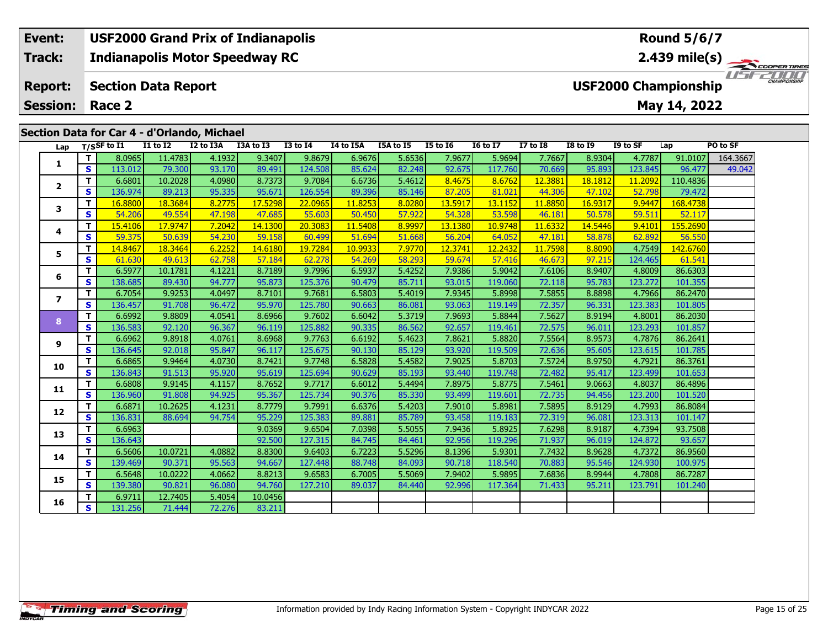## **Event: USF2000 Grand Prix of Indianapolis Round 5/6/7Indianapolis Motor Speedway RC 2.439 mile(s) Track:** THE COOPERTIRES **Report: Section Data Report USF2000 Championship May 14, 2022 Session: Race 2 Section Data for Car 4 - d'Orlando, Michael Lap T/SSF to I1 I1 to I2 I2 to I3A I3A to I3 I3 to I4 I4 to I5A I5A to I5 I5 to I6 I6 to I7 I7 to I8 I8 to I9 I9 to SF Lap PO to SF**

| Lap            |                         | T/SSF to I1 | <b>I1 to I2</b> | I2 to I3A | I3A to I3 | <b>I3 to I4</b> | I4 to I5A | I5A to I5 | <b>I5 to 16</b> | <b>16 to 17</b> | <b>I7 to I8</b> | <b>I8 to I9</b> | I9 to SF | Lap      | PO to SF |
|----------------|-------------------------|-------------|-----------------|-----------|-----------|-----------------|-----------|-----------|-----------------|-----------------|-----------------|-----------------|----------|----------|----------|
| 1              | T                       | 8.0965      | 11.4783         | 4.1932    | 9.3407    | 9.8679          | 6.9676    | 5.6536    | 7.9677          | 5.9694          | 7.7667          | 8.9304          | 4.7787   | 91.0107  | 164.3667 |
|                | S                       | 113.012     | 79.300          | 93.170    | 89.491    | 124.508         | 85.624    | 82.248    | 92.675          | 117.760         | 70.669          | 95.893          | 123.845  | 96.477   | 49.042   |
| $\mathbf{2}$   | T                       | 6.6801      | 10.2028         | 4.0980    | 8.7373    | 9.7084          | 6.6736    | 5.4612    | 8.4675          | 8.6762          | 12.3881         | 18.1812         | 11.2092  | 110.4836 |          |
|                | S                       | 136.974     | 89.213          | 95.335    | 95.671    | 126.554         | 89.396    | 85.146    | 87.205          | 81.021          | 44.306          | 47.102          | 52.798   | 79.472   |          |
| 3              | T.                      | 16.8800     | 18.3684         | 8.2775    | 17.5298   | 22.0965         | 11.8253   | 8.0280    | 13.5917         | 13.1152         | 11.8850         | 16.9317         | 9.9447   | 168.4738 |          |
|                | S.                      | 54.206      | 49.554          | 47.198    | 47.685    | 55.603          | 50.450    | 57.922    | 54.328          | 53.598          | 46.181          | 50.578          | 59.511   | 52.117   |          |
| 4              | T.                      | 15.4106     | 17.9747         | 7.2042    | 14.1300   | 20.3083         | 11.5408   | 8.9997    | 13.1380         | 10.9748         | 11.6332         | 14.5446         | 9.4101   | 155,2690 |          |
|                | S                       | 59.375      | 50.639          | 54.230    | 59.158    | 60.499          | 51.694    | 51.668    | 56.204          | 64.052          | 47.181          | 58.878          | 62.892   | 56.550   |          |
| 5              | T.                      | 14.8467     | 18.3464         | 6.2252    | 14.6180   | 19.7284         | 10.9933   | 7.9770    | 12.3741         | 12.2432         | 11.7598         | 8.8090          | 4.7549   | 142.6760 |          |
|                | S                       | 61.630      | 49.613          | 62.758    | 57.184    | 62.278          | 54.269    | 58.293    | 59.674          | 57.416          | 46.673          | 97.215          | 124.465  | 61.541   |          |
| 6              | T.                      | 6.5977      | 10.1781         | 4.1221    | 8.7189    | 9.7996          | 6.5937    | 5.4252    | 7.9386          | 5.9042          | 7.6106          | 8.9407          | 4.8009   | 86.6303  |          |
|                | S                       | 138.685     | 89.430          | 94.777    | 95.873    | 125.376         | 90.479    | 85.711    | 93.015          | 119.060         | 72.118          | 95.783          | 123.272  | 101.355  |          |
| $\overline{ }$ | T.                      | 6.7054      | 9.9253          | 4.0497    | 8.7101    | 9.7681          | 6.5803    | 5.4019    | 7.9345          | 5.8998          | 7.5855          | 8.8898          | 4.7966   | 86.2470  |          |
|                | $\overline{\mathbf{s}}$ | 136.457     | 91.708          | 96.472    | 95.970    | 125.780         | 90.663    | 86.081    | 93.063          | 119.149         | 72.357          | 96.331          | 123.383  | 101.805  |          |
| 8              | $\mathbf{T}$            | 6.6992      | 9.8809          | 4.0541    | 8.6966    | 9.7602          | 6.6042    | 5.3719    | 7.9693          | 5.8844          | 7.5627          | 8.9194          | 4.8001   | 86.2030  |          |
|                | <b>S</b>                | 136.583     | 92.120          | 96.367    | 96.119    | 125.882         | 90.335    | 86.562    | 92.657          | 119.461         | 72.575          | 96.011          | 123.293  | 101.857  |          |
| 9              | T                       | 6.6962      | 9.8918          | 4.0761    | 8.6968    | 9.7763          | 6.6192    | 5.4623    | 7.8621          | 5.8820          | 7.5564          | 8.9573          | 4.7876   | 86.2641  |          |
|                | S                       | 136.645     | 92.018          | 95.847    | 96.117    | 125.675         | 90.130    | 85.129    | 93.920          | 119.509         | 72.636          | 95.605          | 123.615  | 101.785  |          |
| 10             | T.                      | 6.6865      | 9.9464          | 4.0730    | 8.7421    | 9.7748          | 6.5828    | 5.4582    | 7.9025          | 5.8703          | 7.5724          | 8.9750          | 4.7921   | 86.3761  |          |
|                | S                       | 136.843     | 91.513          | 95.920    | 95.619    | 125.694         | 90.629    | 85.193    | 93.440          | 119.748         | 72.482          | 95.417          | 123.499  | 101.653  |          |
| 11             | T.                      | 6.6808      | 9.9145          | 4.1157    | 8.7652    | 9.7717          | 6.6012    | 5.4494    | 7.8975          | 5.8775          | 7.5461          | 9.0663          | 4.8037   | 86.4896  |          |
|                | $\overline{\mathbf{s}}$ | 136.960     | 91.808          | 94.925    | 95.367    | 125.734         | 90.376    | 85.330    | 93.499          | 119.601         | 72.735          | 94.456          | 123.200  | 101.520  |          |
| 12             | T                       | 6.6871      | 10.2625         | 4.1231    | 8.7779    | 9.7991          | 6.6376    | 5.4203    | 7.9010          | 5.8981          | 7.5895          | 8.9129          | 4.7993   | 86.8084  |          |
|                | S                       | 136.831     | 88.694          | 94.754    | 95.229    | 125.383         | 89.881    | 85.789    | 93.458          | 119.183         | 72.319          | 96.081          | 123.313  | 101.147  |          |
| 13             | T.                      | 6.6963      |                 |           | 9.0369    | 9.6504          | 7.0398    | 5.5055    | 7.9436          | 5.8925          | 7.6298          | 8.9187          | 4.7394   | 93.7508  |          |
|                | $\mathbf{s}$            | 136.643     |                 |           | 92.500    | 127.315         | 84.745    | 84.461    | 92.956          | 119.296         | 71.937          | 96.019          | 124.872  | 93.657   |          |
| 14             | T                       | 6.5606      | 10.0721         | 4.0882    | 8.8300    | 9.6403          | 6.7223    | 5.5296    | 8.1396          | 5.9301          | 7.7432          | 8.9628          | 4.7372   | 86.9560  |          |
|                | S                       | 139.469     | 90.371          | 95.563    | 94.667    | 127.448         | 88.748    | 84.093    | 90.718          | 118.540         | 70.883          | 95.546          | 124.930  | 100.975  |          |
| 15             | T                       | 6.5648      | 10.0222         | 4.0662    | 8.8213    | 9.6583          | 6.7005    | 5.5069    | 7.9402          | 5.9895          | 7.6836          | 8.9944          | 4.7808   | 86.7287  |          |
|                | <b>S</b>                | 139.380     | 90.821          | 96.080    | 94.760    | 127.210         | 89.037    | 84.440    | 92.996          | 117.364         | 71.433          | 95.211          | 123.791  | 101.240  |          |
| 16             | T                       | 6.9711      | 12.7405         | 5.4054    | 10.0456   |                 |           |           |                 |                 |                 |                 |          |          |          |
|                | S                       | 131.256     | 71.444          | 72.276    | 83.211    |                 |           |           |                 |                 |                 |                 |          |          |          |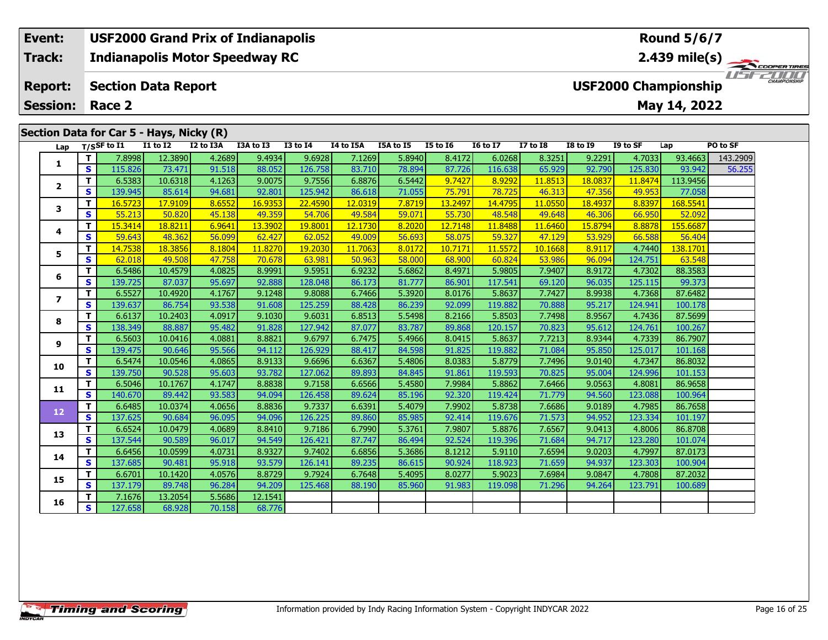## **Event: USF2000 Grand Prix of Indianapolis Round 5/6/7Indianapolis Motor Speedway RC 2.439 mile(s) Track:**1151521111 **Report: Section Data Report USF2000 Championship May 14, 2022 Session: Race 2Section Data for Car 5 - Hays, Nicky (R) Lap T/SSF to I1 I1 to I2 I2 to I3A I3A to I3 I3 to I4 I4 to I5A I5A to I5 I5 to I6 I6 to I7 I7 to I8 I8 to I9 I9 to SF Lap PO to SF <sup>T</sup>** 7.8998 12.3890 4.2689 9.4934 9.6928 7.1269 5.8940 8.4172 6.0268 8.3251 9.2291 4.7033 93.4663 143.2909 **<sup>S</sup>** 115.826 73.471 91.518 88.052 126.758 83.710 78.894 87.726 116.638 65.929 92.790 125.830 93.942 56.255**1 <sup>T</sup>** 6.5383 10.6318 4.1263 9.0075 9.7556 6.8876 6.5442 9.7427 8.9292 11.8513 18.0837 11.8474 113.9456 **<sup>S</sup>** 139.945 85.614 94.681 92.801 125.942 86.618 71.055 75.791 78.725 46.313 47.356 49.953 77.058**2 <sup>T</sup>** 16.5723 17.9109 8.6552 16.9353 22.4590 12.0319 7.8719 13.2497 14.4795 11.0550 18.4937 8.8397 168.5541 **<sup>S</sup>** 55.213 50.820 45.138 49.359 54.706 49.584 59.071 55.730 48.548 49.648 46.306 66.950 52.092**3**

**<sup>T</sup>** 15.3414 18.8211 6.9641 13.3902 19.8001 12.1730 8.2020 12.7148 11.8488 11.6460 15.8794 8.8878 155.6687 **<sup>S</sup>** 59.643 48.362 56.099 62.427 62.052 49.009 56.693 58.075 59.327 47.129 53.929 66.588 56.404

**<sup>T</sup>** 14.7538 18.3856 8.1804 11.8270 19.2030 11.7063 8.0172 10.7171 11.5572 10.1668 8.9117 4.7440 138.1701 **<sup>S</sup>** 62.018 49.508 47.758 70.678 63.981 50.963 58.000 68.900 60.824 53.986 96.094 124.751 63.548

**<sup>T</sup>** 6.5486 10.4579 4.0825 8.9991 9.5951 6.9232 5.6862 8.4971 5.9805 7.9407 8.9172 4.7302 88.3583 **<sup>S</sup>** 139.725 87.037 95.697 92.888 128.048 86.173 81.777 86.901 117.541 69.120 96.035 125.115 99.373

**<sup>T</sup>** 6.5527 10.4920 4.1767 9.1248 9.8088 6.7466 5.3920 8.0176 5.8637 7.7427 8.9938 4.7368 87.6482 **<sup>S</sup>** 139.637 86.754 93.538 91.608 125.259 88.428 86.239 92.099 119.882 70.888 95.217 124.941 100.178

**<sup>T</sup>** 6.6137 10.2403 4.0917 9.1030 9.6031 6.8513 5.5498 8.2166 5.8503 7.7498 8.9567 4.7436 87.5699 **<sup>S</sup>** 138.349 88.887 95.482 91.828 127.942 87.077 83.787 89.868 120.157 70.823 95.612 124.761 100.267

**<sup>T</sup>** 6.5603 10.0416 4.0881 8.8821 9.6797 6.7475 5.4966 8.0415 5.8637 7.7213 8.9344 4.7339 86.7907 **<sup>S</sup>** 139.475 90.646 95.566 94.112 126.929 88.417 84.598 91.825 119.882 71.084 95.850 125.017 101.168

**<sup>T</sup>** 6.5474 10.0546 4.0865 8.9133 9.6696 6.6367 5.4806 8.0383 5.8779 7.7496 9.0140 4.7347 86.8032 **<sup>S</sup>** 139.750 90.528 95.603 93.782 127.062 89.893 84.845 91.861 119.593 70.825 95.004 124.996 101.153

**<sup>T</sup>** 6.5046 10.1767 4.1747 8.8838 9.7158 6.6566 5.4580 7.9984 5.8862 7.6466 9.0563 4.8081 86.9658 **<sup>S</sup>** 140.670 89.442 93.583 94.094 126.458 89.624 85.196 92.320 119.424 71.779 94.560 123.088 100.964

**<sup>T</sup>** 6.6485 10.0374 4.0656 8.8836 9.7337 6.6391 5.4079 7.9902 5.8738 7.6686 9.0189 4.7985 86.7658 **<sup>S</sup>** 137.625 90.684 96.095 94.096 126.225 89.860 85.985 92.414 119.676 71.573 94.952 123.334 101.197

**<sup>T</sup>** 6.6524 10.0479 4.0689 8.8410 9.7186 6.7990 5.3761 7.9807 5.8876 7.6567 9.0413 4.8006 86.8708 **<sup>S</sup>** 137.544 90.589 96.017 94.549 126.421 87.747 86.494 92.524 119.396 71.684 94.717 123.280 101.074

**<sup>T</sup>** 6.6456 10.0599 4.0731 8.9327 9.7402 6.6856 5.3686 8.1212 5.9110 7.6594 9.0203 4.7997 87.0173 **<sup>S</sup>** 137.685 90.481 95.918 93.579 126.141 89.235 86.615 90.924 118.923 71.659 94.937 123.303 100.904

**<sup>T</sup>** 6.6701 10.1420 4.0576 8.8729 9.7924 6.7648 5.4095 8.0277 5.9023 7.6984 9.0847 4.7808 87.2032 **<sup>S</sup>** 137.179 89.748 96.284 94.209 125.468 88.190 85.960 91.983 119.098 71.296 94.264 123.791 100.689

**<sup>T</sup>** 7.1676 13.2054 5.5686 12.1541 **<sup>S</sup>** 127.658 68.928 70.158 68.776

**4**

**5**

**6**

**7**

**8**

**9**

**10**

**11**

**12**

**13**

**14**

**15**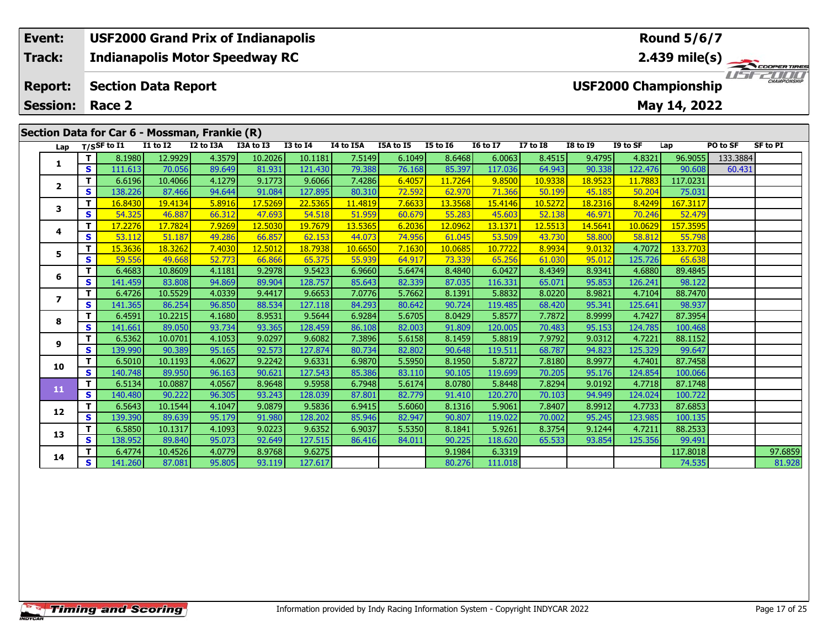# **Event: USF2000 Grand Prix of Indianapolis Round 5/6/7Track:Indianapolis Motor Speedway RC 2.439 mile(s)** WSFZOOD, **Report: Section Data Report USF2000 Championship May 14, 2022 Session: Race 2 Section Data for Car 6 - Mossman, Frankie (R) Lap T/SSF to I1 I1 to I2 I2 to I3A I3A to I3 I3 to I4 I4 to I5A I5A to I5 I5 to I6 I6 to I7 I7 to I8 I8 to I9 I9 to SF Lap PO to SF SF to PI**

| Lap                     |   | בניט וככון | ** W ** | ື້     | 13A W 13 | w.      | ** W *** | 23A W 23 | 19 W 19 | 10 W 17 | 17 W 10 | 10 W 12 | 12 W JI | ⊾ap      | rvw J    | 31 W F 4 |
|-------------------------|---|------------|---------|--------|----------|---------|----------|----------|---------|---------|---------|---------|---------|----------|----------|----------|
|                         | т | 8.1980     | 12.9929 | 4.3579 | 10.2026  | 10.1181 | 7.5149   | 6.1049   | 8.6468  | 6.0063  | 8.4515  | 9.4795  | 4.8321  | 96.9055  | 133.3884 |          |
| 1                       | S | 111.613    | 70.056  | 89.649 | 81.931   | 121.430 | 79.388   | 76.168   | 85.397  | 117.036 | 64.943  | 90.338  | 122.476 | 90.608   | 60.431   |          |
| $\overline{2}$          |   | 6.6196     | 10.4066 | 4.1279 | 9.1773   | 9.6066  | 7.4286   | 6.4057   | 11.7264 | 9.8500  | 10.9338 | 18.9523 | 11.7883 | 117.0231 |          |          |
|                         | s | 138.226    | 87.466  | 94.644 | 91.084   | 127.895 | 80.310   | 72.592   | 62.970  | 71.366  | 50.199  | 45.185  | 50.204  | 75.031   |          |          |
| 3                       |   | 16.8430    | 19.4134 | 5.8916 | 17.5269  | 22.5365 | 11.4819  | 7.6633   | 13.3568 | 15.4146 | 10.5272 | 18.2316 | 8.4249  | 167.3117 |          |          |
|                         | s | 54.325     | 46.887  | 66.312 | 47.693   | 54.518  | 51.959   | 60.679   | 55.283  | 45.603  | 52.138  | 46.971  | 70.246  | 52.479   |          |          |
| 4                       |   | 17.2276    | 17.7824 | 7.9269 | 12.5030  | 19.7679 | 13.5365  | 6.2036   | 12.0962 | 13.1371 | 12.5513 | 14.5641 | 10.0629 | 157.3595 |          |          |
|                         | S | 53.112     | 51.187  | 49.286 | 66.857   | 62.153  | 44.073   | 74.956   | 61.045  | 53.509  | 43.730  | 58,800  | 58.812  | 55.798   |          |          |
| 5                       |   | 15.3636    | 18.3262 | 7.4030 | 12.5012  | 18.7938 | 10.6650  | 7.1630   | 10.0685 | 10.7722 | 8.9934  | 9.0132  | 4.7072  | 133.7703 |          |          |
|                         | S | 59.556     | 49.668  | 52.773 | 66.866   | 65.375  | 55.939   | 64.917   | 73.339  | 65.256  | 61.030  | 95.012  | 125.726 | 65.638   |          |          |
| 6                       |   | 6.4683     | 10.8609 | 4.1181 | 9.2978   | 9.5423  | 6.9660   | 5.6474   | 8.4840  | 6.0427  | 8.4349  | 8.9341  | 4.6880  | 89.4845  |          |          |
|                         | s | 141.459    | 83.808  | 94.869 | 89.904   | 128.757 | 85.643   | 82.339   | 87.035  | 116.331 | 65.071  | 95.853  | 126.241 | 98.122   |          |          |
| $\overline{\mathbf{z}}$ |   | 6.4726     | 10.5529 | 4.0339 | 9.4417   | 9.6653  | 7.0776   | 5.7662   | 8.1391  | 5.8832  | 8.0220  | 8.9821  | 4.7104  | 88.7470  |          |          |
|                         | S | 141.365    | 86.254  | 96.850 | 88.534   | 127.118 | 84.293   | 80.642   | 90.724  | 119.485 | 68.420  | 95.341  | 125.641 | 98.937   |          |          |
| 8                       |   | 6.4591     | 10.2215 | 4.1680 | 8.9531   | 9.5644  | 6.9284   | 5.6705   | 8.0429  | 5.8577  | 7.7872  | 8.9999  | 4.7427  | 87.3954  |          |          |
|                         | s | 141.661    | 89.050  | 93.734 | 93.365   | 128.459 | 86.108   | 82.003   | 91.809  | 120.005 | 70.483  | 95.153  | 124.785 | 100.468  |          |          |
| 9                       |   | 6.5362     | 10.0701 | 4.1053 | 9.0297   | 9.6082  | 7.3896   | 5.6158   | 8.1459  | 5.8819  | 7.9792  | 9.0312  | 4.7221  | 88.1152  |          |          |
|                         | s | 139.990    | 90.389  | 95.165 | 92.573   | 127.874 | 80.734   | 82.802   | 90.648  | 119.511 | 68.787  | 94.823  | 125.329 | 99.647   |          |          |
| 10                      |   | 6.5010     | 10.1193 | 4.0627 | 9.2242   | 9.6331  | 6.9870   | 5.5950   | 8.1950  | 5.8727  | 7.8180  | 8.9977  | 4.7401  | 87.7458  |          |          |
|                         | S | 140.748    | 89.950  | 96.163 | 90.621   | 127.543 | 85.386   | 83.110   | 90.105  | 119.699 | 70.205  | 95.176  | 124.854 | 100.066  |          |          |
| 11                      | т | 6.5134     | 10.0887 | 4.0567 | 8.9648   | 9.5958  | 6.7948   | 5.6174   | 8.0780  | 5.8448  | 7.8294  | 9.0192  | 4.7718  | 87.1748  |          |          |
|                         | S | 140.480    | 90.222  | 96.305 | 93.243   | 128.039 | 87.801   | 82.779   | 91.410  | 120.270 | 70.103  | 94.949  | 124.024 | 100.722  |          |          |
| 12                      |   | 6.5643     | 10.1544 | 4.1047 | 9.0879   | 9.5836  | 6.9415   | 5.6060   | 8.1316  | 5.9061  | 7.8407  | 8.9912  | 4.7733  | 87.6853  |          |          |
|                         | S | 139.390    | 89.639  | 95.179 | 91.980   | 128.202 | 85.946   | 82.947   | 90.807  | 119.022 | 70.002  | 95.245  | 123.985 | 100.135  |          |          |
| 13                      |   | 6.5850     | 10.1317 | 4.1093 | 9.0223   | 9.6352  | 6.9037   | 5.5350   | 8.1841  | 5.9261  | 8.3754  | 9.1244  | 4.7211  | 88.2533  |          |          |
|                         | S | 138.952    | 89.840  | 95.073 | 92.649   | 127.515 | 86.416   | 84.011   | 90.225  | 118.620 | 65.533  | 93.854  | 125.356 | 99.491   |          |          |
| 14                      |   | 6.4774     | 10.4526 | 4.0779 | 8.9768   | 9.6275  |          |          | 9.1984  | 6.3319  |         |         |         | 117.8018 |          | 97.6859  |
|                         | S | 141.260    | 87.081  | 95.805 | 93.119   | 127.617 |          |          | 80.276  | 111.018 |         |         |         | 74.535   |          | 81.928   |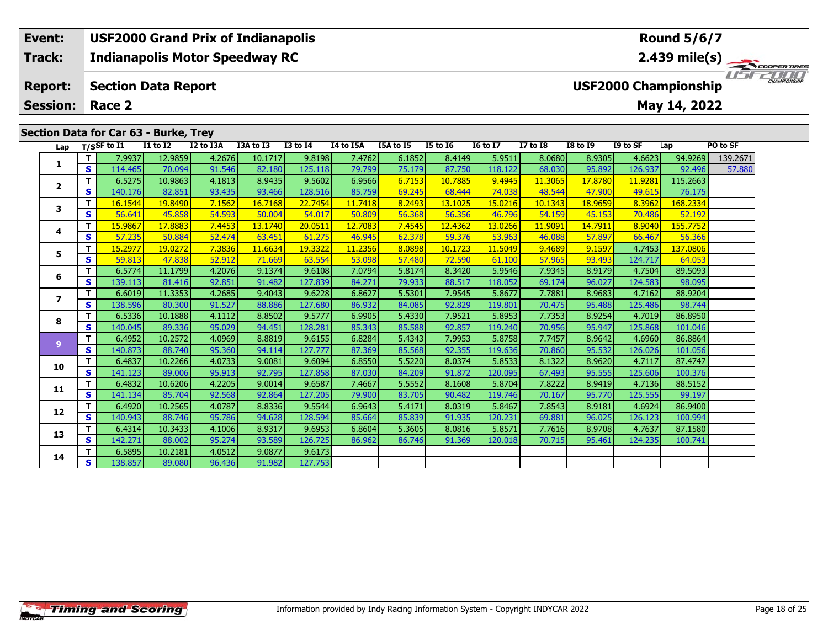# **Event: USF2000 Grand Prix of Indianapolis Round 5/6/7Track:Indianapolis Motor Speedway RC 2.439 mile(s)** *IFFERING* **Report: Section Data Report USF2000 Championship Session: Race 2May 14, 2022 Section Data for Car 63 - Burke, Trey**<br>Lap T/SSF to I1 I1 to I2 I2 to I **Lap T/SSF to I1 I1 to I2 I2 to I3A I3A to I3 I3 to I4 I4 to I5A I5A to I5 I5 to I6 I6 to I7 I7 to I8 I8 to I9 I9 to SF Lap PO to SF <sup>T</sup>** 7.9937 12.9859 4.2676 10.1717 9.8198 7.4762 6.1852 8.4149 5.9511 8.0680 8.9305 4.6623 94.9269 139.2671 **<sup>S</sup>** 114.465 70.094 91.546 82.180 125.118 79.799 75.179 87.750 118.122 68.030 95.892 126.937 92.496 57.880**1 <sup>T</sup>** 6.5275 10.9863 4.1813 8.9435 9.5602 6.9566 6.7153 10.7885 9.4945 11.3065 17.8780 11.9281 115.2663 **<sup>S</sup>** 140.176 82.851 93.435 93.466 128.516 85.759 69.245 68.444 74.038 48.544 47.900 49.615 76.175**2**

|    |          | <b>U.JZ7J</b> | כמסביחד | 4.1013 | ו ככ <del>ד</del> כ.ס | <b>SUUC.C</b> |         | <u>0.7133</u> | <b>LO.7003</b> | <u>, כדילד. כ</u> | <b>TT'20021</b> | 17.07 OU       | 11.9Z01 | 113.Z003 |  |
|----|----------|---------------|---------|--------|-----------------------|---------------|---------|---------------|----------------|-------------------|-----------------|----------------|---------|----------|--|
|    | S        | 140.176       | 82.851  | 93.435 | 93.466                | 128.516       | 85.759  | 69.245        | 68.444         | 74.038            | 48.544          | 47.900         | 49.615  | 76.175   |  |
| 3  | т        | 16.1544       | 19.8490 | 7.1562 | 16.7168               | 22.7454       | 11.7418 | 8.2493        | 13.1025        | 15.0216           | 10.1343         | <u>18.9659</u> | 8.3962  | 168.2334 |  |
|    | S        | 56.641        | 45.858  | 54.593 | 50.004                | 54.017        | 50.809  | 56.368        | 56.356         | 46.796            | 54.159          | 45.153         | 70.486  | 52.192   |  |
| 4  | т        | 15.9867       | 17.8883 | 7.4453 | 13.1740               | 20.0511       | 12.7083 | 7.4545        | 12.4362        | 13.0266           | 11.9091         | 14.7911        | 8.9040  | 155.7752 |  |
|    | S        | 57.235        | 50.884  | 52.474 | 63.451                | 61.275        | 46.945  | 62.378        | 59.376         | 53.963            | 46.088          | 57.897         | 66.467  | 56.366   |  |
| 5  | т        | 15.2977       | 19.0272 | 7.3836 | 11.6634               | 19.3322       | 11.2356 | 8.0898        | 10.1723        | 11.5049           | 9.4689          | 9.1597         | 4.7453  | 137.0806 |  |
|    | S        | 59.813        | 47.838  | 52.912 | 71.669                | 63.554        | 53.098  | 57.480        | 72.590         | 61.100            | 57.965          | 93.493         | 124.717 | 64.053   |  |
| 6  | т        | 6.5774        | 11.1799 | 4.2076 | 9.1374                | 9.6108        | 7.0794  | 5.8174        | 8.3420         | 5.9546            | 7.9345          | 8.9179         | 4.7504  | 89.5093  |  |
|    | S        | 139.113       | 81.416  | 92.851 | 91.482                | 127.839       | 84.271  | 79.933        | 88.517         | 118.052           | 69.174          | 96.027         | 124.583 | 98.095   |  |
| 7  | т        | 6.6019        | 11.3353 | 4.2685 | 9.4043                | 9.6228        | 6.8627  | 5.5301        | 7.9545         | 5.8677            | 7.7881          | 8.9683         | 4.7162  | 88.9204  |  |
|    | S        | 138.596       | 80.300  | 91.527 | 88.886                | 127.680       | 86.932  | 84.085        | 92.829         | 119.801           | 70.475          | 95.488         | 125.486 | 98.744   |  |
| 8  | т        | 6.5336        | 10.1888 | 4.1112 | 8.8502                | 9.5777        | 6.9905  | 5.4330        | 7.9521         | 5.8953            | 7.7353          | 8.9254         | 4.7019  | 86.8950  |  |
|    | <b>S</b> | 140.045       | 89.336  | 95.029 | 94.451                | 128.281       | 85.343  | 85.588        | 92.857         | 119.240           | 70.956          | 95.947         | 125.868 | 101.046  |  |
| 9  | т        | 6.4952        | 10.2572 | 4.0969 | 8.8819                | 9.6155        | 6.8284  | 5.4343        | 7.9953         | 5.8758            | 7.7457          | 8.9642         | 4.6960  | 86.8864  |  |
|    | S.       | 140.873       | 88.740  | 95.360 | 94.114                | 127.777       | 87.369  | 85.568        | 92.355         | 119.636           | 70.860          | 95.532         | 126.026 | 101.056  |  |
| 10 | T        | 6.4837        | 10.2266 | 4.0733 | 9.0081                | 9.6094        | 6.8550  | 5.5220        | 8.0374         | 5.8533            | 8.1322          | 8.9620         | 4.7117  | 87.4747  |  |
|    | S        | 141.123       | 89.006  | 95.913 | 92.795                | 127.858       | 87.030  | 84.209        | 91.872         | 120.095           | 67.493          | 95.555         | 125.606 | 100.376  |  |
| 11 | т        | 6.4832        | 10.6206 | 4.2205 | 9.0014                | 9.6587        | 7.4667  | 5.5552        | 8.1608         | 5.8704            | 7.8222          | 8.9419         | 4.7136  | 88.5152  |  |
|    | S        | 141.134       | 85.704  | 92.568 | 92.864                | 127.205       | 79.900  | 83.705        | 90.482         | 119.746           | 70.167          | 95.770         | 125.555 | 99.197   |  |
| 12 | T.       | 6.4920        | 10.2565 | 4.0787 | 8.8336                | 9.5544        | 6.9643  | 5.4171        | 8.0319         | 5.8467            | 7.8543          | 8.9181         | 4.6924  | 86.9400  |  |
|    | S        | 140.943       | 88.746  | 95.786 | 94.628                | 128.594       | 85.664  | 85.839        | 91.935         | 120.231           | 69.881          | 96.025         | 126.123 | 100.994  |  |
| 13 | T.       | 6.4314        | 10.3433 | 4.1006 | 8.9317                | 9.6953        | 6.8604  | 5.3605        | 8.0816         | 5.8571            | 7.7616          | 8.9708         | 4.7637  | 87.1580  |  |
|    | S        | 142.271       | 88.002  | 95.274 | 93.589                | 126.725       | 86.962  | 86.746        | 91.369         | 120.018           | 70.715          | 95.461         | 124.235 | 100.741  |  |
| 14 | т        | 6.5895        | 10.2181 | 4.0512 | 9.0877                | 9.6173        |         |               |                |                   |                 |                |         |          |  |
|    | S        | 138.857       | 89,080  | 96.436 | 91.982                | 127.753       |         |               |                |                   |                 |                |         |          |  |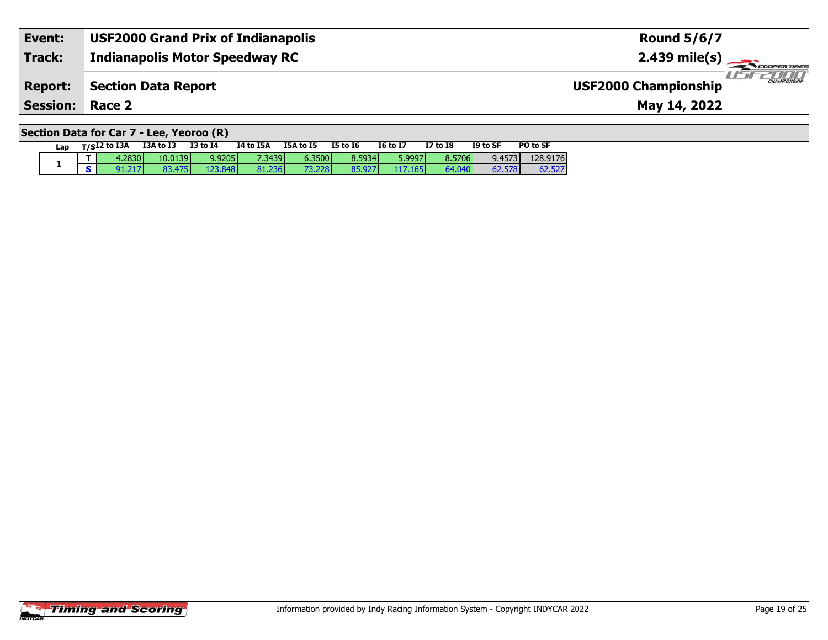| Event:                 | USF2000 Grand Prix of Indianapolis | <b>Round 5/6/7</b>                                 |
|------------------------|------------------------------------|----------------------------------------------------|
| <b>Track:</b>          | Indianapolis Motor Speedway RC     | $2.439 \text{ mile(s)}$                            |
| <b>Report:</b>         | Section Data Report                | <b>CHAMPIONSHIP</b><br><b>USF2000 Championship</b> |
| <b>Session: Race 2</b> |                                    | May 14, 2022                                       |

# **Section Data for Car 7 - Lee, Yeoroo (R)**

| Lap | $T/SI2$ to I3A | I3A to I3 | I3 to I4 | I4 to I5A | I5A to I5 | I5 to I6 | I6 to I7 | <b>I7 to I8</b> | I9 to SF | PO to SF |
|-----|----------------|-----------|----------|-----------|-----------|----------|----------|-----------------|----------|----------|
|     | 4.2830         | 10.0139   | 9.9205   | 7.3439    | 6.3500    | 8.5934   | 5.9997   | 8.5706          | 9.4573   | 128.9176 |
|     | 91.217         | 83.475    | 123,848  | 81.236    | 73.228    | 85.927   | 117.165  | 64.040          | 62.578   | 62.527   |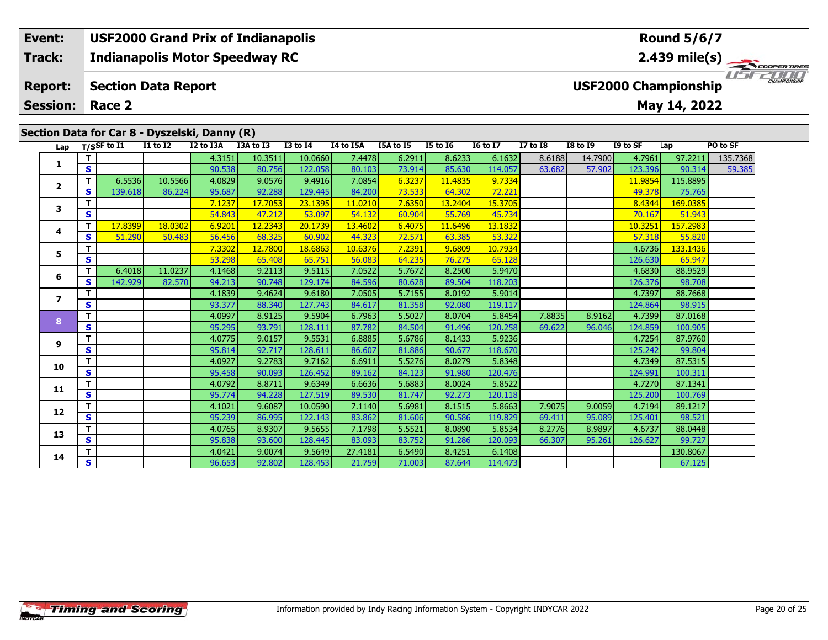#### **Event: USF2000 Grand Prix of Indianapolis Round 5/6/7Indianapolis Motor Speedway RC 2.439 mile(s) Track:** USFZOOD **Report: Section Data Report USF2000 Championship May 14, 2022 Session: Race 2 Section Data for Car 8 - Dyszelski, Danny (R)**

| Lap            |              | T/SSF to I1 | <b>I1 to I2</b> | I2 to I3A | I3A to I3 | $I3$ to $I4$ | <b>I4 to I5A</b> | I5A to I5 | <b>I5 to 16</b> | <b>16 to 17</b> | <b>I7 to I8</b> | <b>I8 to I9</b> | I9 to SF | Lap      | PO to SF |
|----------------|--------------|-------------|-----------------|-----------|-----------|--------------|------------------|-----------|-----------------|-----------------|-----------------|-----------------|----------|----------|----------|
|                | т            |             |                 | 4.3151    | 10.3511   | 10.0660      | 7.4478           | 6.2911    | 8.6233          | 6.1632          | 8.6188          | 14.7900         | 4.7961   | 97.2211  | 135.7368 |
| 1              | S            |             |                 | 90.538    | 80.756    | 122.058      | 80.103           | 73.914    | 85.630          | 114.057         | 63.682          | 57.902          | 123.396  | 90.314   | 59.385   |
|                | T.           | 6.5536      | 10.5566         | 4.0829    | 9.0576    | 9.4916       | 7.0854           | 6.3237    | 11,4835         | 9.7334          |                 |                 | 11,9854  | 115.8895 |          |
| $\overline{2}$ | S            | 139.618     | 86.224          | 95.687    | 92.288    | 129.445      | 84.200           | 73.533    | 64.302          | 72.221          |                 |                 | 49.378   | 75.765   |          |
| 3              | $\mathbf{T}$ |             |                 | 7.1237    | 17.7053   | 23.1395      | 11.0210          | 7.6350    | 13.2404         | 15.3705         |                 |                 | 8.4344   | 169.0385 |          |
|                | $\mathbf{s}$ |             |                 | 54.843    | 47.212    | 53.097       | 54.132           | 60.904    | 55.769          | 45.734          |                 |                 | 70.167   | 51.943   |          |
| 4              | $\mathbf{T}$ | 17,8399     | 18.0302         | 6.9201    | 12.2343   | 20.1739      | 13.4602          | 6.4075    | 11.6496         | 13.1832         |                 |                 | 10.3251  | 157.2983 |          |
|                | $\mathbf{s}$ | 51.290      | 50.483          | 56.456    | 68.325    | 60.902       | 44.323           | 72.571    | 63.385          | 53.322          |                 |                 | 57.318   | 55.820   |          |
| 5              | $\mathbf{T}$ |             |                 | 7.3302    | 12.7800   | 18.6863      | 10.6376          | 7.2391    | 9.6809          | 10.7934         |                 |                 | 4.6736   | 133.1436 |          |
|                | $\mathbf{s}$ |             |                 | 53.298    | 65.408    | 65.751       | 56.083           | 64.235    | 76.275          | 65.128          |                 |                 | 126.630  | 65.947   |          |
| 6              | T.           | 6.4018      | 11.0237         | 4.1468    | 9.2113    | 9.5115       | 7.0522           | 5.7672    | 8.2500          | 5.9470          |                 |                 | 4.6830   | 88.9529  |          |
|                | S            | 142.929     | 82.570          | 94.213    | 90.748    | 129.174      | 84.596           | 80.628    | 89.504          | 118.203         |                 |                 | 126.376  | 98.708   |          |
| 7              | $\mathbf{T}$ |             |                 | 4.1839    | 9.4624    | 9.6180       | 7.0505           | 5.7155    | 8.0192          | 5.9014          |                 |                 | 4.7397   | 88.7668  |          |
|                | $\mathbf{s}$ |             |                 | 93.377    | 88.340    | 127.743      | 84.617           | 81.358    | 92.080          | 119.117         |                 |                 | 124.864  | 98.915   |          |
| 8              | $\mathbf T$  |             |                 | 4.0997    | 8.9125    | 9.5904       | 6.7963           | 5.5027    | 8.0704          | 5.8454          | 7.8835          | 8.9162          | 4.7399   | 87.0168  |          |
|                | S            |             |                 | 95.295    | 93.791    | 128.111      | 87.782           | 84.504    | 91.496          | 120.258         | 69.622          | 96.046          | 124.859  | 100.905  |          |
| 9              | $\mathbf{T}$ |             |                 | 4.0775    | 9.0157    | 9.5531       | 6.8885           | 5.6786    | 8.1433          | 5.9236          |                 |                 | 4.7254   | 87.9760  |          |
|                | $\mathbf{s}$ |             |                 | 95.814    | 92.717    | 128.611      | 86.607           | 81.886    | 90.677          | 118.670         |                 |                 | 125.242  | 99.804   |          |
| 10             | $\mathbf{T}$ |             |                 | 4.0927    | 9.2783    | 9.7162       | 6.6911           | 5.5276    | 8.0279          | 5.8348          |                 |                 | 4.7349   | 87.5315  |          |
|                | $\mathbf{s}$ |             |                 | 95.458    | 90.093    | 126.452      | 89.162           | 84.123    | 91.980          | 120.476         |                 |                 | 124.991  | 100.311  |          |
| 11             | $\mathbf{T}$ |             |                 | 4.0792    | 8.8711    | 9.6349       | 6.6636           | 5.6883    | 8.0024          | 5.8522          |                 |                 | 4.7270   | 87.1341  |          |
|                | $\mathbf{s}$ |             |                 | 95.774    | 94.228    | 127.519      | 89.530           | 81.747    | 92.273          | 120.118         |                 |                 | 125.200  | 100.769  |          |
| 12             | T            |             |                 | 4.1021    | 9.6087    | 10.0590      | 7.1140           | 5.6981    | 8.1515          | 5.8663          | 7.9075          | 9.0059          | 4.7194   | 89.1217  |          |
|                | $\mathbf{s}$ |             |                 | 95.239    | 86.995    | 122.143      | 83.862           | 81.606    | 90.586          | 119.829         | 69.411          | 95.089          | 125.401  | 98.521   |          |
| 13             | T            |             |                 | 4.0765    | 8.9307    | 9.5655       | 7.1798           | 5.5521    | 8.0890          | 5.8534          | 8.2776          | 8.9897          | 4.6737   | 88.0448  |          |
|                | $\mathbf{s}$ |             |                 | 95.838    | 93.600    | 128.445      | 83.093           | 83.752    | 91.286          | 120.093         | 66.307          | 95.261          | 126.627  | 99.727   |          |
| 14             | T            |             |                 | 4.0421    | 9.0074    | 9.5649       | 27.4181          | 6.5490    | 8.4251          | 6.1408          |                 |                 |          | 130.8067 |          |
|                | $\mathbf{s}$ |             |                 | 96.653    | 92.802    | 128.453      | 21.759           | 71.003    | 87.644          | 114.473         |                 |                 |          | 67.125   |          |

ER TIRES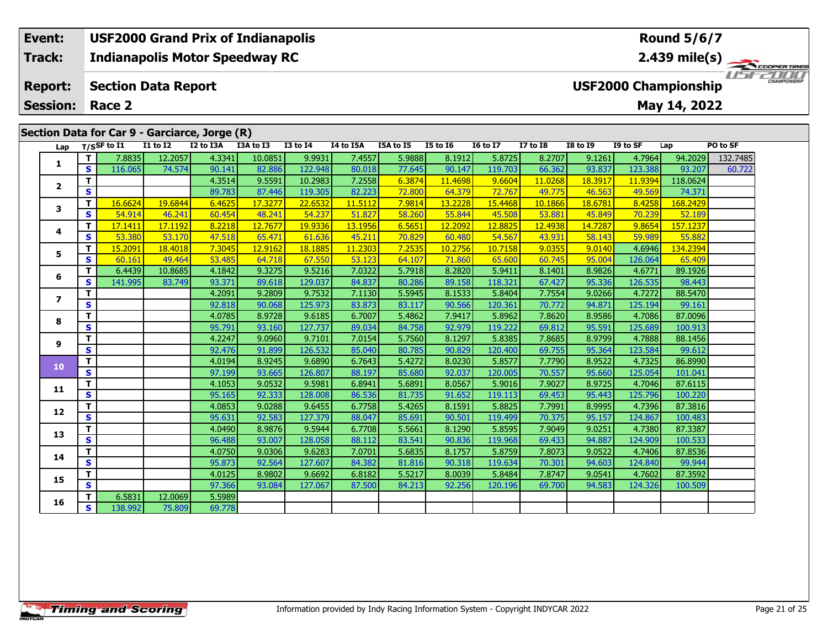# **Event: USF2000 Grand Prix of Indianapolis Round 5/6/7Track:Indianapolis Motor Speedway RC 2.439 mile(s)** USF2000 **Report: Section Data Report USF2000 Championship May 14, 2022 Session: Race 2 Section Data for Car 9 - Garciarce, Jorge (R) Lap T/SSF to I1 I1 to I2 I2 to I3A I3A to I3 I3 to I4 I4 to I5A I5A to I5 I5 to I6 I6 to I7 I7 to I8 I8 to I9 I9 to SF Lap PO to SF**

| Lap                     |                         | T/SSF to 11 | 17 10 17 | TS LO TRV | L3A TO L3 | 13 TO 14 | 14 TO 15A | כז 10 אכז | <b>12 10 10</b> | 10 10 TV | <b>17 10 19</b> | 19 10 1 <sub>2</sub> | 19 TO SF | ∟ap      | PU TO SF |
|-------------------------|-------------------------|-------------|----------|-----------|-----------|----------|-----------|-----------|-----------------|----------|-----------------|----------------------|----------|----------|----------|
|                         | T                       | 7.8835      | 12.2057  | 4.3341    | 10.0851   | 9.9931   | 7.4557    | 5.9888    | 8.1912          | 5.8725   | 8.2707          | 9.1261               | 4.7964   | 94.2029  | 132.7485 |
| 1                       | $\mathbf{s}$            | 116.065     | 74.574   | 90.141    | 82.886    | 122.948  | 80.018    | 77.645    | 90.147          | 119.703  | 66.362          | 93.837               | 123.388  | 93.207   | 60.722   |
|                         | $\mathbf{T}$            |             |          | 4.3514    | 9.5591    | 10.2983  | 7.2558    | 6.3874    | 11.4698         | 9.6604   | 11.0268         | 18.3917              | 11.9394  | 118.0624 |          |
| $\overline{2}$          | $\overline{\mathbf{s}}$ |             |          | 89.783    | 87.446    | 119.305  | 82.223    | 72.800    | 64.379          | 72.767   | 49.775          | 46.563               | 49.569   | 74.371   |          |
| 3                       | $\mathbf{T}$            | 16.6624     | 19.6844  | 6.4625    | 17.3277   | 22.6532  | 11.5112   | 7.9814    | 13.2228         | 15.4468  | 10.1866         | 18.6781              | 8.4258   | 168.2429 |          |
|                         | $\mathbf{s}$            | 54.914      | 46.241   | 60.454    | 48.241    | 54.237   | 51.827    | 58.260    | 55.844          | 45.508   | 53.881          | 45.849               | 70.239   | 52.189   |          |
|                         | $\mathbf{T}$            | 17.1411     | 17.1192  | 8.2218    | 12.7677   | 19.9336  | 13.1956   | 6.5651    | 12.2092         | 12.8825  | 12.4938         | 14.7287              | 9.8654   | 157.1237 |          |
| 4                       | $\mathbf{s}$            | 53.380      | 53.170   | 47.518    | 65.471    | 61.636   | 45.211    | 70.829    | 60.480          | 54.567   | 43.931          | 58.143               | 59.989   | 55.882   |          |
| 5                       | Т                       | 15,2091     | 18,4018  | 7.3045    | 12.9162   | 18.1885  | 11.2303   | 7.2535    | 10.2756         | 10.7158  | 9.0355          | 9.0140               | 4.6946   | 134.2394 |          |
|                         | $\mathbf{s}$            | 60.161      | 49.464   | 53.485    | 64.718    | 67.550   | 53.123    | 64.107    | 71.860          | 65.600   | 60.745          | 95.004               | 126.064  | 65.409   |          |
| 6                       | T                       | 6.4439      | 10.8685  | 4.1842    | 9.3275    | 9.5216   | 7.0322    | 5.7918    | 8.2820          | 5.9411   | 8.1401          | 8.9826               | 4.6771   | 89.1926  |          |
|                         | $\mathbf{s}$            | 141.995     | 83.749   | 93.371    | 89.618    | 129.037  | 84.837    | 80.286    | 89.158          | 118.321  | 67.427          | 95.336               | 126.535  | 98.443   |          |
| $\overline{\mathbf{z}}$ | T                       |             |          | 4.2091    | 9.2809    | 9.7532   | 7.1130    | 5.5945    | 8.1533          | 5.8404   | 7.7554          | 9.0266               | 4.7272   | 88.5470  |          |
|                         | $\mathbf{s}$            |             |          | 92.818    | 90.068    | 125.973  | 83.873    | 83.117    | 90.566          | 120.361  | 70.772          | 94.871               | 125.194  | 99.161   |          |
| 8                       | T                       |             |          | 4.0785    | 8.9728    | 9.6185   | 6.7007    | 5.4862    | 7.9417          | 5.8962   | 7.8620          | 8.9586               | 4.7086   | 87.0096  |          |
|                         | $\overline{\mathbf{s}}$ |             |          | 95.791    | 93.160    | 127.737  | 89.034    | 84.758    | 92.979          | 119.222  | 69.812          | 95.591               | 125.689  | 100.913  |          |
| 9                       | T                       |             |          | 4.2247    | 9.0960    | 9.7101   | 7.0154    | 5.7560    | 8.1297          | 5.8385   | 7.8685          | 8.9799               | 4.7888   | 88.1456  |          |
|                         | $\mathbf{s}$            |             |          | 92.476    | 91.899    | 126.532  | 85.040    | 80.785    | 90.829          | 120.400  | 69.755          | 95.364               | 123.584  | 99.612   |          |
| 10                      | $\mathbf T$             |             |          | 4.0194    | 8.9245    | 9.6890   | 6.7643    | 5.4272    | 8.0230          | 5.8577   | 7.7790          | 8.9522               | 4.7325   | 86.8990  |          |
|                         | $\mathbf{s}$            |             |          | 97.199    | 93.665    | 126.807  | 88.197    | 85.680    | 92.037          | 120.005  | 70.557          | 95.660               | 125.054  | 101.041  |          |
| 11                      | $\mathbf T$             |             |          | 4.1053    | 9.0532    | 9.5981   | 6.8941    | 5.6891    | 8.0567          | 5.9016   | 7.9027          | 8.9725               | 4.7046   | 87.6115  |          |
|                         | $\mathbf{s}$            |             |          | 95.165    | 92.333    | 128.008  | 86.536    | 81.735    | 91.652          | 119.113  | 69.453          | 95.443               | 125.796  | 100.220  |          |
| 12                      | т                       |             |          | 4.0853    | 9.0288    | 9.6455   | 6.7758    | 5.4265    | 8.1591          | 5.8825   | 7.7991          | 8.9995               | 4.7396   | 87.3816  |          |
|                         | $\mathbf{s}$            |             |          | 95.631    | 92.583    | 127.379  | 88.047    | 85.691    | 90.501          | 119.499  | 70.375          | 95.157               | 124.867  | 100.483  |          |
| 13                      | $\mathbf{T}$            |             |          | 4.0490    | 8.9876    | 9.5944   | 6.7708    | 5.5661    | 8.1290          | 5.8595   | 7.9049          | 9.0251               | 4.7380   | 87.3387  |          |
|                         | $\mathbf{s}$            |             |          | 96.488    | 93.007    | 128.058  | 88.112    | 83.541    | 90.836          | 119.968  | 69.433          | 94.887               | 124.909  | 100.533  |          |
| 14                      | T                       |             |          | 4.0750    | 9.0306    | 9.6283   | 7.0701    | 5.6835    | 8.1757          | 5.8759   | 7.8073          | 9.0522               | 4.7406   | 87.8536  |          |
|                         | $\mathbf{s}$            |             |          | 95.873    | 92.564    | 127.607  | 84.382    | 81.816    | 90.318          | 119.634  | 70.301          | 94.603               | 124.840  | 99.944   |          |
| 15                      | $\mathbf{T}$            |             |          | 4.0125    | 8.9802    | 9.6692   | 6.8182    | 5.5217    | 8.0039          | 5.8484   | 7.8747          | 9.0541               | 4.7602   | 87.3592  |          |
|                         | $\overline{\mathbf{s}}$ |             |          | 97.366    | 93.084    | 127.067  | 87.500    | 84.213    | 92.256          | 120.196  | 69.700          | 94.583               | 124.326  | 100.509  |          |
| 16                      | Т                       | 6.5831      | 12.0069  | 5.5989    |           |          |           |           |                 |          |                 |                      |          |          |          |
|                         | $\mathbf{s}$            | 138.992     | 75.809   | 69.778    |           |          |           |           |                 |          |                 |                      |          |          |          |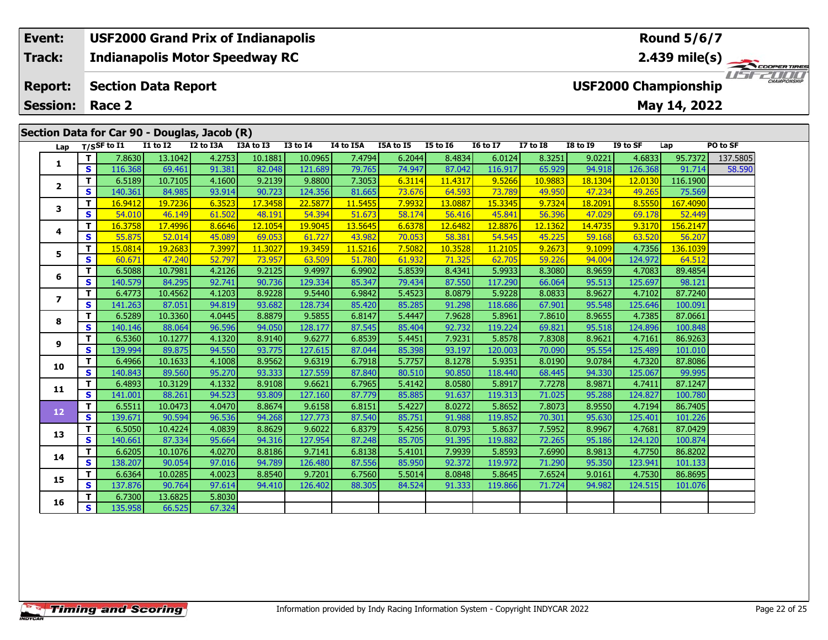#### **Event: USF2000 Grand Prix of Indianapolis Round 5/6/7Indianapolis Motor Speedway RC 2.439 mile(s) Track:** USFZOOD **Report: Section Data Report USF2000 Championship May 14, 2022 Session: Race 2 Section Data for Car 90 - Douglas, Jacob (R)**

| Lap                      |                         | T/SSF to I1 | <b>I1 to I2</b> | I2 to I3A | I3A to I3 | <b>I3 to I4</b> | I4 to I5A | I5A to I5 | <b>I5 to 16</b> | <b>16 to 17</b> | <b>I7 to I8</b> | <b>I8 to I9</b> | I9 to SF | Lap      | PO to SF |
|--------------------------|-------------------------|-------------|-----------------|-----------|-----------|-----------------|-----------|-----------|-----------------|-----------------|-----------------|-----------------|----------|----------|----------|
|                          | T.                      | 7.8630      | 13.1042         | 4.2753    | 10.1881   | 10.0965         | 7.4794    | 6.2044    | 8.4834          | 6.0124          | 8.3251          | 9.0221          | 4.6833   | 95.7372  | 137.5805 |
| 1                        | S                       | 116.368     | 69.461          | 91.381    | 82.048    | 121.689         | 79.765    | 74.947    | 87.042          | 116.917         | 65.929          | 94.918          | 126.368  | 91.714   | 58.590   |
|                          | T.                      | 6.5189      | 10.7105         | 4.1600    | 9.2139    | 9.8800          | 7.3053    | 6.3114    | 11,4317         | 9.5266          | 10.9883         | 18.1304         | 12.0130  | 116.1900 |          |
| $\overline{\mathbf{2}}$  | S                       | 140.361     | 84.985          | 93.914    | 90.723    | 124.356         | 81.665    | 73.676    | 64.593          | 73.789          | 49.950          | 47.234          | 49.265   | 75.569   |          |
| 3                        | T                       | 16.9412     | 19.7236         | 6.3523    | 17.3458   | 22,5877         | 11.5455   | 7.9932    | 13.0887         | 15.3345         | 9.7324          | 18.2091         | 8.5550   | 167.4090 |          |
|                          | $\overline{\mathbf{s}}$ | 54.010      | 46.149          | 61.502    | 48.191    | 54.394          | 51.673    | 58.174    | 56.416          | 45.841          | 56.396          | 47.029          | 69.178   | 52.449   |          |
| 4                        | T                       | 16.3758     | 17,4996         | 8.6646    | 12.1054   | 19.9045         | 13.5645   | 6.6378    | 12.6482         | 12,8876         | 12.1362         | 14.4735         | 9.3170   | 156,2147 |          |
|                          | S                       | 55.875      | 52.014          | 45.089    | 69.053    | 61.727          | 43.982    | 70.053    | 58.381          | 54.545          | 45.225          | 59.168          | 63.520   | 56.207   |          |
| 5                        | т                       | 15.0814     | 19.2683         | 7.3997    | 11.3027   | 19.3459         | 11,5216   | 7.5082    | 10.3528         | 11.2105         | 9.2673          | 9.1099          | 4.7356   | 136.1039 |          |
|                          | S                       | 60.671      | 47.240          | 52.797    | 73.957    | 63.509          | 51.780    | 61.932    | 71.325          | 62.705          | 59.226          | 94.004          | 124.972  | 64.512   |          |
| 6                        | т                       | 6.5088      | 10.7981         | 4.2126    | 9.2125    | 9.4997          | 6.9902    | 5.8539    | 8.4341          | 5.9933          | 8.3080          | 8.9659          | 4.7083   | 89.4854  |          |
|                          | S                       | 140.579     | 84.295          | 92.741    | 90.736    | 129.334         | 85.347    | 79.434    | 87.550          | 117.290         | 66.064          | 95.513          | 125.697  | 98.121   |          |
| $\overline{\phantom{a}}$ | T.                      | 6.4773      | 10.4562         | 4.1203    | 8.9228    | 9.5440          | 6.9842    | 5.4523    | 8.0879          | 5.9228          | 8.0833          | 8.9627          | 4.7102   | 87.7240  |          |
|                          | S                       | 141.263     | 87.051          | 94.819    | 93.682    | 128.734         | 85.420    | 85.285    | 91.298          | 118.686         | 67.901          | 95.548          | 125.646  | 100.091  |          |
| 8                        | T                       | 6.5289      | 10.3360         | 4.0445    | 8.8879    | 9.5855          | 6.8147    | 5.4447    | 7.9628          | 5.8961          | 7.8610          | 8.9655          | 4.7385   | 87.0661  |          |
|                          | S                       | 140.146     | 88.064          | 96.596    | 94.050    | 128.177         | 87.545    | 85.404    | 92.732          | 119.224         | 69.821          | 95.518          | 124.896  | 100.848  |          |
| 9                        | T.                      | 6.5360      | 10.1277         | 4.1320    | 8.9140    | 9.6277          | 6.8539    | 5.4451    | 7.9231          | 5.8578          | 7.8308          | 8.9621          | 4.7161   | 86.9263  |          |
|                          | S                       | 139.994     | 89.875          | 94.550    | 93.775    | 127.615         | 87.044    | 85.398    | 93.197          | 120.003         | 70.090          | 95.554          | 125.489  | 101.010  |          |
| 10                       | T.                      | 6.4966      | 10.1633         | 4.1008    | 8.9562    | 9.6319          | 6.7918    | 5.7757    | 8.1278          | 5.9351          | 8.0190          | 9.0784          | 4.7320   | 87.8086  |          |
|                          | S.                      | 140.843     | 89.560          | 95.270    | 93.333    | 127.559         | 87.840    | 80.510    | 90.850          | 118,440         | 68.445          | 94.330          | 125.067  | 99.995   |          |
| 11                       | T                       | 6.4893      | 10.3129         | 4.1332    | 8.9108    | 9.6621          | 6.7965    | 5.4142    | 8.0580          | 5.8917          | 7.7278          | 8.9871          | 4.7411   | 87.1247  |          |
|                          | S                       | 141.001     | 88.261          | 94.523    | 93.809    | 127.160         | 87.779    | 85.885    | 91.637          | 119.313         | 71.025          | 95.288          | 124.827  | 100.780  |          |
| 12                       | T.                      | 6.5511      | 10.0473         | 4.0470    | 8.8674    | 9.6158          | 6.8151    | 5.4227    | 8.0272          | 5.8652          | 7.8073          | 8.9550          | 4.7194   | 86.7405  |          |
|                          | $\mathbf{s}$            | 139.671     | 90.594          | 96.536    | 94.268    | 127.773         | 87.540    | 85.751    | 91.988          | 119.852         | 70.301          | 95.630          | 125.401  | 101.226  |          |
| 13                       | T                       | 6.5050      | 10.4224         | 4.0839    | 8.8629    | 9.6022          | 6.8379    | 5.4256    | 8.0793          | 5.8637          | 7.5952          | 8.9967          | 4.7681   | 87.0429  |          |
|                          | S                       | 140.661     | 87.334          | 95.664    | 94.316    | 127.954         | 87.248    | 85.705    | 91.395          | 119.882         | 72.265          | 95.186          | 124.120  | 100.874  |          |
| 14                       | T                       | 6.6205      | 10.1076         | 4.0270    | 8.8186    | 9.7141          | 6.8138    | 5.4101    | 7.9939          | 5.8593          | 7.6990          | 8.9813          | 4.7750   | 86.8202  |          |
|                          | $\mathbf{s}$            | 138.207     | 90.054          | 97.016    | 94.789    | 126.480         | 87.556    | 85.950    | 92.372          | 119.972         | 71.290          | 95.350          | 123.941  | 101.133  |          |
| 15                       | T.                      | 6.6364      | 10.0285         | 4.0023    | 8.8540    | 9.7201          | 6.7560    | 5.5014    | 8.0848          | 5.8645          | 7.6524          | 9.0161          | 4.7530   | 86.8695  |          |
|                          | $\overline{\mathbf{s}}$ | 137.876     | 90.764          | 97.614    | 94.410    | 126.402         | 88.305    | 84.524    | 91.333          | 119.866         | 71.724          | 94.982          | 124.515  | 101.076  |          |
| 16                       | T.                      | 6.7300      | 13.6825         | 5.8030    |           |                 |           |           |                 |                 |                 |                 |          |          |          |
|                          | S.                      | 135.958     | 66.525          | 67.324    |           |                 |           |           |                 |                 |                 |                 |          |          |          |

ER TIRES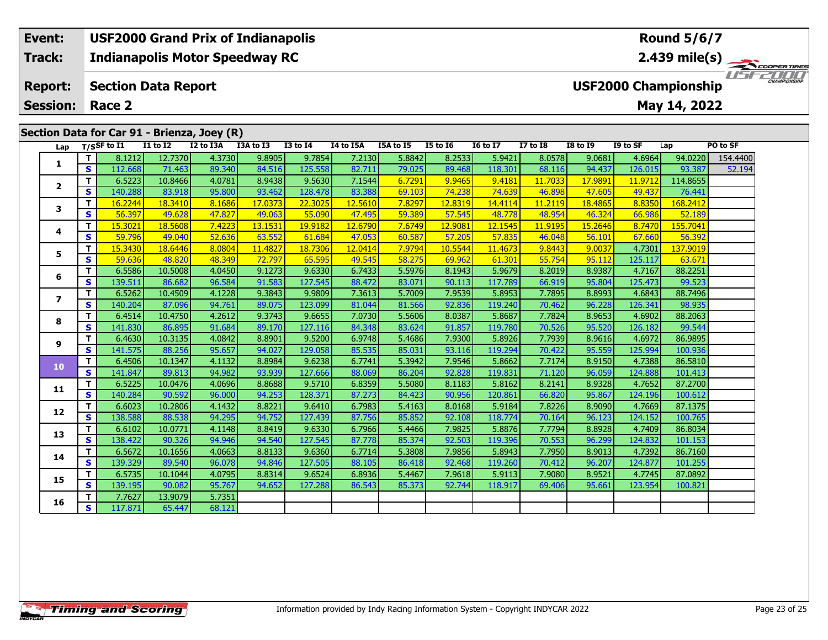## **Event: USF2000 Grand Prix of Indianapolis Round 5/6/7Indianapolis Motor Speedway RC 2.439 mile(s) Track:**  $200$ USFZOOD **Report: Section Data Report USF2000 Championship May 14, 2022 Session: Race 2 Section Data for Car 91 - Brienza, Joey (R) Lap T/SSF to I1 I1 to I2 I2 to I3A I3A to I3 I3 to I4 I4 to I5A I5A to I5 I5 to I6 I6 to I7 I7 to I8 I8 to I9 I9 to SF Lap PO to SF**

| Lap            |                               | T/SSF to $I1$ | $I1$ to $I2$ | I2 to I3A | I3A to I3 | I3 to I4 | I4 to I5A | I5A to I5 | I5 to 16 | <b>16 to 17</b> | $I7$ to $I8$ | <b>I8 to I9</b> | I9 to SF | Lap      | PO to SF |
|----------------|-------------------------------|---------------|--------------|-----------|-----------|----------|-----------|-----------|----------|-----------------|--------------|-----------------|----------|----------|----------|
|                | T.                            | 8.1212        | 12.7370      | 4.3730    | 9.8905    | 9.7854   | 7.2130    | 5.8842    | 8.2533   | 5.9421          | 8.0578       | 9.0681          | 4.6964   | 94.0220  | 154.4400 |
| 1              | S.                            | 112.668       | 71.463       | 89.340    | 84.516    | 125.558  | 82.711    | 79.025    | 89.468   | 118.301         | 68.116       | 94.437          | 126.015  | 93.387   | 52.194   |
| $\mathbf{2}$   | T.                            | 6.5223        | 10.8466      | 4.0781    | 8.9438    | 9.5630   | 7.1544    | 6.7291    | 9.9465   | 9.4181          | 11.7033      | 17.9891         | 11,9712  | 114.8655 |          |
|                | S                             | 140.288       | 83.918       | 95.800    | 93.462    | 128.478  | 83.388    | 69.103    | 74.238   | 74.639          | 46.898       | 47.605          | 49.437   | 76.441   |          |
| 3              | T                             | 16.2244       | 18.3410      | 8.1686    | 17.0373   | 22.3025  | 12.5610   | 7.8297    | 12.8319  | 14.4114         | 11.2119      | 18.4865         | 8.8350   | 168.2412 |          |
|                | S.                            | 56.397        | 49.628       | 47.827    | 49.063    | 55.090   | 47.495    | 59.389    | 57.545   | 48.778          | 48.954       | 46.324          | 66.986   | 52.189   |          |
| 4              | T.                            | 15,3021       | 18.5608      | 7.4223    | 13.1531   | 19.9182  | 12,6790   | 7.6749    | 12.9081  | 12.1545         | 11.9195      | 15.2646         | 8.7470   | 155.7041 |          |
|                | S                             | 59.796        | 49.040       | 52.636    | 63.552    | 61.684   | 47.053    | 60.587    | 57.205   | 57.835          | 46.048       | 56.101          | 67.660   | 56.392   |          |
| 5              | T                             | 15.3430       | 18.6446      | 8.0804    | 11.4827   | 18.7306  | 12.0414   | 7.9794    | 10.5544  | 11,4673         | 9.8443       | 9.0037          | 4.7301   | 137.9019 |          |
|                | S                             | 59.636        | 48.820       | 48.349    | 72.797    | 65.595   | 49.545    | 58.275    | 69.962   | 61.301          | 55.754       | 95.112          | 125.117  | 63.671   |          |
| 6              | T.                            | 6.5586        | 10.5008      | 4.0450    | 9.1273    | 9.6330   | 6.7433    | 5.5976    | 8.1943   | 5.9679          | 8.2019       | 8.9387          | 4.7167   | 88.2251  |          |
|                | S                             | 139.511       | 86.682       | 96.584    | 91.583    | 127.545  | 88.472    | 83.071    | 90.113   | 117.789         | 66.919       | 95.804          | 125.473  | 99.523   |          |
| $\overline{ }$ | T                             | 6.5262        | 10.4509      | 4.1228    | 9.3843    | 9.9809   | 7.3613    | 5.7009    | 7.9539   | 5.8953          | 7.7895       | 8.8993          | 4.6843   | 88.7496  |          |
|                | S                             | 140.204       | 87.096       | 94.761    | 89.075    | 123.099  | 81.044    | 81.566    | 92.836   | 119.240         | 70.462       | 96.228          | 126.341  | 98.935   |          |
| 8              | T                             | 6.4514        | 10.4750      | 4.2612    | 9.3743    | 9.6655   | 7.0730    | 5.5606    | 8.0387   | 5.8687          | 7.7824       | 8.9653          | 4.6902   | 88.2063  |          |
|                | S                             | 141.830       | 86.895       | 91.684    | 89.170    | 127.116  | 84.348    | 83.624    | 91.857   | 119.780         | 70.526       | 95.520          | 126.182  | 99.544   |          |
| 9              | T                             | 6.4630        | 10.3135      | 4.0842    | 8.8901    | 9.5200   | 6.9748    | 5.4686    | 7.9300   | 5.8926          | 7.7939       | 8.9616          | 4.6972   | 86.9895  |          |
|                | S                             | 141.575       | 88.256       | 95.657    | 94.027    | 129.058  | 85.535    | 85.031    | 93.116   | 119.294         | 70.422       | 95.559          | 125.994  | 100.936  |          |
| 10             | $\mathbf{T}$                  | 6.4506        | 10.1347      | 4.1132    | 8.8984    | 9.6238   | 6.7741    | 5.3942    | 7.9546   | 5.8662          | 7.7174       | 8.9150          | 4.7388   | 86.5810  |          |
|                | S                             | 141.847       | 89.813       | 94.982    | 93.939    | 127.666  | 88.069    | 86.204    | 92.828   | 119.831         | 71.120       | 96.059          | 124.888  | 101.413  |          |
| 11             | T.                            | 6.5225        | 10.0476      | 4.0696    | 8.8688    | 9.5710   | 6.8359    | 5.5080    | 8.1183   | 5.8162          | 8.2141       | 8.9328          | 4.7652   | 87.2700  |          |
|                | S                             | 140.284       | 90.592       | 96.000    | 94.253    | 128.371  | 87.273    | 84.423    | 90.956   | 120.861         | 66.820       | 95.867          | 124.196  | 100.612  |          |
| 12             | T                             | 6.6023        | 10.2806      | 4.1432    | 8.8221    | 9.6410   | 6.7983    | 5.4163    | 8.0168   | 5.9184          | 7.8226       | 8.9090          | 4.7669   | 87.1375  |          |
|                | S                             | 138.588       | 88.538       | 94.295    | 94.752    | 127.439  | 87.756    | 85.852    | 92.108   | 118.774         | 70.164       | 96.123          | 124.152  | 100.765  |          |
| 13             | T                             | 6.6102        | 10.0771      | 4.1148    | 8.8419    | 9.6330   | 6.7966    | 5.4466    | 7.9825   | 5.8876          | 7.7794       | 8.8928          | 4.7409   | 86.8034  |          |
|                | S                             | 138.422       | 90.326       | 94.946    | 94.540    | 127.545  | 87.778    | 85.374    | 92.503   | 119.396         | 70.553       | 96.299          | 124.832  | 101.153  |          |
| 14             | T<br>S                        | 6.5672        | 10.1656      | 4.0663    | 8.8133    | 9.6360   | 6.7714    | 5.3808    | 7.9856   | 5.8943          | 7.7950       | 8.9013          | 4.7392   | 86.7160  |          |
|                |                               | 139.329       | 89.540       | 96.078    | 94.846    | 127.505  | 88.105    | 86.418    | 92.468   | 119.260         | 70.412       | 96.207          | 124.877  | 101.255  |          |
| 15             | T.<br>S.                      | 6.5735        | 10.1044      | 4.0795    | 8.8314    | 9.6524   | 6.8936    | 5.4467    | 7.9618   | 5.9113          | 7.9080       | 8.9521          | 4.7745   | 87.0892  |          |
|                |                               | 139.195       | 90.082       | 95.767    | 94.652    | 127.288  | 86.543    | 85.373    | 92.744   | 118.917         | 69.406       | 95.661          | 123.954  | 100.821  |          |
| 16             | T.<br>$\overline{\mathbf{s}}$ | 7.7627        | 13.9079      | 5.7351    |           |          |           |           |          |                 |              |                 |          |          |          |
|                |                               | 117.871       | 65.447       | 68.121    |           |          |           |           |          |                 |              |                 |          |          |          |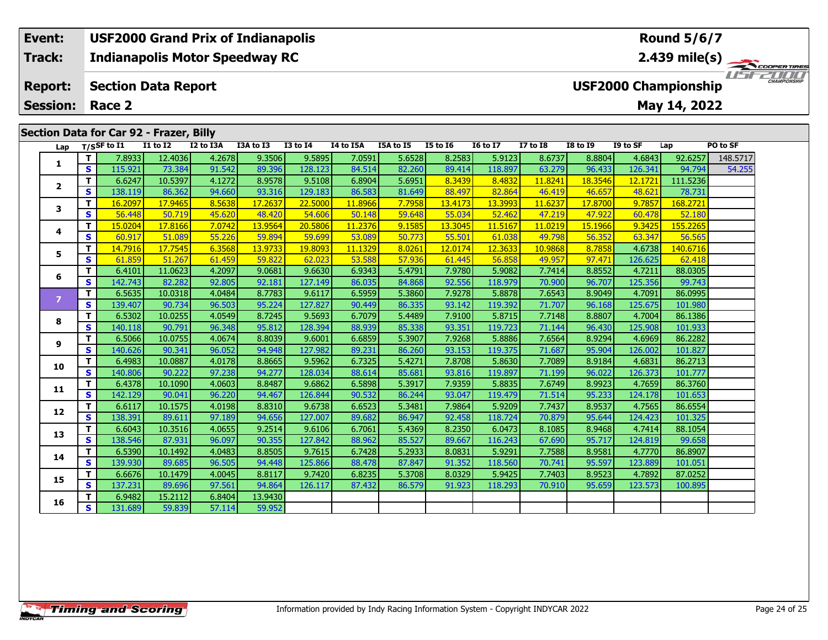# **Event: USF2000 Grand Prix of Indianapolis Round 5/6/7Track:Indianapolis Motor Speedway RC 2.439 mile(s)** USF2000 **Report: Section Data Report USF2000 Championship May 14, 2022 Session: Race 2 Section Data for Car 92 - Frazer, Billy**<br>Lap T/SSF to I1 I 1 to I2 I2 to I3 **Lap T/SSF to I1 I1 to I2 I2 to I3A I3A to I3 I3 to I4 I4 to I5A I5A to I5 I5 to I6 I6 to I7 I7 to I8 I8 to I9 I9 to SF Lap PO to SF <sup>T</sup>** 7.8933 12.4036 4.2678 9.3506 9.5895 7.0591 5.6528 8.2583 5.9123 8.6737 8.8804 4.6843 92.6257 148.5717 **<sup>S</sup>** 115.921 73.384 91.542 89.396 128.123 84.514 82.260 89.414 118.897 63.279 96.433 126.341 94.794 54.255**12**

|                | S            | 115.921 | 73.384  | 91.542 | 89.396  | 128.123 | 84.514  | 82.260 | 89.414  | 118.897 | 63.279  | 96.433  | 126.341 | 94.794   | 54.25 |
|----------------|--------------|---------|---------|--------|---------|---------|---------|--------|---------|---------|---------|---------|---------|----------|-------|
| $\mathbf{2}$   | т            | 6.6247  | 10.5397 | 4.1272 | 8.9578  | 9.5108  | 6.8904  | 5.6951 | 8.3439  | 8.4832  | 11.8241 | 18.3546 | 12.1721 | 111.5236 |       |
|                | S            | 138.119 | 86.362  | 94.660 | 93.316  | 129.183 | 86.583  | 81.649 | 88.497  | 82.864  | 46.419  | 46.657  | 48.621  | 78.731   |       |
| 3              | T            | 16.2097 | 17.9465 | 8.5638 | 17.2637 | 22.5000 | 11.8966 | 7.7958 | 13.4173 | 13.3993 | 11.6237 | 17.8700 | 9.7857  | 168.2721 |       |
|                | S            | 56.448  | 50.719  | 45.620 | 48.420  | 54.606  | 50.148  | 59.648 | 55.034  | 52.462  | 47.219  | 47.922  | 60.478  | 52.180   |       |
| 4              | T            | 15.0204 | 17.8166 | 7.0742 | 13.9564 | 20.5806 | 11.2376 | 9.1585 | 13.3045 | 11.5167 | 11.0219 | 15.1966 | 9.3425  | 155.2265 |       |
|                | S            | 60.917  | 51.089  | 55.226 | 59.894  | 59.699  | 53.089  | 50.773 | 55.501  | 61.038  | 49.798  | 56.352  | 63.347  | 56.565   |       |
| 5              | т            | 14.7916 | 17.7545 | 6.3568 | 13.9733 | 19.8093 | 11.1329 | 8.0261 | 12.0174 | 12.3633 | 10.9868 | 8.7858  | 4.6738  | 140.6716 |       |
|                | S            | 61.859  | 51.267  | 61.459 | 59.822  | 62.023  | 53.588  | 57.936 | 61.445  | 56.858  | 49.957  | 97.471  | 126.625 | 62.418   |       |
| 6              | т            | 6.4101  | 11.0623 | 4.2097 | 9.0681  | 9.6630  | 6.9343  | 5.4791 | 7.9780  | 5.9082  | 7.7414  | 8.8552  | 4.7211  | 88.0305  |       |
|                | S            | 142.743 | 82.282  | 92.805 | 92.181  | 127.149 | 86.035  | 84.868 | 92.556  | 118.979 | 70.900  | 96.707  | 125.356 | 99.743   |       |
| $\overline{z}$ | т            | 6.5635  | 10.0318 | 4.0484 | 8.7783  | 9.6117  | 6.5959  | 5.3860 | 7.9278  | 5.8878  | 7.6543  | 8.9049  | 4.7091  | 86.0995  |       |
|                | S            | 139.407 | 90.734  | 96.503 | 95.224  | 127.827 | 90.449  | 86.335 | 93.142  | 119.392 | 71.707  | 96.168  | 125.675 | 101.980  |       |
|                | т            | 6.5302  | 10.0255 | 4.0549 | 8.7245  | 9.5693  | 6.7079  | 5.4489 | 7.9100  | 5.8715  | 7.7148  | 8.8807  | 4.7004  | 86.1386  |       |
| 8              | S            | 140.118 | 90.791  | 96.348 | 95.812  | 128.394 | 88.939  | 85.338 | 93.351  | 119.723 | 71.144  | 96.430  | 125.908 | 101.933  |       |
|                | T.           | 6.5066  | 10.0755 | 4.0674 | 8.8039  | 9.6001  | 6.6859  | 5.3907 | 7.9268  | 5.8886  | 7.6564  | 8.9294  | 4.6969  | 86.2282  |       |
| 9              | S            | 140.626 | 90.341  | 96.052 | 94.948  | 127.982 | 89.231  | 86.260 | 93.153  | 119.375 | 71.687  | 95.904  | 126.002 | 101.827  |       |
| 10             | т            | 6.4983  | 10.0887 | 4.0178 | 8.8665  | 9.5962  | 6.7325  | 5.4271 | 7.8708  | 5.8630  | 7.7089  | 8.9184  | 4.6831  | 86.2713  |       |
|                | S            | 140.806 | 90.222  | 97.238 | 94.277  | 128.034 | 88.614  | 85.681 | 93.816  | 119.897 | 71.199  | 96.022  | 126.373 | 101.777  |       |
| 11             | т            | 6.4378  | 10.1090 | 4.0603 | 8.8487  | 9.6862  | 6.5898  | 5.3917 | 7.9359  | 5.8835  | 7.6749  | 8.9923  | 4.7659  | 86.3760  |       |
|                | S            | 142.129 | 90.041  | 96.220 | 94.467  | 126.844 | 90.532  | 86.244 | 93.047  | 119.479 | 71.514  | 95.233  | 124.178 | 101.653  |       |
|                | T.           | 6.6117  | 10.1575 | 4.0198 | 8.8310  | 9.6738  | 6.6523  | 5.3481 | 7.9864  | 5.9209  | 7.7437  | 8.9537  | 4.7565  | 86.6554  |       |
| 12             | S            | 138.391 | 89.611  | 97.189 | 94.656  | 127.007 | 89.682  | 86.947 | 92.458  | 118.724 | 70.879  | 95.644  | 124.423 | 101.325  |       |
| 13             | т            | 6.6043  | 10.3516 | 4.0655 | 9.2514  | 9.6106  | 6.7061  | 5.4369 | 8.2350  | 6.0473  | 8.1085  | 8.9468  | 4.7414  | 88.1054  |       |
|                | $\mathbf{s}$ | 138.546 | 87.931  | 96.097 | 90.355  | 127.842 | 88.962  | 85.527 | 89.667  | 116.243 | 67.690  | 95.717  | 124.819 | 99.658   |       |
|                | т            | 6.5390  | 10.1492 | 4.0483 | 8.8505  | 9.7615  | 6.7428  | 5.2933 | 8.0831  | 5.9291  | 7.7588  | 8.9581  | 4.7770  | 86.8907  |       |
| 14             | S            | 139.930 | 89.685  | 96.505 | 94.448  | 125.866 | 88.478  | 87.847 | 91.352  | 118.560 | 70.741  | 95.597  | 123.889 | 101.051  |       |
|                | т            | 6.6676  | 10.1479 | 4.0045 | 8.8117  | 9.7420  | 6.8235  | 5.3708 | 8.0329  | 5.9425  | 7.7403  | 8.9523  | 4.7892  | 87.0252  |       |
| 15             | S            | 137.231 | 89.696  | 97.561 | 94.864  | 126.117 | 87.432  | 86.579 | 91.923  | 118.293 | 70.910  | 95.659  | 123.573 | 100.895  |       |
|                | т            | 6.9482  | 15.2112 | 6.8404 | 13.9430 |         |         |        |         |         |         |         |         |          |       |
| 16             | S            | 131.689 | 59.839  | 57.114 | 59.952  |         |         |        |         |         |         |         |         |          |       |
|                |              |         |         |        |         |         |         |        |         |         |         |         |         |          |       |